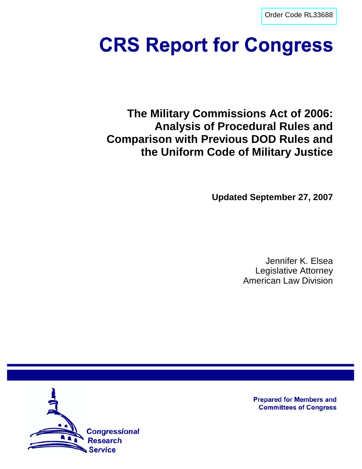[Order Code RL33688](http://www.fas.org/sgp/crs/natsec/index.html)

# **CRS Report for Congress**

**The Military Commissions Act of 2006: Analysis of Procedural Rules and Comparison with Previous DOD Rules and the Uniform Code of Military Justice**

**Updated September 27, 2007**

Jennifer K. Elsea Legislative Attorney American Law Division



**Prepared for Members and Committees of Congress**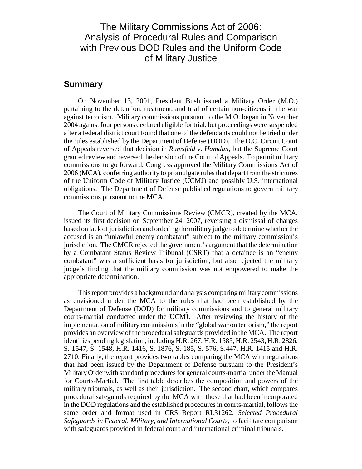## The Military Commissions Act of 2006: Analysis of Procedural Rules and Comparison with Previous DOD Rules and the Uniform Code of Military Justice

## **Summary**

On November 13, 2001, President Bush issued a Military Order (M.O.) pertaining to the detention, treatment, and trial of certain non-citizens in the war against terrorism. Military commissions pursuant to the M.O. began in November 2004 against four persons declared eligible for trial, but proceedings were suspended after a federal district court found that one of the defendants could not be tried under the rules established by the Department of Defense (DOD). The D.C. Circuit Court of Appeals reversed that decision in *Rumsfeld v. Hamdan*, but the Supreme Court granted review and reversed the decision of the Court of Appeals. To permit military commissions to go forward, Congress approved the Military Commissions Act of 2006 (MCA), conferring authority to promulgate rules that depart from the strictures of the Uniform Code of Military Justice (UCMJ) and possibly U.S. international obligations. The Department of Defense published regulations to govern military commissions pursuant to the MCA.

The Court of Military Commissions Review (CMCR), created by the MCA, issued its first decision on September 24, 2007, reversing a dismissal of charges based on lack of jurisdiction and ordering the military judge to determine whether the accused is an "unlawful enemy combatant" subject to the military commission's jurisdiction. The CMCR rejected the government's argument that the determination by a Combatant Status Review Tribunal (CSRT) that a detainee is an "enemy combatant" was a sufficient basis for jurisdiction, but also rejected the military judge's finding that the military commission was not empowered to make the appropriate determination.

This report provides a background and analysis comparing military commissions as envisioned under the MCA to the rules that had been established by the Department of Defense (DOD) for military commissions and to general military courts-martial conducted under the UCMJ. After reviewing the history of the implementation of military commissions in the "global war on terrorism," the report provides an overview of the procedural safeguards provided in the MCA. The report identifies pending legislation, including H.R. 267, H.R. 1585, H.R. 2543, H.R. 2826, S. 1547, S. 1548, H.R. 1416, S. 1876, S. 185, S. 576, S.447, H.R. 1415 and H.R. 2710. Finally, the report provides two tables comparing the MCA with regulations that had been issued by the Department of Defense pursuant to the President's Military Order with standard procedures for general courts-martial under the Manual for Courts-Martial. The first table describes the composition and powers of the military tribunals, as well as their jurisdiction. The second chart, which compares procedural safeguards required by the MCA with those that had been incorporated in the DOD regulations and the established procedures in courts-martial, follows the same order and format used in CRS Report RL31262, *Selected Procedural Safeguards in Federal, Military, and International Courts*, to facilitate comparison with safeguards provided in federal court and international criminal tribunals.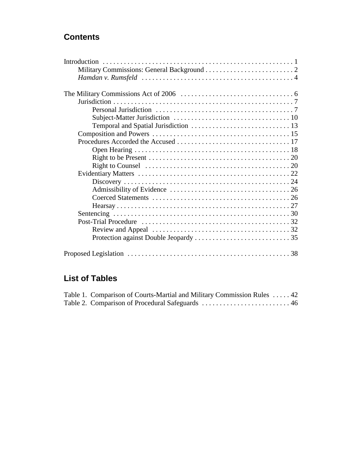# **Contents**

# **List of Tables**

| Table 1. Comparison of Courts-Martial and Military Commission Rules  42 |  |
|-------------------------------------------------------------------------|--|
|                                                                         |  |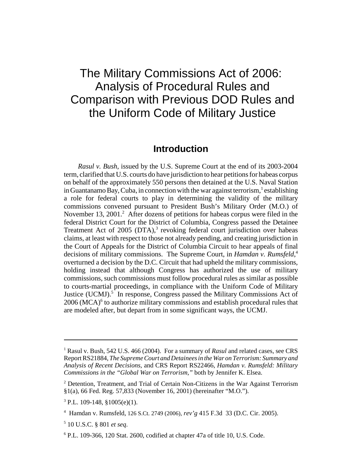# The Military Commissions Act of 2006: Analysis of Procedural Rules and Comparison with Previous DOD Rules and the Uniform Code of Military Justice

## **Introduction**

*Rasul v. Bush*, issued by the U.S. Supreme Court at the end of its 2003-2004 term, clarified that U.S. courts do have jurisdiction to hear petitions for habeas corpus on behalf of the approximately 550 persons then detained at the U.S. Naval Station in Guantanamo Bay, Cuba, in connection with the war against terrorism,  $^1$  establishing a role for federal courts to play in determining the validity of the military commissions convened pursuant to President Bush's Military Order (M.O.) of November 13, 2001.<sup>2</sup> After dozens of petitions for habeas corpus were filed in the federal District Court for the District of Columbia, Congress passed the Detainee Treatment Act of  $2005$  (DTA),<sup>3</sup> revoking federal court jurisdiction over habeas claims, at least with respect to those not already pending, and creating jurisdiction in the Court of Appeals for the District of Columbia Circuit to hear appeals of final decisions of military commissions. The Supreme Court, in *Hamdan v. Rumsfeld*, 4 overturned a decision by the D.C. Circuit that had upheld the military commissions, holding instead that although Congress has authorized the use of military commissions, such commissions must follow procedural rules as similar as possible to courts-martial proceedings, in compliance with the Uniform Code of Military Justice (UCMJ).<sup>5</sup> In response, Congress passed the Military Commissions Act of  $2006$  (MCA) $<sup>6</sup>$  to authorize military commissions and establish procedural rules that</sup> are modeled after, but depart from in some significant ways, the UCMJ.

<sup>&</sup>lt;sup>1</sup> Rasul v. Bush, 542 U.S. 466 (2004). For a summary of *Rasul* and related cases, see CRS Report RS21884, *The Supreme Court and Detainees in the War on Terrorism: Summary and Analysis of Recent Decisions*, and CRS Report RS22466, *Hamdan v. Rumsfeld: Military Commissions in the "Global War on Terrorism,"* both by Jennifer K. Elsea.

<sup>&</sup>lt;sup>2</sup> Detention, Treatment, and Trial of Certain Non-Citizens in the War Against Terrorism §1(a), 66 Fed. Reg. 57,833 (November 16, 2001) (hereinafter "M.O.").

 $3$  P.L. 109-148,  $$1005(e)(1)$ .

<sup>4</sup> Hamdan v. Rumsfeld, 126 S.Ct. 2749 (2006), *rev'g* 415 F.3d 33 (D.C. Cir. 2005).

<sup>5</sup> 10 U.S.C. § 801 *et seq*.

 $6$  P.L. 109-366, 120 Stat. 2600, codified at chapter 47a of title 10, U.S. Code.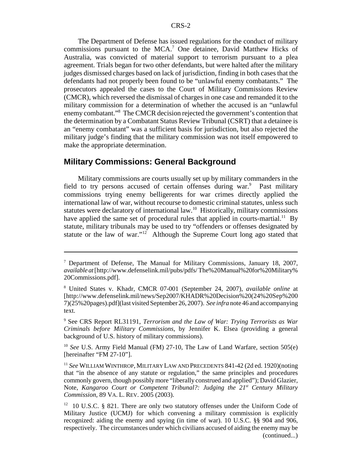The Department of Defense has issued regulations for the conduct of military commissions pursuant to the MCA.<sup>7</sup> One detainee, David Matthew Hicks of Australia, was convicted of material support to terrorism pursuant to a plea agreement. Trials began for two other defendants, but were halted after the military judges dismissed charges based on lack of jurisdiction, finding in both cases that the defendants had not properly been found to be "unlawful enemy combatants." The prosecutors appealed the cases to the Court of Military Commissions Review (CMCR), which reversed the dismissal of charges in one case and remanded it to the military commission for a determination of whether the accused is an "unlawful enemy combatant."<sup>8</sup> The CMCR decision rejected the government's contention that the determination by a Combatant Status Review Tribunal (CSRT) that a detainee is an "enemy combatant" was a sufficient basis for jurisdiction, but also rejected the military judge's finding that the military commission was not itself empowered to make the appropriate determination.

## **Military Commissions: General Background**

Military commissions are courts usually set up by military commanders in the field to try persons accused of certain offenses during war.<sup>9</sup> Past military commissions trying enemy belligerents for war crimes directly applied the international law of war, without recourse to domestic criminal statutes, unless such statutes were declaratory of international law.10 Historically, military commissions have applied the same set of procedural rules that applied in courts-martial.<sup>11</sup> By statute, military tribunals may be used to try "offenders or offenses designated by statute or the law of war."12 Although the Supreme Court long ago stated that

<sup>&</sup>lt;sup>7</sup> Department of Defense, The Manual for Military Commissions, January 18, 2007, *available at* [http://www.defenselink.mil/pubs/pdfs/ The%20Manual%20for%20Military% 20Commissions.pdf].

<sup>8</sup> United States v. Khadr, CMCR 07-001 (September 24, 2007), *available online* at [http://www.defenselink.mil/news/Sep2007/KHADR%20Decision%20(24%20Sep%200 7)(25%20pages).pdf](last visited September 26, 2007). *See infra* note 46 and accompanying text.

<sup>9</sup> See CRS Report RL31191, *Terrorism and the Law of War: Trying Terrorists as War Criminals before Military Commissions*, by Jennifer K. Elsea (providing a general background of U.S. history of military commissions).

<sup>&</sup>lt;sup>10</sup> *See* U.S. Army Field Manual (FM) 27-10, The Law of Land Warfare, section 505(e) [hereinafter "FM 27-10"].

<sup>11</sup> *See* WILLIAM WINTHROP, MILITARY LAW AND PRECEDENTS 841-42 (2d ed. 1920)(noting that "in the absence of any statute or regulation," the same principles and procedures commonly govern, though possibly more "liberally construed and applied"); David Glazier, Note, *Kangaroo Court or Competent Tribunal?: Judging the 21<sup>st</sup> Century Military Commission*, 89 VA. L. REV. 2005 (2003).

 $12$  10 U.S.C. § 821. There are only two statutory offenses under the Uniform Code of Military Justice (UCMJ) for which convening a military commission is explicitly recognized: aiding the enemy and spying (in time of war). 10 U.S.C. §§ 904 and 906, respectively. The circumstances under which civilians accused of aiding the enemy may be (continued...)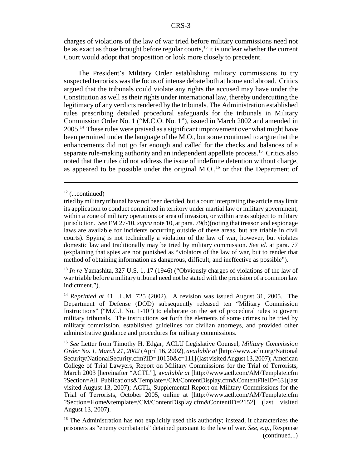charges of violations of the law of war tried before military commissions need not be as exact as those brought before regular courts, $13$  it is unclear whether the current Court would adopt that proposition or look more closely to precedent.

The President's Military Order establishing military commissions to try suspected terrorists was the focus of intense debate both at home and abroad. Critics argued that the tribunals could violate any rights the accused may have under the Constitution as well as their rights under international law, thereby undercutting the legitimacy of any verdicts rendered by the tribunals. The Administration established rules prescribing detailed procedural safeguards for the tribunals in Military Commission Order No. 1 ("M.C.O. No. 1"), issued in March 2002 and amended in 2005.14 These rules were praised as a significant improvement over what might have been permitted under the language of the M.O., but some continued to argue that the enhancements did not go far enough and called for the checks and balances of a separate rule-making authority and an independent appellate process.<sup>15</sup> Critics also noted that the rules did not address the issue of indefinite detention without charge, as appeared to be possible under the original  $M.O.,<sup>16</sup>$  or that the Department of

<sup>13</sup> *In re* Yamashita, 327 U.S. 1, 17 (1946) ("Obviously charges of violations of the law of war triable before a military tribunal need not be stated with the precision of a common law indictment.").

 $12$  (...continued)

tried by military tribunal have not been decided, but a court interpreting the article may limit its application to conduct committed in territory under martial law or military government, within a zone of military operations or area of invasion, or within areas subject to military jurisdiction. *See* FM 27-10, *supra* note 10, at para. 79(b)(noting that treason and espionage laws are available for incidents occurring outside of these areas, but are triable in civil courts). Spying is not technically a violation of the law of war, however, but violates domestic law and traditionally may be tried by military commission. *See id.* at para. 77 (explaining that spies are not punished as "violators of the law of war, but to render that method of obtaining information as dangerous, difficult, and ineffective as possible").

<sup>14</sup> *Reprinted at* 41 I.L.M. 725 (2002). A revision was issued August 31, 2005. The Department of Defense (DOD) subsequently released ten "Military Commission Instructions" ("M.C.I. No. 1-10") to elaborate on the set of procedural rules to govern military tribunals. The instructions set forth the elements of some crimes to be tried by military commission, established guidelines for civilian attorneys, and provided other administrative guidance and procedures for military commissions.

<sup>15</sup> *See* Letter from Timothy H. Edgar, ACLU Legislative Counsel, *Military Commission Order No. 1, March 21, 2002* (April 16, 2002), *available at* [http://www.aclu.org/National Security/NationalSecurity.cfm?ID=10150&c=111] (last visited August 13, 2007); American College of Trial Lawyers, Report on Military Commissions for the Trial of Terrorists, March 2003 [hereinafter "ACTL"], a*vailable at* [http://www.actl.com/AM/Template.cfm ?Section=All\_Publications&Template=/CM/ContentDisplay.cfm&ContentFileID=63] (last visited August 13, 2007); ACTL, Supplemental Report on Military Commissions for the Trial of Terrorists, October 2005, online at [http://www.actl.com/AM/Template.cfm ?Section=Home&template=/CM/ContentDisplay.cfm&ContentID=2152] (last visited August 13, 2007).

<sup>&</sup>lt;sup>16</sup> The Administration has not explicitly used this authority; instead, it characterizes the prisoners as "enemy combatants" detained pursuant to the law of war. *See, e.g.*, Response (continued...)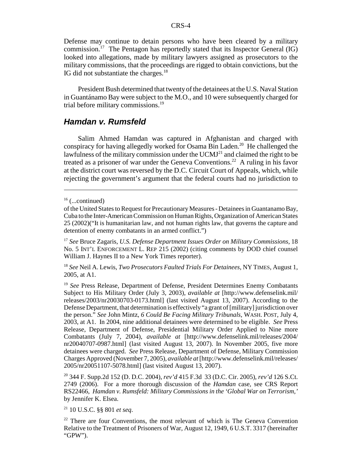Defense may continue to detain persons who have been cleared by a military commission.<sup>17</sup> The Pentagon has reportedly stated that its Inspector General (IG) looked into allegations, made by military lawyers assigned as prosecutors to the military commissions, that the proceedings are rigged to obtain convictions, but the IG did not substantiate the charges.<sup>18</sup>

President Bush determined that twenty of the detainees at the U.S. Naval Station in Guantánamo Bay were subject to the M.O., and 10 were subsequently charged for trial before military commissions.<sup>19</sup>

## *Hamdan v. Rumsfeld*

Salim Ahmed Hamdan was captured in Afghanistan and charged with conspiracy for having allegedly worked for Osama Bin Laden.<sup>20</sup> He challenged the lawfulness of the military commission under the  $UCMI<sup>21</sup>$  and claimed the right to be treated as a prisoner of war under the Geneva Conventions.<sup>22</sup> A ruling in his favor at the district court was reversed by the D.C. Circuit Court of Appeals, which, while rejecting the government's argument that the federal courts had no jurisdiction to

<sup>17</sup> *See* Bruce Zagaris, *U.S. Defense Department Issues Order on Military Commissions*, 18 No. 5 INT'L ENFORCEMENT L. REP 215 (2002) (citing comments by DOD chief counsel William J. Haynes II to a New York Times reporter).

<sup>18</sup> *See* Neil A. Lewis, *Two Prosecutors Faulted Trials For Detainees*, NY TIMES, August 1, 2005, at A1.

<sup>19</sup> *See* Press Release, Department of Defense, President Determines Enemy Combatants Subject to His Military Order (July 3, 2003), *available at* [http://www.defenselink.mil/ releases/2003/nr20030703-0173.html] (last visited August 13, 2007). According to the Defense Department, that determination is effectively "a grant of [military] jurisdiction over the person." *See* John Mintz, *6 Could Be Facing Military Tribunals*, WASH. POST, July 4, 2003, at A1. In 2004, nine additional detainees were determined to be eligible. *See* Press Release, Department of Defense, Presidential Military Order Applied to Nine more Combatants (July 7, 2004), *available at* [http://www.defenselink.mil/releases/2004/ nr20040707-0987.html] (last visited August 13, 2007). In November 2005, five more detainees were charged. *See* Press Release, Department of Defense, Military Commission Charges Approved (November 7, 2005), *available at* [http://www.defenselink.mil/releases/ 2005/nr20051107-5078.html] (last visited August 13, 2007).

20 344 F. Supp.2d 152 (D. D.C. 2004), *rev'd* 415 F.3d 33 (D.C. Cir. 2005), *rev'd* 126 S.Ct. 2749 (2006). For a more thorough discussion of the *Hamdan* case, see CRS Report RS22466, *Hamdan v. Rumsfeld: Military Commissions in the 'Global War on Terrorism,'* by Jennifer K. Elsea.

21 10 U.S.C. §§ 801 *et seq*.

<sup>22</sup> There are four Conventions, the most relevant of which is The Geneva Convention Relative to the Treatment of Prisoners of War, August 12, 1949, 6 U.S.T. 3317 (hereinafter "GPW").

 $16$  (...continued)

of the United States to Request for Precautionary Measures - Detainees in Guantanamo Bay, Cuba to the Inter-American Commission on Human Rights, Organization of American States 25 (2002)("It is humanitarian law, and not human rights law, that governs the capture and detention of enemy combatants in an armed conflict.")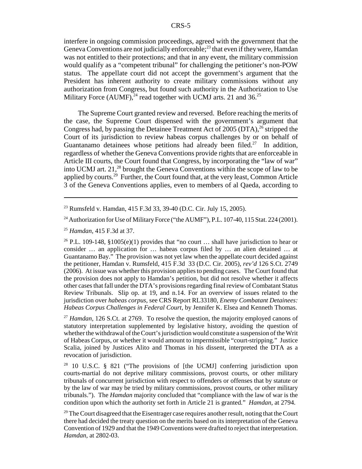interfere in ongoing commission proceedings, agreed with the government that the Geneva Conventions are not judicially enforceable;<sup>23</sup> that even if they were, Hamdan was not entitled to their protections; and that in any event, the military commission would qualify as a "competent tribunal" for challenging the petitioner's non-POW status. The appellate court did not accept the government's argument that the President has inherent authority to create military commissions without any authorization from Congress, but found such authority in the Authorization to Use Military Force (AUMF),  $^{24}$  read together with UCMJ arts. 21 and 36.<sup>25</sup>

The Supreme Court granted review and reversed. Before reaching the merits of the case, the Supreme Court dispensed with the government's argument that Congress had, by passing the Detainee Treatment Act of 2005 (DTA),  $^{26}$  stripped the Court of its jurisdiction to review habeas corpus challenges by or on behalf of Guantanamo detainees whose petitions had already been filed.<sup>27</sup> In addition, regardless of whether the Geneva Conventions provide rights that are enforceable in Article III courts, the Court found that Congress, by incorporating the "law of war" into UCMJ art. 21,28 brought the Geneva Conventions within the scope of law to be applied by courts.<sup>29</sup> Further, the Court found that, at the very least, Common Article 3 of the Geneva Conventions applies, even to members of al Qaeda, according to

<sup>26</sup> P.L. 109-148, §1005(e)(1) provides that "no court ... shall have jurisdiction to hear or consider … an application for … habeas corpus filed by … an alien detained … at Guantanamo Bay." The provision was not yet law when the appellate court decided against the petitioner, Hamdan v. Rumsfeld, 415 F.3d 33 (D.C. Cir. 2005), *rev'd* 126 S.Ct. 2749 (2006). At issue was whether this provision applies to pending cases. The Court found that the provision does not apply to Hamdan's petition, but did not resolve whether it affects other cases that fall under the DTA's provisions regarding final review of Combatant Status Review Tribunals. Slip op. at 19, and n.14. For an overview of issues related to the jurisdiction over *habeas corpus*, see CRS Report RL33180, *Enemy Combatant Detainees: Habeas Corpus Challenges in Federal Court*, by Jennifer K. Elsea and Kenneth Thomas.

<sup>27</sup> *Hamdan,* 126 S.Ct. at 2769. To resolve the question, the majority employed canons of statutory interpretation supplemented by legislative history, avoiding the question of whether the withdrawal of the Court's jurisdiction would constitute a suspension of the Writ of Habeas Corpus, or whether it would amount to impermissible "court-stripping." Justice Scalia, joined by Justices Alito and Thomas in his dissent, interpreted the DTA as a revocation of jurisdiction.

28 10 U.S.C. § 821 ("The provisions of [the UCMJ] conferring jurisdiction upon courts-martial do not deprive military commissions, provost courts, or other military tribunals of concurrent jurisdiction with respect to offenders or offenses that by statute or by the law of war may be tried by military commissions, provost courts, or other military tribunals."). The *Hamdan* majority concluded that "compliance with the law of war is the condition upon which the authority set forth in Article 21 is granted." *Hamdan*, at 2794.

 $29$  The Court disagreed that the Eisentrager case requires another result, noting that the Court there had decided the treaty question on the merits based on its interpretation of the Geneva Convention of 1929 and that the 1949 Conventions were drafted to reject that interpretation. *Hamdan*, at 2802-03.

<sup>23</sup> Rumsfeld v. Hamdan, 415 F.3d 33, 39-40 (D.C. Cir. July 15, 2005).

<sup>&</sup>lt;sup>24</sup> Authorization for Use of Military Force ("the AUMF"), P.L. 107-40, 115 Stat. 224 (2001).

<sup>25</sup> *Hamdan*, 415 F.3d at 37.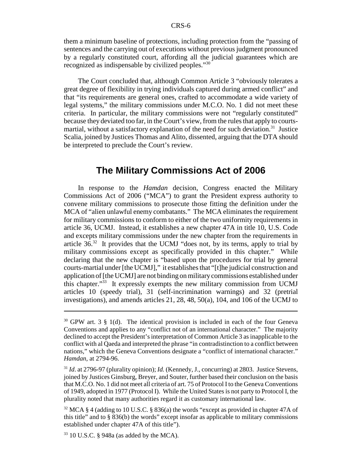them a minimum baseline of protections, including protection from the "passing of sentences and the carrying out of executions without previous judgment pronounced by a regularly constituted court, affording all the judicial guarantees which are recognized as indispensable by civilized peoples."30

The Court concluded that, although Common Article 3 "obviously tolerates a great degree of flexibility in trying individuals captured during armed conflict" and that "its requirements are general ones, crafted to accommodate a wide variety of legal systems," the military commissions under M.C.O. No. 1 did not meet these criteria. In particular, the military commissions were not "regularly constituted" because they deviated too far, in the Court's view, from the rules that apply to courtsmartial, without a satisfactory explanation of the need for such deviation.<sup>31</sup> Justice Scalia, joined by Justices Thomas and Alito, dissented, arguing that the DTA should be interpreted to preclude the Court's review.

## **The Military Commissions Act of 2006**

In response to the *Hamdan* decision, Congress enacted the Military Commissions Act of 2006 ("MCA") to grant the President express authority to convene military commissions to prosecute those fitting the definition under the MCA of "alien unlawful enemy combatants." The MCA eliminates the requirement for military commissions to conform to either of the two uniformity requirements in article 36, UCMJ. Instead, it establishes a new chapter 47A in title 10, U.S. Code and excepts military commissions under the new chapter from the requirements in article  $36<sup>32</sup>$  It provides that the UCMJ "does not, by its terms, apply to trial by military commissions except as specifically provided in this chapter." While declaring that the new chapter is "based upon the procedures for trial by general courts-martial under [the UCMJ]," it establishes that "[t]he judicial construction and application of [the UCMJ] are not binding on military commissions established under this chapter."33 It expressly exempts the new military commission from UCMJ articles 10 (speedy trial), 31 (self-incrimination warnings) and 32 (pretrial investigations), and amends articles 21, 28, 48, 50(a), 104, and 106 of the UCMJ to

 $30$  GPW art. 3 § 1(d). The identical provision is included in each of the four Geneva Conventions and applies to any "conflict not of an international character." The majority declined to accept the President's interpretation of Common Article 3 as inapplicable to the conflict with al Qaeda and interpreted the phrase "in contradistinction to a conflict between nations," which the Geneva Conventions designate a "conflict of international character." *Hamdan*, at 2794-96.

<sup>&</sup>lt;sup>31</sup> *Id.* at 2796-97 (plurality opinion); *Id.* (Kennedy, J., concurring) at 2803. Justice Stevens, joined by Justices Ginsburg, Breyer, and Souter, further based their conclusion on the basis that M.C.O. No. 1 did not meet all criteria of art. 75 of Protocol I to the Geneva Conventions of 1949, adopted in 1977 (Protocol I). While the United States is not party to Protocol I, the plurality noted that many authorities regard it as customary international law.

<sup>&</sup>lt;sup>32</sup> MCA § 4 (adding to 10 U.S.C. § 836(a) the words "except as provided in chapter 47A of this title" and to  $\S 836(b)$  the words" except insofar as applicable to military commissions established under chapter 47A of this title").

 $33$  10 U.S.C. § 948a (as added by the MCA).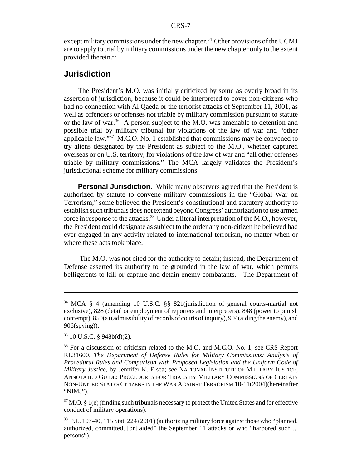except military commissions under the new chapter.<sup>34</sup> Other provisions of the UCMJ are to apply to trial by military commissions under the new chapter only to the extent provided therein.<sup>35</sup>

## **Jurisdiction**

The President's M.O. was initially criticized by some as overly broad in its assertion of jurisdiction, because it could be interpreted to cover non-citizens who had no connection with Al Qaeda or the terrorist attacks of September 11, 2001, as well as offenders or offenses not triable by military commission pursuant to statute or the law of war.<sup>36</sup> A person subject to the M.O. was amenable to detention and possible trial by military tribunal for violations of the law of war and "other applicable law."37 M.C.O. No. 1 established that commissions may be convened to try aliens designated by the President as subject to the M.O., whether captured overseas or on U.S. territory, for violations of the law of war and "all other offenses triable by military commissions." The MCA largely validates the President's jurisdictional scheme for military commissions.

**Personal Jurisdiction.** While many observers agreed that the President is authorized by statute to convene military commissions in the "Global War on Terrorism," some believed the President's constitutional and statutory authority to establish such tribunals does not extend beyond Congress' authorization to use armed force in response to the attacks.<sup>38</sup> Under a literal interpretation of the M.O., however, the President could designate as subject to the order any non-citizen he believed had ever engaged in any activity related to international terrorism, no matter when or where these acts took place.

 The M.O. was not cited for the authority to detain; instead, the Department of Defense asserted its authority to be grounded in the law of war, which permits belligerents to kill or capture and detain enemy combatants. The Department of

<sup>34</sup> MCA § 4 (amending 10 U.S.C. §§ 821(jurisdiction of general courts-martial not exclusive), 828 (detail or employment of reporters and interpreters), 848 (power to punish contempt), 850(a) (admissibility of records of courts of inquiry), 904(aiding the enemy), and 906(spying)).

 $35$  10 U.S.C. § 948b(d)(2).

<sup>&</sup>lt;sup>36</sup> For a discussion of criticism related to the M.O. and M.C.O. No. 1, see CRS Report RL31600, *The Department of Defense Rules for Military Commissions: Analysis of Procedural Rules and Comparison with Proposed Legislation and the Uniform Code of Military Justice*, by Jennifer K. Elsea; *see* NATIONAL INSTITUTE OF MILITARY JUSTICE, ANNOTATED GUIDE: PROCEDURES FOR TRIALS BY MILITARY COMMISSIONS OF CERTAIN NON-UNITED STATES CITIZENS IN THE WAR AGAINST TERRORISM 10-11(2004)(hereinafter "NIMJ").

 $37$  M.O. § 1(e) (finding such tribunals necessary to protect the United States and for effective conduct of military operations).

<sup>38</sup> P.L. 107-40, 115 Stat. 224 (2001) (authorizing military force against those who "planned, authorized, committed, [or] aided" the September 11 attacks or who "harbored such ... persons").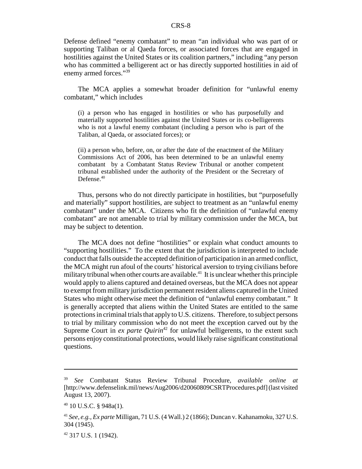Defense defined "enemy combatant" to mean "an individual who was part of or supporting Taliban or al Qaeda forces, or associated forces that are engaged in hostilities against the United States or its coalition partners," including "any person who has committed a belligerent act or has directly supported hostilities in aid of enemy armed forces."<sup>39</sup>

The MCA applies a somewhat broader definition for "unlawful enemy combatant," which includes

(i) a person who has engaged in hostilities or who has purposefully and materially supported hostilities against the United States or its co-belligerents who is not a lawful enemy combatant (including a person who is part of the Taliban, al Qaeda, or associated forces); or

(ii) a person who, before, on, or after the date of the enactment of the Military Commissions Act of 2006, has been determined to be an unlawful enemy combatant by a Combatant Status Review Tribunal or another competent tribunal established under the authority of the President or the Secretary of Defense.<sup>40</sup>

Thus, persons who do not directly participate in hostilities, but "purposefully and materially" support hostilities, are subject to treatment as an "unlawful enemy combatant" under the MCA. Citizens who fit the definition of "unlawful enemy combatant" are not amenable to trial by military commission under the MCA, but may be subject to detention.

The MCA does not define "hostilities" or explain what conduct amounts to "supporting hostilities." To the extent that the jurisdiction is interpreted to include conduct that falls outside the accepted definition of participation in an armed conflict, the MCA might run afoul of the courts' historical aversion to trying civilians before military tribunal when other courts are available.<sup>41</sup> It is unclear whether this principle would apply to aliens captured and detained overseas, but the MCA does not appear to exempt from military jurisdiction permanent resident aliens captured in the United States who might otherwise meet the definition of "unlawful enemy combatant." It is generally accepted that aliens within the United States are entitled to the same protections in criminal trials that apply to U.S. citizens. Therefore, to subject persons to trial by military commission who do not meet the exception carved out by the Supreme Court in *ex parte Quirin*<sup>42</sup> for unlawful belligerents, to the extent such persons enjoy constitutional protections, would likely raise significant constitutional questions.

<sup>39</sup> *See* Combatant Status Review Tribunal Procedure, *available online at* [http://www.defenselink.mil/news/Aug2006/d20060809CSRTProcedures.pdf] (last visited August 13, 2007).

 $40$  10 U.S.C. § 948a(1).

<sup>41</sup> *See, e.g., Ex parte* Milligan, 71 U.S. (4 Wall.) 2 (1866); Duncan v. Kahanamoku, 327 U.S. 304 (1945).

<sup>42 317</sup> U.S. 1 (1942).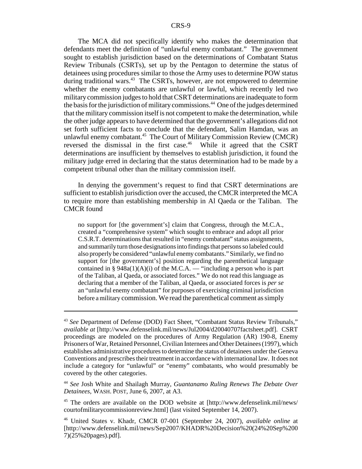The MCA did not specifically identify who makes the determination that defendants meet the definition of "unlawful enemy combatant." The government sought to establish jurisdiction based on the determinations of Combatant Status Review Tribunals (CSRTs), set up by the Pentagon to determine the status of detainees using procedures similar to those the Army uses to determine POW status during traditional wars.<sup>43</sup> The CSRTs, however, are not empowered to determine whether the enemy combatants are unlawful or lawful, which recently led two military commission judges to hold that CSRT determinations are inadequate to form the basis for the jurisdiction of military commissions.44 One of the judges determined that the military commission itself is not competent to make the determination, while the other judge appears to have determined that the government's allegations did not set forth sufficient facts to conclude that the defendant, Salim Hamdan, was an unlawful enemy combatant.<sup>45</sup> The Court of Military Commission Review (CMCR) reversed the dismissal in the first case.<sup>46</sup> While it agreed that the CSRT determinations are insufficient by themselves to establish jurisdiction, it found the military judge erred in declaring that the status determination had to be made by a competent tribunal other than the military commission itself.

In denying the government's request to find that CSRT determinations are sufficient to establish jurisdiction over the accused, the CMCR interpreted the MCA to require more than establishing membership in Al Qaeda or the Taliban. The CMCR found

no support for [the government's] claim that Congress, through the M.C.A., created a "comprehensive system" which sought to embrace and adopt all prior C.S.R.T. determinations that resulted in "enemy combatant" status assignments, and summarily turn those designations into findings that persons so labeled could also properly be considered "unlawful enemy combatants." Similarly, we find no support for [the government's] position regarding the parenthetical language contained in § 948a(1)(A)(i) of the M.C.A. — "including a person who is part of the Taliban, al Qaeda, or associated forces." We do not read this language as declaring that a member of the Taliban, al Qaeda, or associated forces is *per se* an "unlawful enemy combatant" for purposes of exercising criminal jurisdiction before a military commission. We read the parenthetical comment as simply

<sup>43</sup> *See* Department of Defense (DOD) Fact Sheet, "Combatant Status Review Tribunals," *available at* [http://www.defenselink.mil/news/Jul2004/d20040707factsheet.pdf]. CSRT proceedings are modeled on the procedures of Army Regulation (AR) 190-8, Enemy Prisoners of War, Retained Personnel, Civilian Internees and Other Detainees (1997), which establishes administrative procedures to determine the status of detainees under the Geneva Conventions and prescribes their treatment in accordance with international law. It does not include a category for "unlawful" or "enemy" combatants, who would presumably be covered by the other categories.

<sup>44</sup> *See* Josh White and Shailagh Murray, *Guantanamo Ruling Renews The Debate Over Detainees*, WASH. POST, June 6, 2007, at A3.

<sup>45</sup> The orders are available on the DOD website at [http://www.defenselink.mil/news/ courtofmilitarycommissionreview.html] (last visited September 14, 2007).

<sup>46</sup> United States v. Khadr, CMCR 07-001 (September 24, 2007), *available online* at [http://www.defenselink.mil/news/Sep2007/KHADR%20Decision%20(24%20Sep%200 7)(25%20pages).pdf].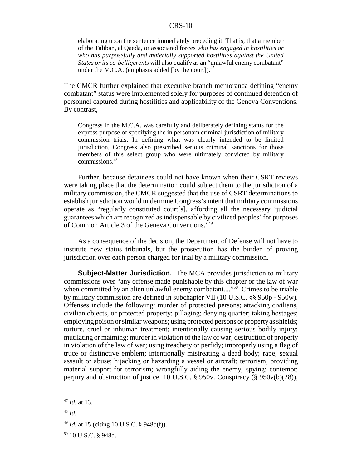elaborating upon the sentence immediately preceding it. That is, that a member of the Taliban, al Qaeda, or associated forces *who has engaged in hostilities or who has purposefully and materially supported hostilities against the United States or its co-belligerents* will also qualify as an "unlawful enemy combatant" under the M.C.A. (emphasis added [by the court]). $^{47}$ 

The CMCR further explained that executive branch memoranda defining "enemy combatant" status were implemented solely for purposes of continued detention of personnel captured during hostilities and applicability of the Geneva Conventions. By contrast,

Congress in the M.C.A. was carefully and deliberately defining status for the express purpose of specifying the in personam criminal jurisdiction of military commission trials. In defining what was clearly intended to be limited jurisdiction, Congress also prescribed serious criminal sanctions for those members of this select group who were ultimately convicted by military commissions.48

Further, because detainees could not have known when their CSRT reviews were taking place that the determination could subject them to the jurisdiction of a military commission, the CMCR suggested that the use of CSRT determinations to establish jurisdiction would undermine Congress's intent that military commissions operate as "regularly constituted court[s], affording all the necessary 'judicial guarantees which are recognized as indispensable by civilized peoples' for purposes of Common Article 3 of the Geneva Conventions."49

As a consequence of the decision, the Department of Defense will not have to institute new status tribunals, but the prosecution has the burden of proving jurisdiction over each person charged for trial by a military commission.

**Subject-Matter Jurisdiction.** The MCA provides jurisdiction to military commissions over "any offense made punishable by this chapter or the law of war when committed by an alien unlawful enemy combatant...." $50$  Crimes to be triable by military commission are defined in subchapter VII (10 U.S.C. §§ 950p - 950w). Offenses include the following: murder of protected persons; attacking civilians, civilian objects, or protected property; pillaging; denying quarter; taking hostages; employing poison or similar weapons; using protected persons or property as shields; torture, cruel or inhuman treatment; intentionally causing serious bodily injury; mutilating or maiming; murder in violation of the law of war; destruction of property in violation of the law of war; using treachery or perfidy; improperly using a flag of truce or distinctive emblem; intentionally mistreating a dead body; rape; sexual assault or abuse; hijacking or hazarding a vessel or aircraft; terrorism; providing material support for terrorism; wrongfully aiding the enemy; spying; contempt; perjury and obstruction of justice. 10 U.S.C. § 950v. Conspiracy (§ 950v(b)(28)),

<sup>47</sup> *Id*. at 13.

<sup>48</sup> *Id*.

<sup>49</sup> *Id*. at 15 (citing 10 U.S.C. § 948b(f)).

<sup>50 10</sup> U.S.C. § 948d.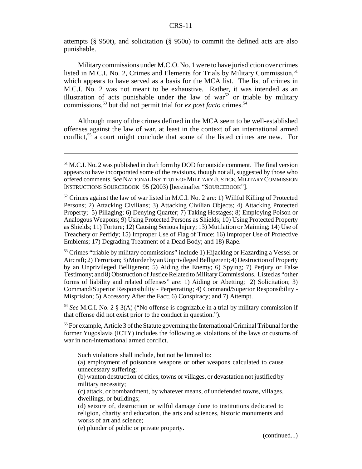attempts (§ 950t), and solicitation (§ 950u) to commit the defined acts are also punishable.

Military commissions under M.C.O. No. 1 were to have jurisdiction over crimes listed in M.C.I. No. 2, Crimes and Elements for Trials by Military Commission,  $51$ which appears to have served as a basis for the MCA list. The list of crimes in M.C.I. No. 2 was not meant to be exhaustive. Rather, it was intended as an illustration of acts punishable under the law of war<sup>52</sup> or triable by military commissions,<sup>53</sup> but did not permit trial for *ex post facto* crimes.<sup>54</sup>

Although many of the crimes defined in the MCA seem to be well-established offenses against the law of war, at least in the context of an international armed conflict,<sup>55</sup> a court might conclude that some of the listed crimes are new. For

<sup>53</sup> Crimes "triable by military commissions" include 1) Hijacking or Hazarding a Vessel or Aircraft; 2) Terrorism; 3) Murder by an Unprivileged Belligerent; 4) Destruction of Property by an Unprivileged Belligerent; 5) Aiding the Enemy; 6) Spying; 7) Perjury or False Testimony; and 8) Obstruction of Justice Related to Military Commissions. Listed as "other forms of liability and related offenses" are: 1) Aiding or Abetting; 2) Solicitation; 3) Command/Superior Responsibility - Perpetrating; 4) Command/Superior Responsibility - Misprision; 5) Accessory After the Fact; 6) Conspiracy; and 7) Attempt.

<sup>54</sup> *See* M.C.I. No. 2 § 3(A) ("No offense is cognizable in a trial by military commission if that offense did not exist prior to the conduct in question.").

<sup>55</sup> For example, Article 3 of the Statute governing the International Criminal Tribunal for the former Yugoslavia (ICTY) includes the following as violations of the laws or customs of war in non-international armed conflict.

Such violations shall include, but not be limited to:

(a) employment of poisonous weapons or other weapons calculated to cause unnecessary suffering;

(b) wanton destruction of cities, towns or villages, or devastation not justified by military necessity;

(c) attack, or bombardment, by whatever means, of undefended towns, villages, dwellings, or buildings;

(d) seizure of, destruction or wilful damage done to institutions dedicated to religion, charity and education, the arts and sciences, historic monuments and works of art and science;

(e) plunder of public or private property.

(continued...)

 $<sup>51</sup>$  M.C.I. No. 2 was published in draft form by DOD for outside comment. The final version</sup> appears to have incorporated some of the revisions, though not all, suggested by those who offered comments. *See* NATIONAL INSTITUTE OF MILITARY JUSTICE,MILITARY COMMISSION INSTRUCTIONS SOURCEBOOK 95 (2003) [hereinafter "SOURCEBOOK"].

 $52$  Crimes against the law of war listed in M.C.I. No. 2 are: 1) Willful Killing of Protected Persons; 2) Attacking Civilians; 3) Attacking Civilian Objects; 4) Attacking Protected Property; 5) Pillaging; 6) Denying Quarter; 7) Taking Hostages; 8) Employing Poison or Analogous Weapons; 9) Using Protected Persons as Shields; 10) Using Protected Property as Shields; 11) Torture; 12) Causing Serious Injury; 13) Mutilation or Maiming; 14) Use of Treachery or Perfidy; 15) Improper Use of Flag of Truce; 16) Improper Use of Protective Emblems; 17) Degrading Treatment of a Dead Body; and 18) Rape.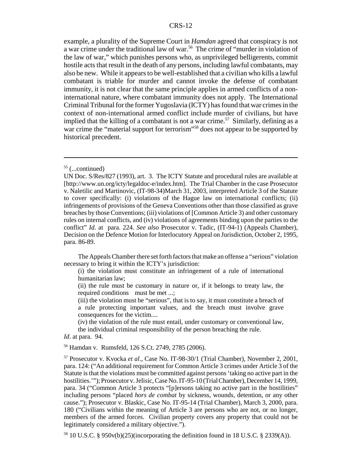example, a plurality of the Supreme Court in *Hamdan* agreed that conspiracy is not a war crime under the traditional law of war.<sup>56</sup> The crime of "murder in violation of the law of war," which punishes persons who, as unprivileged belligerents, commit hostile acts that result in the death of any persons, including lawful combatants, may also be new. While it appears to be well-established that a civilian who kills a lawful combatant is triable for murder and cannot invoke the defense of combatant immunity, it is not clear that the same principle applies in armed conflicts of a noninternational nature, where combatant immunity does not apply. The International Criminal Tribunal for the former Yugoslavia (ICTY) has found that war crimes in the context of non-international armed conflict include murder of civilians, but have implied that the killing of a combatant is not a war crime.<sup>57</sup> Similarly, defining as a war crime the "material support for terrorism"<sup>58</sup> does not appear to be supported by historical precedent.

The Appeals Chamber there set forth factors that make an offense a "serious" violation necessary to bring it within the ICTY's jurisdiction:

(i) the violation must constitute an infringement of a rule of international humanitarian law;

(ii) the rule must be customary in nature or, if it belongs to treaty law, the required conditions must be met ...;

(iii) the violation must be "serious", that is to say, it must constitute a breach of a rule protecting important values, and the breach must involve grave consequences for the victim....

(iv) the violation of the rule must entail, under customary or conventional law, the individual criminal responsibility of the person breaching the rule.

*Id*. at para. 94.

56 Hamdan v. Rumsfeld, 126 S.Ct. 2749, 2785 (2006).

 $55$  (...continued)

UN Doc. S/Res/827 (1993), art. 3. The ICTY Statute and procedural rules are available at [http://www.un.org/icty/legaldoc-e/index.htm]. The Trial Chamber in the case Prosecutor v. Naletilic and Martinovic, (IT-98-34)March 31, 2003, interpreted Article 3 of the Statute to cover specifically: (i) violations of the Hague law on international conflicts; (ii) infringements of provisions of the Geneva Conventions other than those classified as grave breaches by those Conventions; (iii) violations of [Common Article 3) and other customary rules on internal conflicts, and (iv) violations of agreements binding upon the parties to the conflict" *Id*. at para. 224. *See also* Prosecutor v. Tadic, (IT-94-1) (Appeals Chamber), Decision on the Defence Motion for Interlocutory Appeal on Jurisdiction, October 2, 1995, para. 86-89.

<sup>57</sup> Prosecutor v. Kvocka *et al*., Case No. IT-98-30/1 (Trial Chamber), November 2, 2001, para. 124: ("An additional requirement for Common Article 3 crimes under Article 3 of the Statute is that the violations must be committed against persons 'taking no active part in the hostilities.'"); Prosecutor v. Jelisic, Case No. IT-95-10 (Trial Chamber), December 14, 1999, para. 34 ("Common Article 3 protects "[p]ersons taking no active part in the hostilities" including persons "placed *hors de combat* by sickness, wounds, detention, or any other cause."); Prosecutor v. Blaskic, Case No. IT-95-14 (Trial Chamber), March 3, 2000, para. 180 ("Civilians within the meaning of Article 3 are persons who are not, or no longer, members of the armed forces. Civilian property covers any property that could not be legitimately considered a military objective.").

<sup>&</sup>lt;sup>58</sup> 10 U.S.C. § 950 $v(b)(25)$ (incorporating the definition found in 18 U.S.C. § 2339(A)).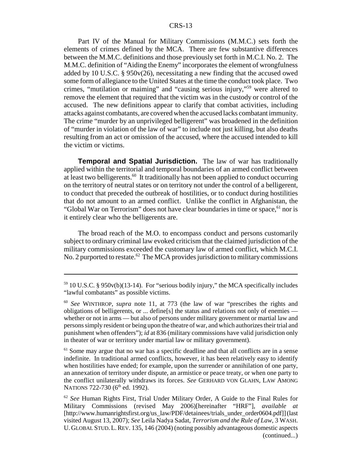Part IV of the Manual for Military Commissions (M.M.C.) sets forth the elements of crimes defined by the MCA. There are few substantive differences between the M.M.C. definitions and those previously set forth in M.C.I. No. 2. The M.M.C. definition of "Aiding the Enemy" incorporates the element of wrongfulness added by 10 U.S.C. § 950v(26), necessitating a new finding that the accused owed some form of allegiance to the United States at the time the conduct took place. Two crimes, "mutilation or maiming" and "causing serious injury,"59 were altered to remove the element that required that the victim was in the custody or control of the accused. The new definitions appear to clarify that combat activities, including attacks against combatants, are covered when the accused lacks combatant immunity. The crime "murder by an unprivileged belligerent" was broadened in the definition of "murder in violation of the law of war" to include not just killing, but also deaths resulting from an act or omission of the accused, where the accused intended to kill the victim or victims.

**Temporal and Spatial Jurisdiction.** The law of war has traditionally applied within the territorial and temporal boundaries of an armed conflict between at least two belligerents.<sup>60</sup> It traditionally has not been applied to conduct occurring on the territory of neutral states or on territory not under the control of a belligerent, to conduct that preceded the outbreak of hostilities, or to conduct during hostilities that do not amount to an armed conflict. Unlike the conflict in Afghanistan, the "Global War on Terrorism" does not have clear boundaries in time or space,<sup>61</sup> nor is it entirely clear who the belligerents are.

The broad reach of the M.O. to encompass conduct and persons customarily subject to ordinary criminal law evoked criticism that the claimed jurisdiction of the military commissions exceeded the customary law of armed conflict, which M.C.I. No. 2 purported to restate.<sup>62</sup> The MCA provides jurisdiction to military commissions

 $59$  10 U.S.C. § 950 $v(b)(13-14)$ . For "serious bodily injury," the MCA specifically includes "lawful combatants" as possible victims.

<sup>60</sup> *See* WINTHROP, *supra* note 11, at 773 (the law of war "prescribes the rights and obligations of belligerents, or ... define[s] the status and relations not only of enemies whether or not in arms — but also of persons under military government or martial law and persons simply resident or being upon the theatre of war, and which authorizes their trial and punishment when offenders"); *id* at 836 (military commissions have valid jurisdiction only in theater of war or territory under martial law or military government).

 $<sup>61</sup>$  Some may argue that no war has a specific deadline and that all conflicts are in a sense</sup> indefinite. In traditional armed conflicts, however, it has been relatively easy to identify when hostilities have ended; for example, upon the surrender or annihilation of one party, an annexation of territory under dispute, an armistice or peace treaty, or when one party to the conflict unilaterally withdraws its forces. *See* GERHARD VON GLAHN, LAW AMONG NATIONS 722-730 (6<sup>th</sup> ed. 1992).

<sup>62</sup> *See* Human Rights First, Trial Under Military Order, A Guide to the Final Rules for Military Commissions (revised May 2006)[hereinafter "HRF"], *available at* [http://www.humanrightsfirst.org/us\_law/PDF/detainees/trials\_under\_order0604.pdf]] (last visited August 13, 2007); *See* Leila Nadya Sadat, *Terrorism and the Rule of Law*, 3 WASH. U. GLOBAL STUD.L.REV. 135, 146 (2004) (noting possibly advantageous domestic aspects (continued...)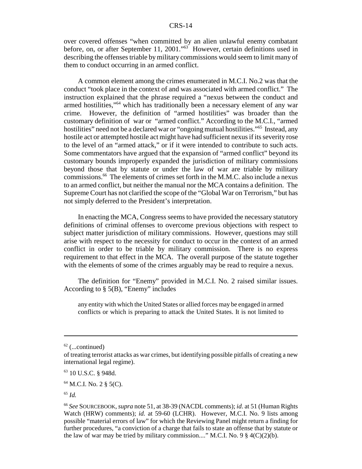over covered offenses "when committed by an alien unlawful enemy combatant before, on, or after September 11, 2001."<sup>63</sup> However, certain definitions used in describing the offenses triable by military commissions would seem to limit many of them to conduct occurring in an armed conflict.

A common element among the crimes enumerated in M.C.I. No.2 was that the conduct "took place in the context of and was associated with armed conflict." The instruction explained that the phrase required a "nexus between the conduct and armed hostilities,"<sup>64</sup> which has traditionally been a necessary element of any war crime. However, the definition of "armed hostilities" was broader than the customary definition of war or "armed conflict." According to the M.C.I., "armed hostilities" need not be a declared war or "ongoing mutual hostilities."<sup>65</sup> Instead, any hostile act or attempted hostile act might have had sufficient nexus if its severity rose to the level of an "armed attack," or if it were intended to contribute to such acts. Some commentators have argued that the expansion of "armed conflict" beyond its customary bounds improperly expanded the jurisdiction of military commissions beyond those that by statute or under the law of war are triable by military commissions.66 The elements of crimes set forth in the M.M.C. also include a nexus to an armed conflict, but neither the manual nor the MCA contains a definition. The Supreme Court has not clarified the scope of the "Global War on Terrorism," but has not simply deferred to the President's interpretation.

In enacting the MCA, Congress seems to have provided the necessary statutory definitions of criminal offenses to overcome previous objections with respect to subject matter jurisdiction of military commissions. However, questions may still arise with respect to the necessity for conduct to occur in the context of an armed conflict in order to be triable by military commission. There is no express requirement to that effect in the MCA. The overall purpose of the statute together with the elements of some of the crimes arguably may be read to require a nexus.

The definition for "Enemy" provided in M.C.I. No. 2 raised similar issues. According to § 5(B), "Enemy" includes

any entity with which the United States or allied forces may be engaged in armed conflicts or which is preparing to attack the United States. It is not limited to

 $62$  (...continued)

of treating terrorist attacks as war crimes, but identifying possible pitfalls of creating a new international legal regime).

<sup>63 10</sup> U.S.C. § 948d.

 $64$  M.C.I. No. 2 § 5(C).

<sup>65</sup> *Id.*

<sup>66</sup> *See* SOURCEBOOK, *supra* note 51, at 38-39 (NACDL comments); *id*. at 51 (Human Rights Watch (HRW) comments); *id.* at 59-60 (LCHR). However, M.C.I. No. 9 lists among possible "material errors of law" for which the Reviewing Panel might return a finding for further procedures, "a conviction of a charge that fails to state an offense that by statute or the law of war may be tried by military commission...." M.C.I. No. 9  $\S$  4(C)(2)(b).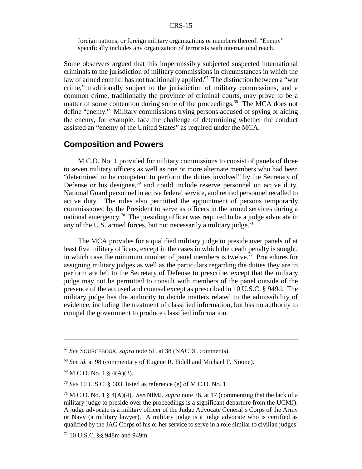foreign nations, or foreign military organizations or members thereof. "Enemy" specifically includes any organization of terrorists with international reach.

Some observers argued that this impermissibly subjected suspected international criminals to the jurisdiction of military commissions in circumstances in which the law of armed conflict has not traditionally applied.<sup>67</sup> The distinction between a "war crime," traditionally subject to the jurisdiction of military commissions, and a common crime, traditionally the province of criminal courts, may prove to be a matter of some contention during some of the proceedings.<sup>68</sup> The MCA does not define "enemy." Military commissions trying persons accused of spying or aiding the enemy, for example, face the challenge of determining whether the conduct assisted an "enemy of the United States" as required under the MCA.

## **Composition and Powers**

M.C.O. No. 1 provided for military commissions to consist of panels of three to seven military officers as well as one or more alternate members who had been "determined to be competent to perform the duties involved" by the Secretary of Defense or his designee, $69$  and could include reserve personnel on active duty, National Guard personnel in active federal service, and retired personnel recalled to active duty. The rules also permitted the appointment of persons temporarily commissioned by the President to serve as officers in the armed services during a national emergency.<sup>70</sup> The presiding officer was required to be a judge advocate in any of the U.S. armed forces, but not necessarily a military judge. $71$ 

The MCA provides for a qualified military judge to preside over panels of at least five military officers, except in the cases in which the death penalty is sought, in which case the minimum number of panel members is twelve.<sup>72</sup> Procedures for assigning military judges as well as the particulars regarding the duties they are to perform are left to the Secretary of Defense to prescribe, except that the military judge may not be permitted to consult with members of the panel outside of the presence of the accused and counsel except as prescribed in 10 U.S.C. § 949d. The military judge has the authority to decide matters related to the admissibility of evidence, including the treatment of classified information, but has no authority to compel the government to produce classified information.

<sup>67</sup> *See* SOURCEBOOK, *supra* note 51, at 38 (NACDL comments).

<sup>68</sup> *See id.* at 98 (commentary of Eugene R. Fidell and Michael F. Noone).

 $69$  M.C.O. No. 1 § 4(A)(3).

<sup>70</sup> *See* 10 U.S.C. § 603, listed as reference (e) of M.C.O. No. 1.

<sup>71</sup> M.C.O. No. 1 § 4(A)(4). *See* NIMJ, *supra* note 36, at 17 (commenting that the lack of a military judge to preside over the proceedings is a significant departure from the UCMJ). A judge advocate is a military officer of the Judge Advocate General's Corps of the Army or Navy (a military lawyer). A military judge is a judge advocate who is certified as qualified by the JAG Corps of his or her service to serve in a role similar to civilian judges.

<sup>72 10</sup> U.S.C. §§ 948m and 949m.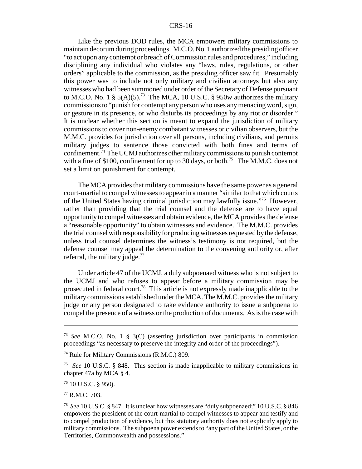Like the previous DOD rules, the MCA empowers military commissions to maintain decorum during proceedings. M.C.O. No. 1 authorized the presiding officer "to act upon any contempt or breach of Commission rules and procedures," including disciplining any individual who violates any "laws, rules, regulations, or other orders" applicable to the commission, as the presiding officer saw fit. Presumably this power was to include not only military and civilian attorneys but also any witnesses who had been summoned under order of the Secretary of Defense pursuant to M.C.O. No. 1 §  $5(A)(5)^{73}$  The MCA, 10 U.S.C. § 950w authorizes the military commissions to "punish for contempt any person who uses any menacing word, sign, or gesture in its presence, or who disturbs its proceedings by any riot or disorder." It is unclear whether this section is meant to expand the jurisdiction of military commissions to cover non-enemy combatant witnesses or civilian observers, but the M.M.C. provides for jurisdiction over all persons, including civilians, and permits military judges to sentence those convicted with both fines and terms of confinement.74 The UCMJ authorizes other military commissions to punish contempt with a fine of \$100, confinement for up to 30 days, or both.<sup>75</sup> The M.M.C. does not set a limit on punishment for contempt.

The MCA provides that military commissions have the same power as a general court-martial to compel witnesses to appear in a manner "similar to that which courts of the United States having criminal jurisdiction may lawfully issue."76 However, rather than providing that the trial counsel and the defense are to have equal opportunity to compel witnesses and obtain evidence, the MCA provides the defense a "reasonable opportunity" to obtain witnesses and evidence. The M.M.C. provides the trial counsel with responsibility for producing witnesses requested by the defense, unless trial counsel determines the witness's testimony is not required, but the defense counsel may appeal the determination to the convening authority or, after referral, the military judge. $^{77}$ 

Under article 47 of the UCMJ, a duly subpoenaed witness who is not subject to the UCMJ and who refuses to appear before a military commission may be prosecuted in federal court.78 This article is not expressly made inapplicable to the military commissions established under the MCA. The M.M.C. provides the military judge or any person designated to take evidence authority to issue a subpoena to compel the presence of a witness or the production of documents. As is the case with

76 10 U.S.C. § 950j.

77 R.M.C. 703.

<sup>73</sup> *See* M.C.O. No. 1 § 3(C) (asserting jurisdiction over participants in commission proceedings "as necessary to preserve the integrity and order of the proceedings").

<sup>74</sup> Rule for Military Commissions (R.M.C.) 809.

<sup>75</sup> *See* 10 U.S.C. § 848. This section is made inapplicable to military commissions in chapter 47a by MCA § 4.

<sup>78</sup> *See* 10 U.S.C. § 847. It is unclear how witnesses are "duly subpoenaed;" 10 U.S.C. § 846 empowers the president of the court-martial to compel witnesses to appear and testify and to compel production of evidence, but this statutory authority does not explicitly apply to military commissions. The subpoena power extends to "any part of the United States, or the Territories, Commonwealth and possessions."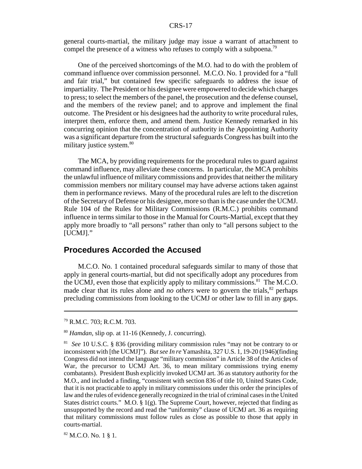general courts-martial, the military judge may issue a warrant of attachment to compel the presence of a witness who refuses to comply with a subpoena.<sup>79</sup>

One of the perceived shortcomings of the M.O. had to do with the problem of command influence over commission personnel. M.C.O. No. 1 provided for a "full and fair trial," but contained few specific safeguards to address the issue of impartiality. The President or his designee were empowered to decide which charges to press; to select the members of the panel, the prosecution and the defense counsel, and the members of the review panel; and to approve and implement the final outcome. The President or his designees had the authority to write procedural rules, interpret them, enforce them, and amend them. Justice Kennedy remarked in his concurring opinion that the concentration of authority in the Appointing Authority was a significant departure from the structural safeguards Congress has built into the military justice system.<sup>80</sup>

The MCA, by providing requirements for the procedural rules to guard against command influence, may alleviate these concerns. In particular, the MCA prohibits the unlawful influence of military commissions and provides that neither the military commission members nor military counsel may have adverse actions taken against them in performance reviews. Many of the procedural rules are left to the discretion of the Secretary of Defense or his designee, more so than is the case under the UCMJ. Rule 104 of the Rules for Military Commissions (R.M.C.) prohibits command influence in terms similar to those in the Manual for Courts-Martial, except that they apply more broadly to "all persons" rather than only to "all persons subject to the [UCMJ]."

## **Procedures Accorded the Accused**

M.C.O. No. 1 contained procedural safeguards similar to many of those that apply in general courts-martial, but did not specifically adopt any procedures from the UCMJ, even those that explicitly apply to military commissions.<sup>81</sup> The M.C.O. made clear that its rules alone and *no others* were to govern the trials, $82$  perhaps precluding commissions from looking to the UCMJ or other law to fill in any gaps.

<sup>79</sup> R.M.C. 703; R.C.M. 703.

<sup>80</sup> *Hamdan*, slip op. at 11-16 (Kennedy, J. concurring).

<sup>81</sup> *See* 10 U.S.C. § 836 (providing military commission rules "may not be contrary to or inconsistent with [the UCMJ]"). *But see In re* Yamashita, 327 U.S. 1, 19-20 (1946)(finding Congress did not intend the language "military commission" in Article 38 of the Articles of War, the precursor to UCMJ Art. 36, to mean military commissions trying enemy combatants). President Bush explicitly invoked UCMJ art. 36 as statutory authority for the M.O., and included a finding, "consistent with section 836 of title 10, United States Code, that it is not practicable to apply in military commissions under this order the principles of law and the rules of evidence generally recognized in the trial of criminal cases in the United States district courts." M.O. § 1(g). The Supreme Court, however, rejected that finding as unsupported by the record and read the "uniformity" clause of UCMJ art. 36 as requiring that military commissions must follow rules as close as possible to those that apply in courts-martial.

 $82$  M.C.O. No. 1 § 1.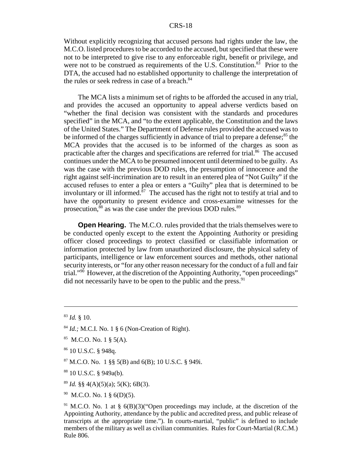Without explicitly recognizing that accused persons had rights under the law, the M.C.O. listed procedures to be accorded to the accused, but specified that these were not to be interpreted to give rise to any enforceable right, benefit or privilege, and were not to be construed as requirements of the U.S. Constitution. $83$  Prior to the DTA, the accused had no established opportunity to challenge the interpretation of the rules or seek redress in case of a breach. $84$ 

The MCA lists a minimum set of rights to be afforded the accused in any trial, and provides the accused an opportunity to appeal adverse verdicts based on "whether the final decision was consistent with the standards and procedures specified" in the MCA, and "to the extent applicable, the Constitution and the laws of the United States." The Department of Defense rules provided the accused was to be informed of the charges sufficiently in advance of trial to prepare a defense;<sup>85</sup> the MCA provides that the accused is to be informed of the charges as soon as practicable after the charges and specifications are referred for trial.<sup>86</sup> The accused continues under the MCA to be presumed innocent until determined to be guilty. As was the case with the previous DOD rules, the presumption of innocence and the right against self-incrimination are to result in an entered plea of "Not Guilty" if the accused refuses to enter a plea or enters a "Guilty" plea that is determined to be involuntary or ill informed. $\frac{87}{10}$  The accused has the right not to testify at trial and to have the opportunity to present evidence and cross-examine witnesses for the prosecution, $88$  as was the case under the previous DOD rules. $89$ 

**Open Hearing.** The M.C.O. rules provided that the trials themselves were to be conducted openly except to the extent the Appointing Authority or presiding officer closed proceedings to protect classified or classifiable information or information protected by law from unauthorized disclosure, the physical safety of participants, intelligence or law enforcement sources and methods, other national security interests, or "for any other reason necessary for the conduct of a full and fair trial."90 However, at the discretion of the Appointing Authority, "open proceedings" did not necessarily have to be open to the public and the press.  $91$ 

- $89$  *Id.* §§ 4(A)(5)(a); 5(K); 6B(3).
- $90$  M.C.O. No. 1 § 6(D)(5).

<sup>83</sup> *Id.* § 10.

<sup>84</sup> *Id.;* M.C.I. No. 1 § 6 (Non-Creation of Right).

 $85$  M.C.O. No. 1  $\S$  5(A).

<sup>86 10</sup> U.S.C. § 948q.

 $87$  M.C.O. No. 1 §§ 5(B) and 6(B); 10 U.S.C. § 949i.

<sup>88 10</sup> U.S.C. § 949a(b).

<sup>&</sup>lt;sup>91</sup> M.C.O. No. 1 at §  $6(B)(3)$  ("Open proceedings may include, at the discretion of the Appointing Authority, attendance by the public and accredited press, and public release of transcripts at the appropriate time."). In courts-martial, "public" is defined to include members of the military as well as civilian communities. Rules for Court-Martial (R.C.M.) Rule 806.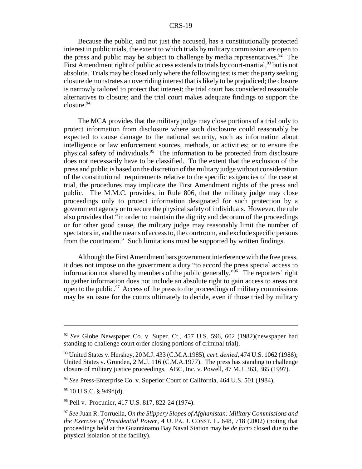Because the public, and not just the accused, has a constitutionally protected interest in public trials, the extent to which trials by military commission are open to the press and public may be subject to challenge by media representatives.<sup>92</sup> The First Amendment right of public access extends to trials by court-martial,  $93$  but is not absolute. Trials may be closed only where the following test is met: the party seeking closure demonstrates an overriding interest that is likely to be prejudiced; the closure is narrowly tailored to protect that interest; the trial court has considered reasonable alternatives to closure; and the trial court makes adequate findings to support the closure.<sup>94</sup>

The MCA provides that the military judge may close portions of a trial only to protect information from disclosure where such disclosure could reasonably be expected to cause damage to the national security, such as information about intelligence or law enforcement sources, methods, or activities; or to ensure the physical safety of individuals.<sup>95</sup> The information to be protected from disclosure does not necessarily have to be classified. To the extent that the exclusion of the press and public is based on the discretion of the military judge without consideration of the constitutional requirements relative to the specific exigencies of the case at trial, the procedures may implicate the First Amendment rights of the press and public. The M.M.C. provides, in Rule 806, that the military judge may close proceedings only to protect information designated for such protection by a government agency or to secure the physical safety of individuals. However, the rule also provides that "in order to maintain the dignity and decorum of the proceedings or for other good cause, the military judge may reasonably limit the number of spectators in, and the means of access to, the courtroom, and exclude specific persons from the courtroom." Such limitations must be supported by written findings.

Although the First Amendment bars government interference with the free press, it does not impose on the government a duty "to accord the press special access to information not shared by members of the public generally.<sup> $\frac{96}{96}$ </sup> The reporters' right to gather information does not include an absolute right to gain access to areas not open to the public.<sup>97</sup> Access of the press to the proceedings of military commissions may be an issue for the courts ultimately to decide, even if those tried by military

<sup>92</sup> *See* Globe Newspaper Co. v. Super. Ct., 457 U.S. 596, 602 (1982)(newspaper had standing to challenge court order closing portions of criminal trial).

<sup>93</sup> United States v. Hershey, 20 M.J. 433 (C.M.A.1985), *cert. denied*, 474 U.S. 1062 (1986); United States v. Grunden, 2 M.J. 116 (C.M.A.1977). The press has standing to challenge closure of military justice proceedings. ABC, Inc. v. Powell, 47 M.J. 363, 365 (1997).

<sup>94</sup> *See* Press-Enterprise Co. v. Superior Court of California, 464 U.S. 501 (1984).

<sup>95 10</sup> U.S.C. § 949d(d).

<sup>96</sup> Pell v. Procunier, 417 U.S. 817, 822-24 (1974).

<sup>97</sup> *See* Juan R. Torruella, *On the Slippery Slopes of Afghanistan: Military Commissions and the Exercise of Presidential Power*, 4 U. PA. J. CONST. L. 648, 718 (2002) (noting that proceedings held at the Guantánamo Bay Naval Station may be *de facto* closed due to the physical isolation of the facility).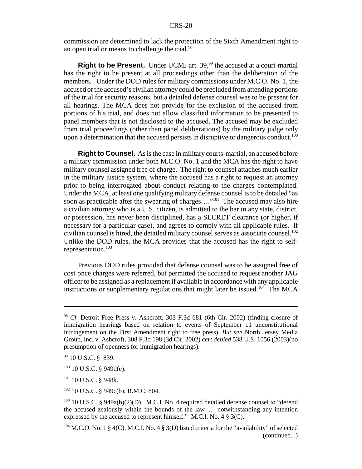commission are determined to lack the protection of the Sixth Amendment right to an open trial or means to challenge the trial.<sup>98</sup>

**Right to be Present.** Under UCMJ art. 39,<sup>99</sup> the accused at a court-martial has the right to be present at all proceedings other than the deliberation of the members. Under the DOD rules for military commissions under M.C.O. No. 1, the accused or the accused's civilian attorney could be precluded from attending portions of the trial for security reasons, but a detailed defense counsel was to be present for all hearings. The MCA does not provide for the exclusion of the accused from portions of his trial, and does not allow classified information to be presented to panel members that is not disclosed to the accused. The accused may be excluded from trial proceedings (other than panel deliberations) by the military judge only upon a determination that the accused persists in disruptive or dangerous conduct.<sup>100</sup>

**Right to Counsel.** As is the case in military courts-martial, an accused before a military commission under both M.C.O. No. 1 and the MCA has the right to have military counsel assigned free of charge. The right to counsel attaches much earlier in the military justice system, where the accused has a right to request an attorney prior to being interrogated about conduct relating to the charges contemplated. Under the MCA, at least one qualifying military defense counsel is to be detailed "as soon as practicable after the swearing of charges...."<sup>101</sup> The accused may also hire a civilian attorney who is a U.S. citizen, is admitted to the bar in any state, district, or possession, has never been disciplined, has a SECRET clearance (or higher, if necessary for a particular case), and agrees to comply with all applicable rules. If civilian counsel is hired, the detailed military counsel serves as associate counsel.<sup>102</sup> Unlike the DOD rules, the MCA provides that the accused has the right to selfrepresentation.103

Previous DOD rules provided that defense counsel was to be assigned free of cost once charges were referred, but permitted the accused to request another JAG officer to be assigned as a replacement if available in accordance with any applicable instructions or supplementary regulations that might later be issued.<sup>104</sup> The MCA

<sup>101</sup> 10 U.S.C. § 948k.

102 10 U.S.C. § 949c(b); R.M.C. 804.

<sup>98</sup> *Cf.* Detroit Free Press v. Ashcroft, 303 F.3d 681 (6th Cir. 2002) (finding closure of immigration hearings based on relation to events of September 11 unconstitutional infringement on the First Amendment right to free press). *But see* North Jersey Media Group, Inc. v. Ashcroft, 308 F.3d 198 (3d Cir. 2002) *cert denied* 538 U.S. 1056 (2003)(no presumption of openness for immigration hearings).

<sup>99 10</sup> U.S.C. § 839.

 $100$  10 U.S.C. § 949d(e).

 $103$  10 U.S.C. § 949a(b)(2)(D). M.C.I. No. 4 required detailed defense counsel to "defend the accused zealously within the bounds of the law ... notwithstanding any intention expressed by the accused to represent himself." M.C.I. No. 4 § 3(C).

 $104$  M.C.O. No. 1 § 4(C). M.C.I. No. 4 § 3(D) listed criteria for the "availability" of selected (continued...)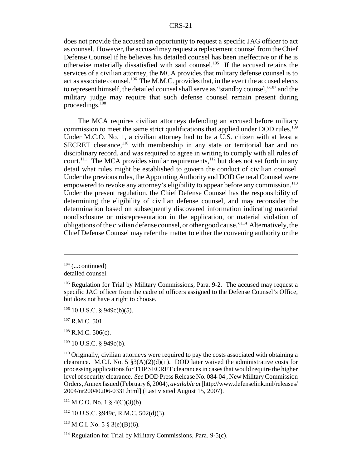does not provide the accused an opportunity to request a specific JAG officer to act as counsel. However, the accused may request a replacement counsel from the Chief Defense Counsel if he believes his detailed counsel has been ineffective or if he is otherwise materially dissatisfied with said counsel.<sup>105</sup> If the accused retains the services of a civilian attorney, the MCA provides that military defense counsel is to act as associate counsel.<sup>106</sup> The M.M.C. provides that, in the event the accused elects to represent himself, the detailed counsel shall serve as "standby counsel,"107 and the military judge may require that such defense counsel remain present during proceedings.<sup>108</sup>

The MCA requires civilian attorneys defending an accused before military commission to meet the same strict qualifications that applied under DOD rules.<sup>109</sup> Under M.C.O. No. 1, a civilian attorney had to be a U.S. citizen with at least a SECRET clearance,<sup>110</sup> with membership in any state or territorial bar and no disciplinary record, and was required to agree in writing to comply with all rules of court.<sup>111</sup> The MCA provides similar requirements,<sup>112</sup> but does not set forth in any detail what rules might be established to govern the conduct of civilian counsel. Under the previous rules, the Appointing Authority and DOD General Counsel were empowered to revoke any attorney's eligibility to appear before any commission.<sup>113</sup> Under the present regulation, the Chief Defense Counsel has the responsibility of determining the eligibility of civilian defense counsel, and may reconsider the determination based on subsequently discovered information indicating material nondisclosure or misrepresentation in the application, or material violation of obligations of the civilian defense counsel, or other good cause."114 Alternatively, the Chief Defense Counsel may refer the matter to either the convening authority or the

 $109$  10 U.S.C. § 949c(b).

 $104$  (...continued)

detailed counsel.

<sup>&</sup>lt;sup>105</sup> Regulation for Trial by Military Commissions, Para. 9-2. The accused may request a specific JAG officer from the cadre of officers assigned to the Defense Counsel's Office, but does not have a right to choose.

 $106$  10 U.S.C. § 949c(b)(5).

<sup>&</sup>lt;sup>107</sup> R.M.C. 501.

 $108$  R.M.C. 506(c).

 $110$  Originally, civilian attorneys were required to pay the costs associated with obtaining a clearance. M.C.I. No. 5  $\S3(A)(2)(d)(ii)$ . DOD later waived the administrative costs for processing applications for TOP SECRET clearances in cases that would require the higher level of security clearance. *See* DOD Press Release No. 084-04 , New Military Commission Orders, Annex Issued (February 6, 2004), *available at* [http://www.defenselink.mil/releases/ 2004/nr20040206-0331.html] (Last visited August 15, 2007).

 $111$  M.C.O. No. 1 § 4(C)(3)(b).

 $112$  10 U.S.C. §949c, R.M.C. 502(d)(3).

 $113$  M.C.I. No. 5 § 3(e)(B)(6).

 $114$  Regulation for Trial by Military Commissions, Para. 9-5(c).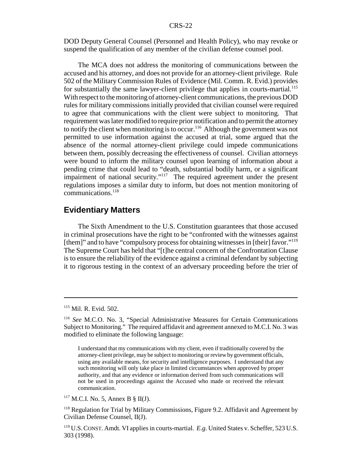DOD Deputy General Counsel (Personnel and Health Policy), who may revoke or suspend the qualification of any member of the civilian defense counsel pool.

The MCA does not address the monitoring of communications between the accused and his attorney, and does not provide for an attorney-client privilege. Rule 502 of the Military Commission Rules of Evidence (Mil. Comm. R. Evid.) provides for substantially the same lawyer-client privilege that applies in courts-martial.<sup>115</sup> With respect to the monitoring of attorney-client communications, the previous DOD rules for military commissions initially provided that civilian counsel were required to agree that communications with the client were subject to monitoring. That requirement was later modified to require prior notification and to permit the attorney to notify the client when monitoring is to occur.<sup>116</sup> Although the government was not permitted to use information against the accused at trial, some argued that the absence of the normal attorney-client privilege could impede communications between them, possibly decreasing the effectiveness of counsel. Civilian attorneys were bound to inform the military counsel upon learning of information about a pending crime that could lead to "death, substantial bodily harm, or a significant impairment of national security."<sup>117</sup> The required agreement under the present regulations imposes a similar duty to inform, but does not mention monitoring of communications.118

## **Evidentiary Matters**

The Sixth Amendment to the U.S. Constitution guarantees that those accused in criminal prosecutions have the right to be "confronted with the witnesses against [them]" and to have "compulsory process for obtaining witnesses in [their] favor."<sup>119</sup> The Supreme Court has held that "[t]he central concern of the Confrontation Clause is to ensure the reliability of the evidence against a criminal defendant by subjecting it to rigorous testing in the context of an adversary proceeding before the trier of

 $117$  M.C.I. No. 5, Annex B § II(J).

<sup>&</sup>lt;sup>115</sup> Mil. R. Evid. 502.

<sup>116</sup> *See* M.C.O. No. 3, "Special Administrative Measures for Certain Communications Subject to Monitoring." The required affidavit and agreement annexed to M.C.I. No. 3 was modified to eliminate the following language:

I understand that my communications with my client, even if traditionally covered by the attorney-client privilege, may be subject to monitoring or review by government officials, using any available means, for security and intelligence purposes. I understand that any such monitoring will only take place in limited circumstances when approved by proper authority, and that any evidence or information derived from such communications will not be used in proceedings against the Accused who made or received the relevant communication.

<sup>&</sup>lt;sup>118</sup> Regulation for Trial by Military Commissions, Figure 9.2. Affidavit and Agreement by Civilian Defense Counsel, II(J).

<sup>119</sup> U.S.CONST. Amdt. VI applies in courts-martial. *E.g.* United States v. Scheffer, 523 U.S. 303 (1998).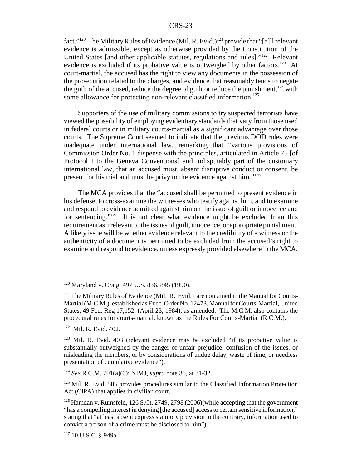fact."<sup>120</sup> The Military Rules of Evidence (Mil. R. Evid.)<sup>121</sup> provide that "[a]ll relevant evidence is admissible, except as otherwise provided by the Constitution of the United States [and other applicable statutes, regulations and rules]."<sup>122</sup> Relevant evidence is excluded if its probative value is outweighed by other factors.<sup>123</sup> At court-martial, the accused has the right to view any documents in the possession of the prosecution related to the charges, and evidence that reasonably tends to negate the guilt of the accused, reduce the degree of guilt or reduce the punishment, $124$  with some allowance for protecting non-relevant classified information.<sup>125</sup>

Supporters of the use of military commissions to try suspected terrorists have viewed the possibility of employing evidentiary standards that vary from those used in federal courts or in military courts-martial as a significant advantage over those courts. The Supreme Court seemed to indicate that the previous DOD rules were inadequate under international law, remarking that "various provisions of Commission Order No. 1 dispense with the principles, articulated in Article 75 [of Protocol I to the Geneva Conventions] and indisputably part of the customary international law, that an accused must, absent disruptive conduct or consent, be present for his trial and must be privy to the evidence against him."126

The MCA provides that the "accused shall be permitted to present evidence in his defense, to cross-examine the witnesses who testify against him, and to examine and respond to evidence admitted against him on the issue of guilt or innocence and for sentencing."<sup>127</sup> It is not clear what evidence might be excluded from this requirement as irrelevant to the issues of guilt, innocence, or appropriate punishment. A likely issue will be whether evidence relevant to the credibility of a witness or the authenticity of a document is permitted to be excluded from the accused's right to examine and respond to evidence, unless expressly provided elsewhere in the MCA.

122 Mil. R. Evid. 402.

<sup>124</sup> *See* R.C.M. 701(a)(6); NIMJ, *supra* note 36, at 31-32.

<sup>125</sup> Mil. R. Evid. 505 provides procedures similar to the Classified Information Protection Act (CIPA) that applies in civilian court.

<sup>120</sup> Maryland v. Craig, 497 U.S. 836, 845 (1990).

<sup>&</sup>lt;sup>121</sup> The Military Rules of Evidence (Mil. R. Evid.) are contained in the Manual for Courts-Martial (M.C.M.), established as Exec. Order No. 12473, Manual for Courts-Martial, United States, 49 Fed. Reg 17,152, (April 23, 1984), as amended. The M.C.M. also contains the procedural rules for courts-martial, known as the Rules For Courts-Martial (R.C.M.).

<sup>&</sup>lt;sup>123</sup> Mil. R. Evid. 403 (relevant evidence may be excluded "if its probative value is substantially outweighed by the danger of unfair prejudice, confusion of the issues, or misleading the members, or by considerations of undue delay, waste of time, or needless presentation of cumulative evidence").

<sup>&</sup>lt;sup>126</sup> Hamdan v. Rumsfeld, 126 S.Ct. 2749, 2798 (2006)(while accepting that the government "has a compelling interest in denying [the accused] access to certain sensitive information," stating that "at least absent express statutory provision to the contrary, information used to convict a person of a crime must be disclosed to him").

 $127$  10 U.S.C. § 949a.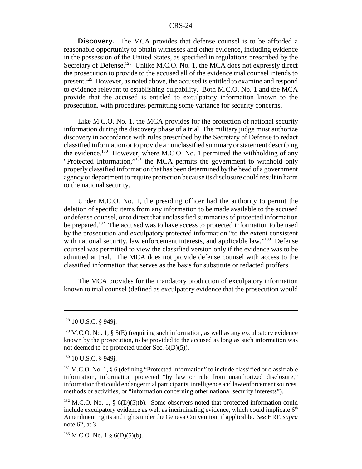**Discovery.** The MCA provides that defense counsel is to be afforded a reasonable opportunity to obtain witnesses and other evidence, including evidence in the possession of the United States, as specified in regulations prescribed by the Secretary of Defense.<sup>128</sup> Unlike M.C.O. No. 1, the MCA does not expressly direct the prosecution to provide to the accused all of the evidence trial counsel intends to present.129 However, as noted above, the accused is entitled to examine and respond to evidence relevant to establishing culpability. Both M.C.O. No. 1 and the MCA provide that the accused is entitled to exculpatory information known to the prosecution, with procedures permitting some variance for security concerns.

Like M.C.O. No. 1, the MCA provides for the protection of national security information during the discovery phase of a trial. The military judge must authorize discovery in accordance with rules prescribed by the Secretary of Defense to redact classified information or to provide an unclassified summary or statement describing the evidence.<sup>130</sup> However, where M.C.O. No. 1 permitted the withholding of any "Protected Information,"131 the MCA permits the government to withhold only properly classified information that has been determined by the head of a government agency or department to require protection because its disclosure could result in harm to the national security.

Under M.C.O. No. 1, the presiding officer had the authority to permit the deletion of specific items from any information to be made available to the accused or defense counsel, or to direct that unclassified summaries of protected information be prepared.<sup>132</sup> The accused was to have access to protected information to be used by the prosecution and exculpatory protected information "to the extent consistent with national security, law enforcement interests, and applicable law."<sup>133</sup> Defense counsel was permitted to view the classified version only if the evidence was to be admitted at trial. The MCA does not provide defense counsel with access to the classified information that serves as the basis for substitute or redacted proffers.

The MCA provides for the mandatory production of exculpatory information known to trial counsel (defined as exculpatory evidence that the prosecution would

<sup>128 10</sup> U.S.C. § 949j.

 $129$  M.C.O. No. 1, § 5(E) (requiring such information, as well as any exculpatory evidence known by the prosecution, to be provided to the accused as long as such information was not deemed to be protected under Sec. 6(D)(5)).

<sup>&</sup>lt;sup>130</sup> 10 U.S.C. § 949j.

 $131$  M.C.O. No. 1, § 6 (defining "Protected Information" to include classified or classifiable information, information protected "by law or rule from unauthorized disclosure," information that could endanger trial participants, intelligence and law enforcement sources, methods or activities, or "information concerning other national security interests").

 $132$  M.C.O. No. 1, § 6(D)(5)(b). Some observers noted that protected information could include exculpatory evidence as well as incriminating evidence, which could implicate  $6<sup>th</sup>$ Amendment rights and rights under the Geneva Convention, if applicable. *See* HRF, *supra* note 62, at 3.

 $133$  M.C.O. No. 1 § 6(D)(5)(b).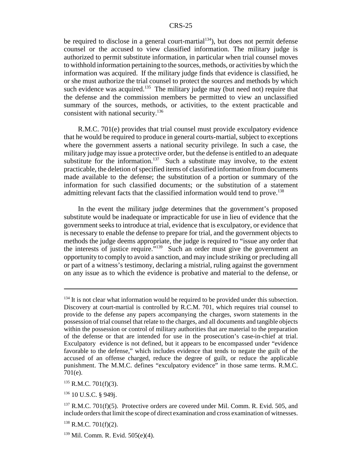be required to disclose in a general court-martial $134$ ), but does not permit defense counsel or the accused to view classified information. The military judge is authorized to permit substitute information, in particular when trial counsel moves to withhold information pertaining to the sources, methods, or activities by which the information was acquired. If the military judge finds that evidence is classified, he or she must authorize the trial counsel to protect the sources and methods by which such evidence was acquired.<sup>135</sup> The military judge may (but need not) require that the defense and the commission members be permitted to view an unclassified summary of the sources, methods, or activities, to the extent practicable and consistent with national security.<sup>136</sup>

R.M.C. 701(e) provides that trial counsel must provide exculpatory evidence that he would be required to produce in general courts-martial, subject to exceptions where the government asserts a national security privilege. In such a case, the military judge may issue a protective order, but the defense is entitled to an adequate substitute for the information.<sup>137</sup> Such a substitute may involve, to the extent practicable, the deletion of specified items of classified information from documents made available to the defense; the substitution of a portion or summary of the information for such classified documents; or the substitution of a statement admitting relevant facts that the classified information would tend to prove.<sup>138</sup>

In the event the military judge determines that the government's proposed substitute would be inadequate or impracticable for use in lieu of evidence that the government seeks to introduce at trial, evidence that is exculpatory, or evidence that is necessary to enable the defense to prepare for trial, and the government objects to methods the judge deems appropriate, the judge is required to "issue any order that the interests of justice require."139 Such an order must give the government an opportunity to comply to avoid a sanction, and may include striking or precluding all or part of a witness's testimony, declaring a mistrial, ruling against the government on any issue as to which the evidence is probative and material to the defense, or

 $135$  R.M.C. 701(f)(3).

<sup>136</sup> 10 U.S.C. § 949j.

 $134$  It is not clear what information would be required to be provided under this subsection. Discovery at court-martial is controlled by R.C.M. 701, which requires trial counsel to provide to the defense any papers accompanying the charges, sworn statements in the possession of trial counsel that relate to the charges, and all documents and tangible objects within the possession or control of military authorities that are material to the preparation of the defense or that are intended for use in the prosecution's case-in-chief at trial. Exculpatory evidence is not defined, but it appears to be encompassed under "evidence favorable to the defense," which includes evidence that tends to negate the guilt of the accused of an offense charged, reduce the degree of guilt, or reduce the applicable punishment. The M.M.C. defines "exculpatory evidence" in those same terms. R.M.C. 701(e).

 $137$  R.M.C. 701(f)(5). Protective orders are covered under Mil. Comm. R. Evid. 505, and include orders that limit the scope of direct examination and cross examination of witnesses.

 $138$  R.M.C. 701(f)(2).

<sup>139</sup> Mil. Comm. R. Evid. 505(e)(4).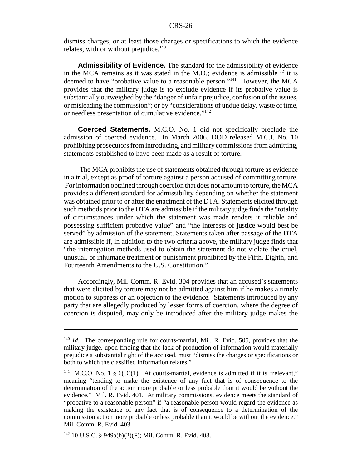dismiss charges, or at least those charges or specifications to which the evidence relates, with or without prejudice.<sup>140</sup>

**Admissibility of Evidence.** The standard for the admissibility of evidence in the MCA remains as it was stated in the M.O.; evidence is admissible if it is deemed to have "probative value to a reasonable person."141 However, the MCA provides that the military judge is to exclude evidence if its probative value is substantially outweighed by the "danger of unfair prejudice, confusion of the issues, or misleading the commission"; or by "considerations of undue delay, waste of time, or needless presentation of cumulative evidence."142

**Coerced Statements.** M.C.O. No. 1 did not specifically preclude the admission of coerced evidence. In March 2006, DOD released M.C.I. No. 10 prohibiting prosecutors from introducing, and military commissions from admitting, statements established to have been made as a result of torture.

 The MCA prohibits the use of statements obtained through torture as evidence in a trial, except as proof of torture against a person accused of committing torture. For information obtained through coercion that does not amount to torture, the MCA provides a different standard for admissibility depending on whether the statement was obtained prior to or after the enactment of the DTA. Statements elicited through such methods prior to the DTA are admissible if the military judge finds the "totality of circumstances under which the statement was made renders it reliable and possessing sufficient probative value" and "the interests of justice would best be served" by admission of the statement. Statements taken after passage of the DTA are admissible if, in addition to the two criteria above, the military judge finds that "the interrogation methods used to obtain the statement do not violate the cruel, unusual, or inhumane treatment or punishment prohibited by the Fifth, Eighth, and Fourteenth Amendments to the U.S. Constitution."

Accordingly, Mil. Comm. R. Evid. 304 provides that an accused's statements that were elicited by torture may not be admitted against him if he makes a timely motion to suppress or an objection to the evidence. Statements introduced by any party that are allegedly produced by lesser forms of coercion, where the degree of coercion is disputed, may only be introduced after the military judge makes the

<sup>&</sup>lt;sup>140</sup> *Id.* The corresponding rule for courts-martial, Mil. R. Evid. 505, provides that the military judge, upon finding that the lack of production of information would materially prejudice a substantial right of the accused, must "dismiss the charges or specifications or both to which the classified information relates."

<sup>&</sup>lt;sup>141</sup> M.C.O. No. 1 §  $6(D)(1)$ . At courts-martial, evidence is admitted if it is "relevant," meaning "tending to make the existence of any fact that is of consequence to the determination of the action more probable or less probable than it would be without the evidence." Mil. R. Evid. 401. At military commissions, evidence meets the standard of "probative to a reasonable person" if "a reasonable person would regard the evidence as making the existence of any fact that is of consequence to a determination of the commission action more probable or less probable than it would be without the evidence." Mil. Comm. R. Evid. 403.

<sup>142 10</sup> U.S.C. § 949a(b)(2)(F); Mil. Comm. R. Evid. 403.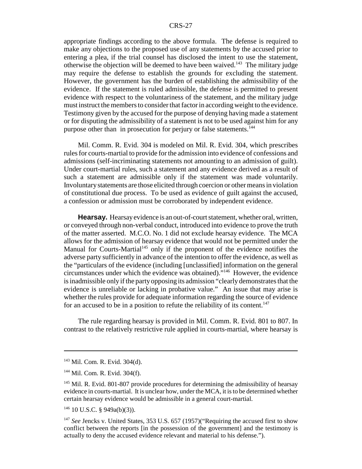appropriate findings according to the above formula. The defense is required to make any objections to the proposed use of any statements by the accused prior to entering a plea, if the trial counsel has disclosed the intent to use the statement, otherwise the objection will be deemed to have been waived.<sup>143</sup> The military judge may require the defense to establish the grounds for excluding the statement. However, the government has the burden of establishing the admissibility of the evidence. If the statement is ruled admissible, the defense is permitted to present evidence with respect to the voluntariness of the statement, and the military judge must instruct the members to consider that factor in according weight to the evidence. Testimony given by the accused for the purpose of denying having made a statement or for disputing the admissibility of a statement is not to be used against him for any purpose other than in prosecution for perjury or false statements.<sup>144</sup>

Mil. Comm. R. Evid. 304 is modeled on Mil. R. Evid. 304, which prescribes rules for courts-martial to provide for the admission into evidence of confessions and admissions (self-incriminating statements not amounting to an admission of guilt). Under court-martial rules, such a statement and any evidence derived as a result of such a statement are admissible only if the statement was made voluntarily. Involuntary statements are those elicited through coercion or other means in violation of constitutional due process. To be used as evidence of guilt against the accused, a confession or admission must be corroborated by independent evidence.

**Hearsay.** Hearsay evidence is an out-of-court statement, whether oral, written, or conveyed through non-verbal conduct, introduced into evidence to prove the truth of the matter asserted. M.C.O. No. 1 did not exclude hearsay evidence. The MCA allows for the admission of hearsay evidence that would not be permitted under the Manual for Courts-Martial<sup>145</sup> only if the proponent of the evidence notifies the adverse party sufficiently in advance of the intention to offer the evidence, as well as the "particulars of the evidence (including [unclassified] information on the general circumstances under which the evidence was obtained)."146 However, the evidence is inadmissible only if the party opposing its admission "clearly demonstrates that the evidence is unreliable or lacking in probative value." An issue that may arise is whether the rules provide for adequate information regarding the source of evidence for an accused to be in a position to refute the reliability of its content.<sup>147</sup>

The rule regarding hearsay is provided in Mil. Comm. R. Evid. 801 to 807. In contrast to the relatively restrictive rule applied in courts-martial, where hearsay is

<sup>143</sup> Mil. Com. R. Evid. 304(d).

<sup>144</sup> Mil. Com. R. Evid. 304(f).

<sup>&</sup>lt;sup>145</sup> Mil. R. Evid. 801-807 provide procedures for determining the admissibility of hearsay evidence in courts-martial. It is unclear how, under the MCA, it is to be determined whether certain hearsay evidence would be admissible in a general court-martial.

 $146$  10 U.S.C. § 949a(b)(3)).

<sup>&</sup>lt;sup>147</sup> See Jencks v. United States, 353 U.S. 657 (1957)("Requiring the accused first to show conflict between the reports [in the possession of the government] and the testimony is actually to deny the accused evidence relevant and material to his defense.").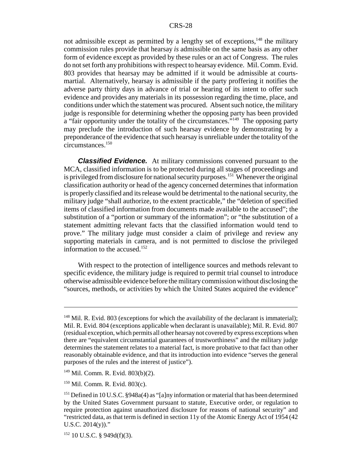not admissible except as permitted by a lengthy set of exceptions, $148$  the military commission rules provide that hearsay *is* admissible on the same basis as any other form of evidence except as provided by these rules or an act of Congress. The rules do not set forth any prohibitions with respect to hearsay evidence. Mil. Comm. Evid. 803 provides that hearsay may be admitted if it would be admissible at courtsmartial. Alternatively, hearsay is admissible if the party proffering it notifies the adverse party thirty days in advance of trial or hearing of its intent to offer such evidence and provides any materials in its possession regarding the time, place, and conditions under which the statement was procured. Absent such notice, the military judge is responsible for determining whether the opposing party has been provided a "fair opportunity under the totality of the circumstances."<sup>149</sup> The opposing party may preclude the introduction of such hearsay evidence by demonstrating by a preponderance of the evidence that such hearsay is unreliable under the totality of the circumstances.<sup>150</sup>

*Classified Evidence.* At military commissions convened pursuant to the MCA, classified information is to be protected during all stages of proceedings and is privileged from disclosure for national security purposes.<sup>151</sup> Whenever the original classification authority or head of the agency concerned determines that information is properly classified and its release would be detrimental to the national security, the military judge "shall authorize, to the extent practicable," the "deletion of specified items of classified information from documents made available to the accused"; the substitution of a "portion or summary of the information"; or "the substitution of a statement admitting relevant facts that the classified information would tend to prove." The military judge must consider a claim of privilege and review any supporting materials in camera, and is not permitted to disclose the privileged information to the accused.<sup>152</sup>

With respect to the protection of intelligence sources and methods relevant to specific evidence, the military judge is required to permit trial counsel to introduce otherwise admissible evidence before the military commission without disclosing the "sources, methods, or activities by which the United States acquired the evidence"

 $148$  Mil. R. Evid. 803 (exceptions for which the availability of the declarant is immaterial); Mil. R. Evid. 804 (exceptions applicable when declarant is unavailable); Mil. R. Evid. 807 (residual exception, which permits all other hearsay not covered by express exceptions when there are "equivalent circumstantial guarantees of trustworthiness" and the military judge determines the statement relates to a material fact, is more probative to that fact than other reasonably obtainable evidence, and that its introduction into evidence "serves the general purposes of the rules and the interest of justice").

<sup>149</sup> Mil. Comm. R. Evid. 803(b)(2).

<sup>150</sup> Mil. Comm. R. Evid. 803(c).

<sup>&</sup>lt;sup>151</sup> Defined in 10 U.S.C. §948a(4) as "[a]ny information or material that has been determined by the United States Government pursuant to statute, Executive order, or regulation to require protection against unauthorized disclosure for reasons of national security" and "restricted data, as that term is defined in section 11y of the Atomic Energy Act of 1954 (42 U.S.C. 2014(y))."

 $152$  10 U.S.C. § 949d(f)(3).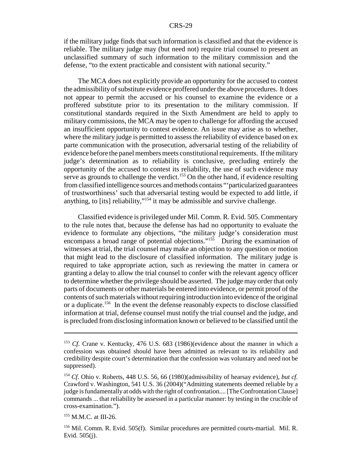if the military judge finds that such information is classified and that the evidence is reliable. The military judge may (but need not) require trial counsel to present an unclassified summary of such information to the military commission and the defense, "to the extent practicable and consistent with national security."

The MCA does not explicitly provide an opportunity for the accused to contest the admissibility of substitute evidence proffered under the above procedures. It does not appear to permit the accused or his counsel to examine the evidence or a proffered substitute prior to its presentation to the military commission. If constitutional standards required in the Sixth Amendment are held to apply to military commissions, the MCA may be open to challenge for affording the accused an insufficient opportunity to contest evidence. An issue may arise as to whether, where the military judge is permitted to assess the reliability of evidence based on ex parte communication with the prosecution, adversarial testing of the reliability of evidence before the panel members meets constitutional requirements. If the military judge's determination as to reliability is conclusive, precluding entirely the opportunity of the accused to contest its reliability, the use of such evidence may serve as grounds to challenge the verdict.<sup>153</sup> On the other hand, if evidence resulting from classified intelligence sources and methods contains "'particularized guarantees of trustworthiness' such that adversarial testing would be expected to add little, if anything, to [its] reliability,"154 it may be admissible and survive challenge.

Classified evidence is privileged under Mil. Comm. R. Evid. 505. Commentary to the rule notes that, because the defense has had no opportunity to evaluate the evidence to formulate any objections, "the military judge's consideration must encompass a broad range of potential objections."<sup>155</sup> During the examination of witnesses at trial, the trial counsel may make an objection to any question or motion that might lead to the disclosure of classified information. The military judge is required to take appropriate action, such as reviewing the matter in camera or granting a delay to allow the trial counsel to confer with the relevant agency officer to determine whether the privilege should be asserted. The judge may order that only parts of documents or other materials be entered into evidence, or permit proof of the contents of such materials without requiring introduction into evidence of the original or a duplicate.156 In the event the defense reasonably expects to disclose classified information at trial, defense counsel must notify the trial counsel and the judge, and is precluded from disclosing information known or believed to be classified until the

<sup>153</sup> *Cf.* Crane v. Kentucky, 476 U.S. 683 (1986)(evidence about the manner in which a confession was obtained should have been admitted as relevant to its reliability and credibility despite court's determination that the confession was voluntary and need not be suppressed).

<sup>154</sup> *Cf*. Ohio v. Roberts, 448 U.S. 56, 66 (1980)(admissibility of hearsay evidence), *but cf.* Crawford v. Washington, 541 U.S. 36 (2004)("Admitting statements deemed reliable by a judge is fundamentally at odds with the right of confrontation.... [The Confrontation Clause] commands ... that reliability be assessed in a particular manner: by testing in the crucible of cross-examination.").

<sup>&</sup>lt;sup>155</sup> M.M.C. at III-26.

<sup>156</sup> Mil. Comm. R. Evid. 505(f). Similar procedures are permitted courts-martial. Mil. R. Evid. 505(j).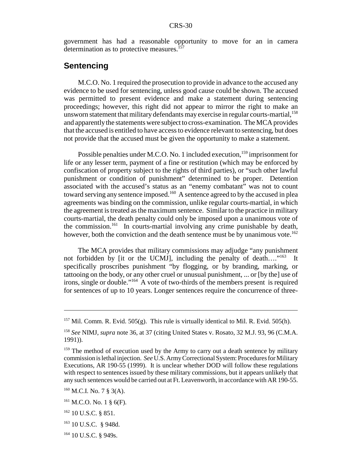government has had a reasonable opportunity to move for an in camera determination as to protective measures. $157$ 

## **Sentencing**

M.C.O. No. 1 required the prosecution to provide in advance to the accused any evidence to be used for sentencing, unless good cause could be shown. The accused was permitted to present evidence and make a statement during sentencing proceedings; however, this right did not appear to mirror the right to make an unsworn statement that military defendants may exercise in regular courts-martial,  $^{158}$ and apparently the statements were subject to cross-examination. The MCA provides that the accused is entitled to have access to evidence relevant to sentencing, but does not provide that the accused must be given the opportunity to make a statement.

Possible penalties under M.C.O. No. 1 included execution,<sup>159</sup> imprisonment for life or any lesser term, payment of a fine or restitution (which may be enforced by confiscation of property subject to the rights of third parties), or "such other lawful punishment or condition of punishment" determined to be proper. Detention associated with the accused's status as an "enemy combatant" was not to count toward serving any sentence imposed.<sup>160</sup> A sentence agreed to by the accused in plea agreements was binding on the commission, unlike regular courts-martial, in which the agreement is treated as the maximum sentence. Similar to the practice in military courts-martial, the death penalty could only be imposed upon a unanimous vote of the commission.<sup>161</sup> In courts-martial involving any crime punishable by death, however, both the conviction and the death sentence must be by unanimous vote.<sup>162</sup>

The MCA provides that military commissions may adjudge "any punishment not forbidden by [it or the UCMJ], including the penalty of death...."<sup>163</sup> It specifically proscribes punishment "by flogging, or by branding, marking, or tattooing on the body, or any other cruel or unusual punishment, ... or [by the] use of irons, single or double."164 A vote of two-thirds of the members present is required for sentences of up to 10 years. Longer sentences require the concurrence of three-

164 10 U.S.C. § 949s.

<sup>&</sup>lt;sup>157</sup> Mil. Comm. R. Evid. 505(g). This rule is virtually identical to Mil. R. Evid. 505(h).

<sup>158</sup> *See* NIMJ, *supra* note 36, at 37 (citing United States v. Rosato, 32 M.J. 93, 96 (C.M.A. 1991)).

<sup>&</sup>lt;sup>159</sup> The method of execution used by the Army to carry out a death sentence by military commission is lethal injection. *See* U.S. Army Correctional System: Procedures for Military Executions, AR 190-55 (1999). It is unclear whether DOD will follow these regulations with respect to sentences issued by these military commissions, but it appears unlikely that any such sentences would be carried out at Ft. Leavenworth, in accordance with AR 190-55.

 $160$  M.C.I. No. 7 § 3(A).

 $161$  M.C.O. No. 1 § 6(F).

 $162$  10 U.S.C. § 851.

<sup>163 10</sup> U.S.C. § 948d.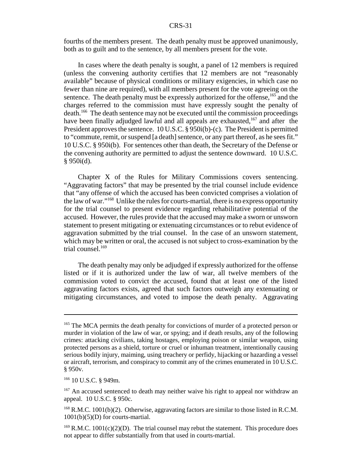fourths of the members present. The death penalty must be approved unanimously, both as to guilt and to the sentence, by all members present for the vote.

In cases where the death penalty is sought, a panel of 12 members is required (unless the convening authority certifies that 12 members are not "reasonably available" because of physical conditions or military exigencies, in which case no fewer than nine are required), with all members present for the vote agreeing on the sentence. The death penalty must be expressly authorized for the offense,  $165$  and the charges referred to the commission must have expressly sought the penalty of death.166 The death sentence may not be executed until the commission proceedings have been finally adjudged lawful and all appeals are exhausted,  $167$  and after the President approves the sentence. 10 U.S.C. § 950i(b)-(c). The President is permitted to "commute, remit, or suspend [a death] sentence, or any part thereof, as he sees fit." 10 U.S.C. § 950i(b). For sentences other than death, the Secretary of the Defense or the convening authority are permitted to adjust the sentence downward. 10 U.S.C.  $§$  950i(d).

Chapter X of the Rules for Military Commissions covers sentencing. "Aggravating factors" that may be presented by the trial counsel include evidence that "any offense of which the accused has been convicted comprises a violation of the law of war."<sup>168</sup> Unlike the rules for courts-martial, there is no express opportunity for the trial counsel to present evidence regarding rehabilitative potential of the accused. However, the rules provide that the accused may make a sworn or unsworn statement to present mitigating or extenuating circumstances or to rebut evidence of aggravation submitted by the trial counsel. In the case of an unsworn statement, which may be written or oral, the accused is not subject to cross-examination by the trial counsel.<sup>169</sup>

The death penalty may only be adjudged if expressly authorized for the offense listed or if it is authorized under the law of war, all twelve members of the commission voted to convict the accused, found that at least one of the listed aggravating factors exists, agreed that such factors outweigh any extenuating or mitigating circumstances, and voted to impose the death penalty. Aggravating

<sup>&</sup>lt;sup>165</sup> The MCA permits the death penalty for convictions of murder of a protected person or murder in violation of the law of war, or spying; and if death results, any of the following crimes: attacking civilians, taking hostages, employing poison or similar weapon, using protected persons as a shield, torture or cruel or inhuman treatment, intentionally causing serious bodily injury, maiming, using treachery or perfidy, hijacking or hazarding a vessel or aircraft, terrorism, and conspiracy to commit any of the crimes enumerated in 10 U.S.C. § 950v.

<sup>166 10</sup> U.S.C. § 949m.

 $167$  An accused sentenced to death may neither waive his right to appeal nor withdraw an appeal. 10 U.S.C. § 950c.

<sup>&</sup>lt;sup>168</sup> R.M.C. 1001(b)(2). Otherwise, aggravating factors are similar to those listed in R.C.M.  $1001(b)(5)(D)$  for courts-martial.

 $169$  R.M.C.  $1001(c)(2)(D)$ . The trial counsel may rebut the statement. This procedure does not appear to differ substantially from that used in courts-martial.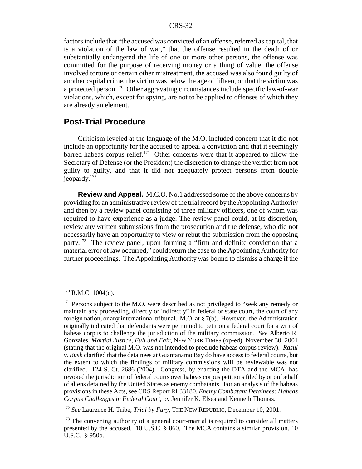factors include that "the accused was convicted of an offense, referred as capital, that is a violation of the law of war," that the offense resulted in the death of or substantially endangered the life of one or more other persons, the offense was committed for the purpose of receiving money or a thing of value, the offense involved torture or certain other mistreatment, the accused was also found guilty of another capital crime, the victim was below the age of fifteen, or that the victim was a protected person.170 Other aggravating circumstances include specific law-of-war violations, which, except for spying, are not to be applied to offenses of which they are already an element.

## **Post-Trial Procedure**

Criticism leveled at the language of the M.O. included concern that it did not include an opportunity for the accused to appeal a conviction and that it seemingly barred habeas corpus relief.<sup>171</sup> Other concerns were that it appeared to allow the Secretary of Defense (or the President) the discretion to change the verdict from not guilty to guilty, and that it did not adequately protect persons from double jeopardy.172

**Review and Appeal.** M.C.O. No.1 addressed some of the above concerns by providing for an administrative review of the trial record by the Appointing Authority and then by a review panel consisting of three military officers, one of whom was required to have experience as a judge. The review panel could, at its discretion, review any written submissions from the prosecution and the defense, who did not necessarily have an opportunity to view or rebut the submission from the opposing party.173 The review panel, upon forming a "firm and definite conviction that a material error of law occurred," could return the case to the Appointing Authority for further proceedings. The Appointing Authority was bound to dismiss a charge if the

 $170$  R.M.C.  $1004(c)$ .

 $171$  Persons subject to the M.O. were described as not privileged to "seek any remedy or maintain any proceeding, directly or indirectly" in federal or state court, the court of any foreign nation, or any international tribunal. M.O. at  $\S$  7(b). However, the Administration originally indicated that defendants were permitted to petition a federal court for a writ of habeas corpus to challenge the jurisdiction of the military commission. *See* Alberto R. Gonzales, *Martial Justice, Full and Fair*, NEW YORK TIMES (op-ed), November 30, 2001 (stating that the original M.O. was not intended to preclude habeas corpus review). *Rasul v. Bush* clarified that the detainees at Guantanamo Bay do have access to federal courts, but the extent to which the findings of military commissions will be reviewable was not clarified. 124 S. Ct. 2686 (2004). Congress, by enacting the DTA and the MCA, has revoked the jurisdiction of federal courts over habeas corpus petitions filed by or on behalf of aliens detained by the United States as enemy combatants. For an analysis of the habeas provisions in these Acts, see CRS Report RL33180, *Enemy Combatant Detainees: Habeas Corpus Challenges in Federal Court*, by Jennifer K. Elsea and Kenneth Thomas.

<sup>172</sup> *See* Laurence H. Tribe, *Trial by Fury*, THE NEW REPUBLIC, December 10, 2001.

<sup>&</sup>lt;sup>173</sup> The convening authority of a general court-martial is required to consider all matters presented by the accused. 10 U.S.C. § 860. The MCA contains a similar provision. 10 U.S.C. § 950b.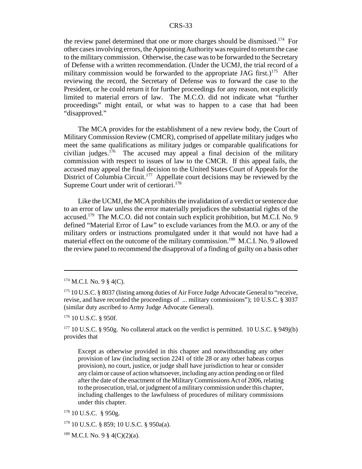the review panel determined that one or more charges should be dismissed.<sup>174</sup> For other cases involving errors, the Appointing Authority was required to return the case to the military commission. Otherwise, the case was to be forwarded to the Secretary of Defense with a written recommendation. (Under the UCMJ, the trial record of a military commission would be forwarded to the appropriate JAG first.)<sup>175</sup> After reviewing the record, the Secretary of Defense was to forward the case to the President, or he could return it for further proceedings for any reason, not explicitly limited to material errors of law. The M.C.O. did not indicate what "further proceedings" might entail, or what was to happen to a case that had been "disapproved."

The MCA provides for the establishment of a new review body, the Court of Military Commission Review (CMCR), comprised of appellate military judges who meet the same qualifications as military judges or comparable qualifications for civilian judges.<sup>176</sup> The accused may appeal a final decision of the military commission with respect to issues of law to the CMCR. If this appeal fails, the accused may appeal the final decision to the United States Court of Appeals for the District of Columbia Circuit.<sup>177</sup> Appellate court decisions may be reviewed by the Supreme Court under writ of certiorari.<sup>178</sup>

Like the UCMJ, the MCA prohibits the invalidation of a verdict or sentence due to an error of law unless the error materially prejudices the substantial rights of the accused.179 The M.C.O. did not contain such explicit prohibition, but M.C.I. No. 9 defined "Material Error of Law" to exclude variances from the M.O. or any of the military orders or instructions promulgated under it that would not have had a material effect on the outcome of the military commission.<sup>180</sup> M.C.I. No. 9 allowed the review panel to recommend the disapproval of a finding of guilty on a basis other

 $176$  10 U.S.C. § 950f.

<sup>177</sup> 10 U.S.C. § 950g. No collateral attack on the verdict is permitted. 10 U.S.C. § 949 $j(b)$ provides that

Except as otherwise provided in this chapter and notwithstanding any other provision of law (including section 2241 of title 28 or any other habeas corpus provision), no court, justice, or judge shall have jurisdiction to hear or consider any claim or cause of action whatsoever, including any action pending on or filed after the date of the enactment of the Military Commissions Act of 2006, relating to the prosecution, trial, or judgment of a military commission under this chapter, including challenges to the lawfulness of procedures of military commissions under this chapter.

 $178$  10 U.S.C. § 950g.

179 10 U.S.C. § 859; 10 U.S.C. § 950a(a).

 $180$  M.C.I. No. 9 § 4(C)(2)(a).

 $174$  M.C.I. No. 9  $\S$  4(C).

<sup>&</sup>lt;sup>175</sup> 10 U.S.C. § 8037 (listing among duties of Air Force Judge Advocate General to "receive, revise, and have recorded the proceedings of ... military commissions"); 10 U.S.C. § 3037 (similar duty ascribed to Army Judge Advocate General).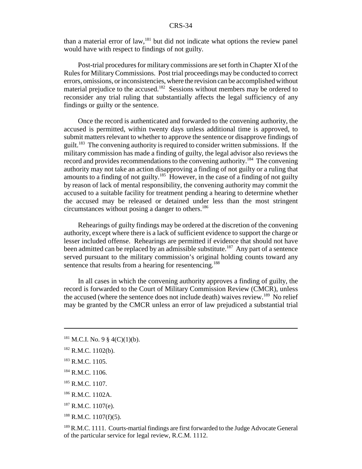than a material error of law,<sup>181</sup> but did not indicate what options the review panel would have with respect to findings of not guilty.

Post-trial procedures for military commissions are set forth in Chapter XI of the Rules for Military Commissions. Post trial proceedings may be conducted to correct errors, omissions, or inconsistencies, where the revision can be accomplished without material prejudice to the accused.<sup>182</sup> Sessions without members may be ordered to reconsider any trial ruling that substantially affects the legal sufficiency of any findings or guilty or the sentence.

Once the record is authenticated and forwarded to the convening authority, the accused is permitted, within twenty days unless additional time is approved, to submit matters relevant to whether to approve the sentence or disapprove findings of guilt.183 The convening authority is required to consider written submissions. If the military commission has made a finding of guilty, the legal advisor also reviews the record and provides recommendations to the convening authority.184 The convening authority may not take an action disapproving a finding of not guilty or a ruling that amounts to a finding of not guilty.<sup>185</sup> However, in the case of a finding of not guilty by reason of lack of mental responsibility, the convening authority may commit the accused to a suitable facility for treatment pending a hearing to determine whether the accused may be released or detained under less than the most stringent circumstances without posing a danger to others.<sup>186</sup>

Rehearings of guilty findings may be ordered at the discretion of the convening authority, except where there is a lack of sufficient evidence to support the charge or lesser included offense. Rehearings are permitted if evidence that should not have been admitted can be replaced by an admissible substitute.<sup>187</sup> Any part of a sentence served pursuant to the military commission's original holding counts toward any sentence that results from a hearing for resentencing.<sup>188</sup>

In all cases in which the convening authority approves a finding of guilty, the record is forwarded to the Court of Military Commission Review (CMCR), unless the accused (where the sentence does not include death) waives review.<sup>189</sup> No relief may be granted by the CMCR unless an error of law prejudiced a substantial trial

 $188$  R.M.C. 1107(f)(5).

 $181$  M.C.I. No. 9 § 4(C)(1)(b).

 $182$  R.M.C. 1102(b).

<sup>&</sup>lt;sup>183</sup> R.M.C. 1105.

<sup>&</sup>lt;sup>184</sup> R.M.C. 1106.

<sup>&</sup>lt;sup>185</sup> R.M.C. 1107.

<sup>186</sup> R.M.C. 1102A.

 $187$  R.M.C. 1107(e).

<sup>&</sup>lt;sup>189</sup> R.M.C. 1111. Courts-martial findings are first forwarded to the Judge Advocate General of the particular service for legal review, R.C.M. 1112.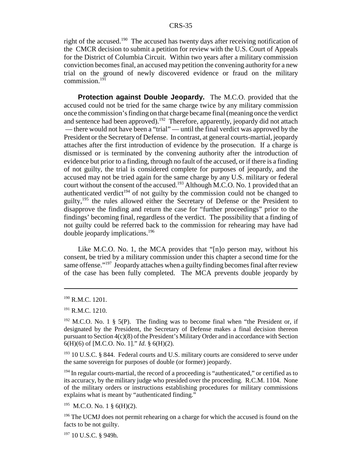right of the accused.<sup>190</sup> The accused has twenty days after receiving notification of the CMCR decision to submit a petition for review with the U.S. Court of Appeals for the District of Columbia Circuit. Within two years after a military commission conviction becomes final, an accused may petition the convening authority for a new trial on the ground of newly discovered evidence or fraud on the military commission.<sup>191</sup>

**Protection against Double Jeopardy.** The M.C.O. provided that the accused could not be tried for the same charge twice by any military commission once the commission's finding on that charge became final (meaning once the verdict and sentence had been approved).<sup>192</sup> Therefore, apparently, jeopardy did not attach — there would not have been a "trial" — until the final verdict was approved by the President or the Secretary of Defense. In contrast, at general courts-martial, jeopardy attaches after the first introduction of evidence by the prosecution. If a charge is dismissed or is terminated by the convening authority after the introduction of evidence but prior to a finding, through no fault of the accused, or if there is a finding of not guilty, the trial is considered complete for purposes of jeopardy, and the accused may not be tried again for the same charge by any U.S. military or federal court without the consent of the accused.<sup>193</sup> Although M.C.O. No. 1 provided that an authenticated verdict<sup>194</sup> of not guilty by the commission could not be changed to guilty,<sup>195</sup> the rules allowed either the Secretary of Defense or the President to disapprove the finding and return the case for "further proceedings" prior to the findings' becoming final, regardless of the verdict. The possibility that a finding of not guilty could be referred back to the commission for rehearing may have had double jeopardy implications.196

Like M.C.O. No. 1, the MCA provides that "[n]o person may, without his consent, be tried by a military commission under this chapter a second time for the same offense."<sup>197</sup> Jeopardy attaches when a guilty finding becomes final after review of the case has been fully completed. The MCA prevents double jeopardy by

 $190$  R.M.C. 1201.

 $191$  R.M.C. 1210.

 $192$  M.C.O. No. 1 § 5(P). The finding was to become final when "the President or, if designated by the President, the Secretary of Defense makes a final decision thereon pursuant to Section  $4(c)(8)$  of the President's Military Order and in accordance with Section 6(H)(6) of [M.C.O. No. 1]." *Id*. § 6(H)(2).

<sup>&</sup>lt;sup>193</sup> 10 U.S.C. § 844. Federal courts and U.S. military courts are considered to serve under the same sovereign for purposes of double (or former) jeopardy.

 $194$  In regular courts-martial, the record of a proceeding is "authenticated," or certified as to its accuracy, by the military judge who presided over the proceeding. R.C.M. 1104. None of the military orders or instructions establishing procedures for military commissions explains what is meant by "authenticated finding."

 $195$  M.C.O. No. 1 § 6(H)(2).

<sup>&</sup>lt;sup>196</sup> The UCMJ does not permit rehearing on a charge for which the accused is found on the facts to be not guilty.

<sup>197 10</sup> U.S.C. § 949h.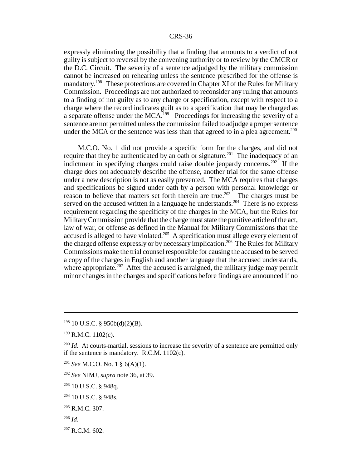expressly eliminating the possibility that a finding that amounts to a verdict of not guilty is subject to reversal by the convening authority or to review by the CMCR or the D.C. Circuit. The severity of a sentence adjudged by the military commission cannot be increased on rehearing unless the sentence prescribed for the offense is mandatory.<sup>198</sup> These protections are covered in Chapter XI of the Rules for Military Commission. Proceedings are not authorized to reconsider any ruling that amounts to a finding of not guilty as to any charge or specification, except with respect to a charge where the record indicates guilt as to a specification that may be charged as a separate offense under the MCA.199 Proceedings for increasing the severity of a sentence are not permitted unless the commission failed to adjudge a proper sentence under the MCA or the sentence was less than that agreed to in a plea agreement.<sup>200</sup>

M.C.O. No. 1 did not provide a specific form for the charges, and did not require that they be authenticated by an oath or signature.<sup>201</sup> The inadequacy of an indictment in specifying charges could raise double jeopardy concerns.<sup>202</sup> If the charge does not adequately describe the offense, another trial for the same offense under a new description is not as easily prevented. The MCA requires that charges and specifications be signed under oath by a person with personal knowledge or reason to believe that matters set forth therein are true.<sup>203</sup> The charges must be served on the accused written in a language he understands.<sup>204</sup> There is no express requirement regarding the specificity of the charges in the MCA, but the Rules for Military Commission provide that the charge must state the punitive article of the act, law of war, or offense as defined in the Manual for Military Commissions that the accused is alleged to have violated.205 A specification must allege every element of the charged offense expressly or by necessary implication.<sup>206</sup> The Rules for Military Commissions make the trial counsel responsible for causing the accused to be served a copy of the charges in English and another language that the accused understands, where appropriate.<sup>207</sup> After the accused is arraigned, the military judge may permit minor changes in the charges and specifications before findings are announced if no

- <sup>201</sup> *See* M.C.O. No. 1 § 6(A)(1).
- <sup>202</sup> *See* NIMJ, *supra* note 36, at 39.
- 203 10 U.S.C. § 948q.
- 204 10 U.S.C. § 948s.
- $205$  R.M.C. 307.
- <sup>206</sup> *Id*.
- $207$  R.C.M. 602.

 $198$  10 U.S.C. § 950b(d)(2)(B).

 $199$  R.M.C. 1102(c).

<sup>&</sup>lt;sup>200</sup> *Id.* At courts-martial, sessions to increase the severity of a sentence are permitted only if the sentence is mandatory. R.C.M. 1102(c).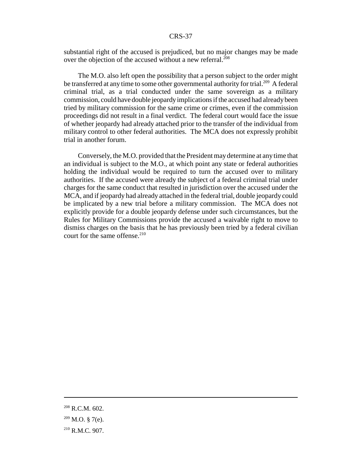substantial right of the accused is prejudiced, but no major changes may be made over the objection of the accused without a new referral.<sup>208</sup>

The M.O. also left open the possibility that a person subject to the order might be transferred at any time to some other governmental authority for trial.<sup>209</sup> A federal criminal trial, as a trial conducted under the same sovereign as a military commission, could have double jeopardy implications if the accused had already been tried by military commission for the same crime or crimes, even if the commission proceedings did not result in a final verdict. The federal court would face the issue of whether jeopardy had already attached prior to the transfer of the individual from military control to other federal authorities. The MCA does not expressly prohibit trial in another forum.

Conversely, the M.O. provided that the President may determine at any time that an individual is subject to the M.O., at which point any state or federal authorities holding the individual would be required to turn the accused over to military authorities. If the accused were already the subject of a federal criminal trial under charges for the same conduct that resulted in jurisdiction over the accused under the MCA, and if jeopardy had already attached in the federal trial, double jeopardy could be implicated by a new trial before a military commission. The MCA does not explicitly provide for a double jeopardy defense under such circumstances, but the Rules for Military Commissions provide the accused a waivable right to move to dismiss charges on the basis that he has previously been tried by a federal civilian court for the same offense.<sup>210</sup>

<sup>208</sup> R.C.M. 602.

 $209$  M.O. § 7(e).

<sup>210</sup> R.M.C. 907.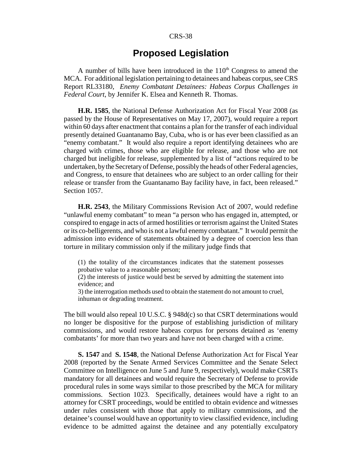## **Proposed Legislation**

A number of bills have been introduced in the  $110<sup>th</sup>$  Congress to amend the MCA. For additional legislation pertaining to detainees and habeas corpus, see CRS Report RL33180, *Enemy Combatant Detainees: Habeas Corpus Challenges in Federal Court*, by Jennifer K. Elsea and Kenneth R. Thomas.

**H.R. 1585**, the National Defense Authorization Act for Fiscal Year 2008 (as passed by the House of Representatives on May 17, 2007), would require a report within 60 days after enactment that contains a plan for the transfer of each individual presently detained Guantanamo Bay, Cuba, who is or has ever been classified as an "enemy combatant." It would also require a report identifying detainees who are charged with crimes, those who are eligible for release, and those who are not charged but ineligible for release, supplemented by a list of "actions required to be undertaken, by the Secretary of Defense, possibly the heads of other Federal agencies, and Congress, to ensure that detainees who are subject to an order calling for their release or transfer from the Guantanamo Bay facility have, in fact, been released." Section 1057.

**H.R. 2543**, the Military Commissions Revision Act of 2007, would redefine "unlawful enemy combatant" to mean "a person who has engaged in, attempted, or conspired to engage in acts of armed hostilities or terrorism against the United States or its co-belligerents, and who is not a lawful enemy combatant." It would permit the admission into evidence of statements obtained by a degree of coercion less than torture in military commission only if the military judge finds that

(1) the totality of the circumstances indicates that the statement possesses probative value to a reasonable person;

(2) the interests of justice would best be served by admitting the statement into evidence; and

3) the interrogation methods used to obtain the statement do not amount to cruel, inhuman or degrading treatment.

The bill would also repeal 10 U.S.C. § 948d(c) so that CSRT determinations would no longer be dispositive for the purpose of establishing jurisdiction of military commissions, and would restore habeas corpus for persons detained as 'enemy combatants' for more than two years and have not been charged with a crime.

**S. 1547** and **S. 1548**, the National Defense Authorization Act for Fiscal Year 2008 (reported by the Senate Armed Services Committee and the Senate Select Committee on Intelligence on June 5 and June 9, respectively), would make CSRTs mandatory for all detainees and would require the Secretary of Defense to provide procedural rules in some ways similar to those prescribed by the MCA for military commissions. Section 1023. Specifically, detainees would have a right to an attorney for CSRT proceedings, would be entitled to obtain evidence and witnesses under rules consistent with those that apply to military commissions, and the detainee's counsel would have an opportunity to view classified evidence, including evidence to be admitted against the detainee and any potentially exculpatory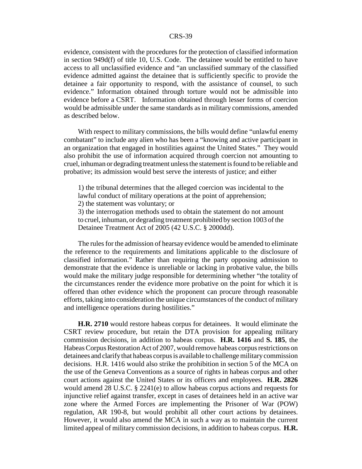evidence, consistent with the procedures for the protection of classified information in section 949d(f) of title 10, U.S. Code. The detainee would be entitled to have access to all unclassified evidence and "an unclassified summary of the classified evidence admitted against the detainee that is sufficiently specific to provide the detainee a fair opportunity to respond, with the assistance of counsel, to such evidence." Information obtained through torture would not be admissible into evidence before a CSRT. Information obtained through lesser forms of coercion would be admissible under the same standards as in military commissions, amended as described below.

With respect to military commissions, the bills would define "unlawful enemy combatant" to include any alien who has been a "knowing and active participant in an organization that engaged in hostilities against the United States." They would also prohibit the use of information acquired through coercion not amounting to cruel, inhuman or degrading treatment unless the statement is found to be reliable and probative; its admission would best serve the interests of justice; and either

1) the tribunal determines that the alleged coercion was incidental to the lawful conduct of military operations at the point of apprehension; 2) the statement was voluntary; or 3) the interrogation methods used to obtain the statement do not amount

to cruel, inhuman, or degrading treatment prohibited by section 1003 of the Detainee Treatment Act of 2005 (42 U.S.C. § 2000dd).

The rules for the admission of hearsay evidence would be amended to eliminate the reference to the requirements and limitations applicable to the disclosure of classified information." Rather than requiring the party opposing admission to demonstrate that the evidence is unreliable or lacking in probative value, the bills would make the military judge responsible for determining whether "the totality of the circumstances render the evidence more probative on the point for which it is offered than other evidence which the proponent can procure through reasonable efforts, taking into consideration the unique circumstances of the conduct of military and intelligence operations during hostilities."

**H.R. 2710** would restore habeas corpus for detainees. It would eliminate the CSRT review procedure, but retain the DTA provision for appealing military commission decisions, in addition to habeas corpus. **H.R. 1416** and **S. 185**, the Habeas Corpus Restoration Act of 2007, would remove habeas corpus restrictions on detainees and clarify that habeas corpus is available to challenge military commission decisions. H.R. 1416 would also strike the prohibition in section 5 of the MCA on the use of the Geneva Conventions as a source of rights in habeas corpus and other court actions against the United States or its officers and employees. **H.R. 2826** would amend 28 U.S.C. § 2241(e) to allow habeas corpus actions and requests for injunctive relief against transfer, except in cases of detainees held in an active war zone where the Armed Forces are implementing the Prisoner of War (POW) regulation, AR 190-8, but would prohibit all other court actions by detainees. However, it would also amend the MCA in such a way as to maintain the current limited appeal of military commission decisions, in addition to habeas corpus. **H.R.**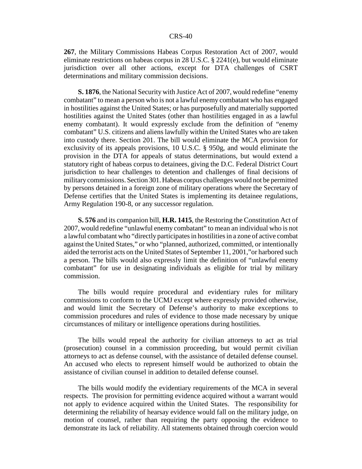**267**, the Military Commissions Habeas Corpus Restoration Act of 2007, would eliminate restrictions on habeas corpus in 28 U.S.C. § 2241(e), but would eliminate jurisdiction over all other actions, except for DTA challenges of CSRT determinations and military commission decisions.

**S. 1876**, the National Security with Justice Act of 2007, would redefine "enemy combatant" to mean a person who is not a lawful enemy combatant who has engaged in hostilities against the United States; or has purposefully and materially supported hostilities against the United States (other than hostilities engaged in as a lawful enemy combatant). It would expressly exclude from the definition of "enemy combatant" U.S. citizens and aliens lawfully within the United States who are taken into custody there. Section 201. The bill would eliminate the MCA provision for exclusivity of its appeals provisions, 10 U.S.C. § 950g, and would eliminate the provision in the DTA for appeals of status determinations, but would extend a statutory right of habeas corpus to detainees, giving the D.C. Federal District Court jurisdiction to hear challenges to detention and challenges of final decisions of military commissions. Section 301. Habeas corpus challenges would not be permitted by persons detained in a foreign zone of military operations where the Secretary of Defense certifies that the United States is implementing its detainee regulations, Army Regulation 190-8, or any successor regulation.

**S. 576** and its companion bill, **H.R. 1415**, the Restoring the Constitution Act of 2007, would redefine "unlawful enemy combatant" to mean an individual who is not a lawful combatant who "directly participates in hostilities in a zone of active combat against the United States," or who "planned, authorized, committed, or intentionally aided the terrorist acts on the United States of September 11, 2001,"or harbored such a person. The bills would also expressly limit the definition of "unlawful enemy combatant" for use in designating individuals as eligible for trial by military commission.

The bills would require procedural and evidentiary rules for military commissions to conform to the UCMJ except where expressly provided otherwise, and would limit the Secretary of Defense's authority to make exceptions to commission procedures and rules of evidence to those made necessary by unique circumstances of military or intelligence operations during hostilities.

The bills would repeal the authority for civilian attorneys to act as trial (prosecution) counsel in a commission proceeding, but would permit civilian attorneys to act as defense counsel, with the assistance of detailed defense counsel. An accused who elects to represent himself would be authorized to obtain the assistance of civilian counsel in addition to detailed defense counsel.

The bills would modify the evidentiary requirements of the MCA in several respects. The provision for permitting evidence acquired without a warrant would not apply to evidence acquired within the United States. The responsibility for determining the reliability of hearsay evidence would fall on the military judge, on motion of counsel, rather than requiring the party opposing the evidence to demonstrate its lack of reliability. All statements obtained through coercion would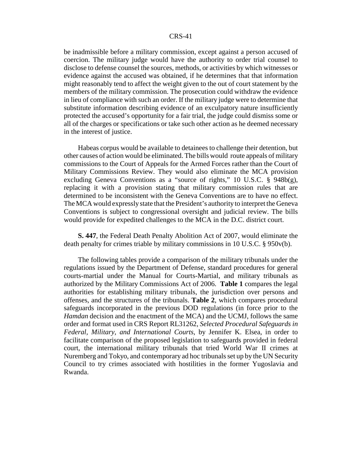be inadmissible before a military commission, except against a person accused of coercion. The military judge would have the authority to order trial counsel to disclose to defense counsel the sources, methods, or activities by which witnesses or evidence against the accused was obtained, if he determines that that information might reasonably tend to affect the weight given to the out of court statement by the members of the military commission. The prosecution could withdraw the evidence in lieu of compliance with such an order. If the military judge were to determine that substitute information describing evidence of an exculpatory nature insufficiently protected the accused's opportunity for a fair trial, the judge could dismiss some or all of the charges or specifications or take such other action as he deemed necessary in the interest of justice.

Habeas corpus would be available to detainees to challenge their detention, but other causes of action would be eliminated. The bills would route appeals of military commissions to the Court of Appeals for the Armed Forces rather than the Court of Military Commissions Review. They would also eliminate the MCA provision excluding Geneva Conventions as a "source of rights," 10 U.S.C. § 948b(g), replacing it with a provision stating that military commission rules that are determined to be inconsistent with the Geneva Conventions are to have no effect. The MCA would expressly state that the President's authority to interpret the Geneva Conventions is subject to congressional oversight and judicial review. The bills would provide for expedited challenges to the MCA in the D.C. district court.

**S. 447**, the Federal Death Penalty Abolition Act of 2007, would eliminate the death penalty for crimes triable by military commissions in 10 U.S.C. § 950v(b).

The following tables provide a comparison of the military tribunals under the regulations issued by the Department of Defense, standard procedures for general courts-martial under the Manual for Courts-Martial, and military tribunals as authorized by the Military Commissions Act of 2006. **Table 1** compares the legal authorities for establishing military tribunals, the jurisdiction over persons and offenses, and the structures of the tribunals. **Table 2**, which compares procedural safeguards incorporated in the previous DOD regulations (in force prior to the *Hamdan* decision and the enactment of the MCA) and the UCMJ, follows the same order and format used in CRS Report RL31262, *Selected Procedural Safeguards in Federal, Military, and International Courts*, by Jennifer K. Elsea, in order to facilitate comparison of the proposed legislation to safeguards provided in federal court, the international military tribunals that tried World War II crimes at Nuremberg and Tokyo, and contemporary ad hoc tribunals set up by the UN Security Council to try crimes associated with hostilities in the former Yugoslavia and Rwanda.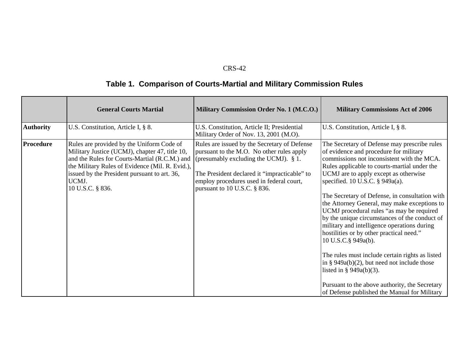# **Table 1. Comparison of Courts-Martial and Military Commission Rules**

|                  | <b>General Courts Martial</b>                                                                                                                                                                                                                                                | Military Commission Order No. 1 (M.C.O.)                                                                                                                                                                                                                             | <b>Military Commissions Act of 2006</b>                                                                                                                                                                                                                                                                                                                                                                                                                                                                                                                                                                                                                                                                                                                                                                                    |
|------------------|------------------------------------------------------------------------------------------------------------------------------------------------------------------------------------------------------------------------------------------------------------------------------|----------------------------------------------------------------------------------------------------------------------------------------------------------------------------------------------------------------------------------------------------------------------|----------------------------------------------------------------------------------------------------------------------------------------------------------------------------------------------------------------------------------------------------------------------------------------------------------------------------------------------------------------------------------------------------------------------------------------------------------------------------------------------------------------------------------------------------------------------------------------------------------------------------------------------------------------------------------------------------------------------------------------------------------------------------------------------------------------------------|
| <b>Authority</b> | U.S. Constitution, Article I, § 8.                                                                                                                                                                                                                                           | U.S. Constitution, Article II; Presidential<br>Military Order of Nov. 13, 2001 (M.O).                                                                                                                                                                                | U.S. Constitution, Article I, § 8.                                                                                                                                                                                                                                                                                                                                                                                                                                                                                                                                                                                                                                                                                                                                                                                         |
| <b>Procedure</b> | Rules are provided by the Uniform Code of<br>Military Justice (UCMJ), chapter 47, title 10,<br>and the Rules for Courts-Martial (R.C.M.) and<br>the Military Rules of Evidence (Mil. R. Evid.),<br>issued by the President pursuant to art. 36,<br>UCMJ.<br>10 U.S.C. § 836. | Rules are issued by the Secretary of Defense<br>pursuant to the M.O. No other rules apply<br>(presumably excluding the UCMJ). $\S$ 1.<br>The President declared it "impracticable" to<br>employ procedures used in federal court,<br>pursuant to 10 U.S.C. $\S$ 836. | The Secretary of Defense may prescribe rules<br>of evidence and procedure for military<br>commissions not inconsistent with the MCA.<br>Rules applicable to courts-martial under the<br>UCMJ are to apply except as otherwise<br>specified. 10 U.S.C. $\S$ 949a(a).<br>The Secretary of Defense, in consultation with<br>the Attorney General, may make exceptions to<br>UCMJ procedural rules "as may be required<br>by the unique circumstances of the conduct of<br>military and intelligence operations during<br>hostilities or by other practical need."<br>10 U.S.C.§ 949a(b).<br>The rules must include certain rights as listed<br>in § $949a(b)(2)$ , but need not include those<br>listed in § $949a(b)(3)$ .<br>Pursuant to the above authority, the Secretary<br>of Defense published the Manual for Military |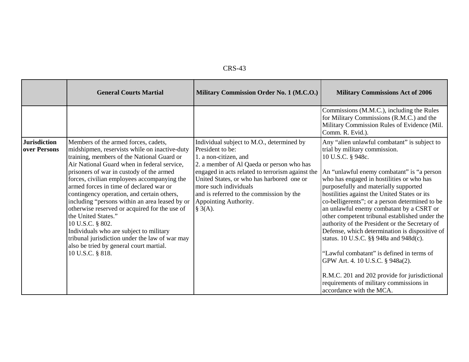|--|--|

|                                     | <b>General Courts Martial</b>                                                                                                                                                                                                                                                                                                                                                                                                                                                                                                                                                                                                                                                    | Military Commission Order No. 1 (M.C.O.)                                                                                                                                                                                                                                                                                                      | <b>Military Commissions Act of 2006</b>                                                                                                                                                                                                                                                                                                                                                                                                                                                                                                                                                                                                                                                                                                                                                       |
|-------------------------------------|----------------------------------------------------------------------------------------------------------------------------------------------------------------------------------------------------------------------------------------------------------------------------------------------------------------------------------------------------------------------------------------------------------------------------------------------------------------------------------------------------------------------------------------------------------------------------------------------------------------------------------------------------------------------------------|-----------------------------------------------------------------------------------------------------------------------------------------------------------------------------------------------------------------------------------------------------------------------------------------------------------------------------------------------|-----------------------------------------------------------------------------------------------------------------------------------------------------------------------------------------------------------------------------------------------------------------------------------------------------------------------------------------------------------------------------------------------------------------------------------------------------------------------------------------------------------------------------------------------------------------------------------------------------------------------------------------------------------------------------------------------------------------------------------------------------------------------------------------------|
|                                     |                                                                                                                                                                                                                                                                                                                                                                                                                                                                                                                                                                                                                                                                                  |                                                                                                                                                                                                                                                                                                                                               | Commissions (M.M.C.), including the Rules<br>for Military Commissions (R.M.C.) and the<br>Military Commission Rules of Evidence (Mil.<br>Comm. R. Evid.).                                                                                                                                                                                                                                                                                                                                                                                                                                                                                                                                                                                                                                     |
| <b>Jurisdiction</b><br>over Persons | Members of the armed forces, cadets,<br>midshipmen, reservists while on inactive-duty<br>training, members of the National Guard or<br>Air National Guard when in federal service,<br>prisoners of war in custody of the armed<br>forces, civilian employees accompanying the<br>armed forces in time of declared war or<br>contingency operation, and certain others,<br>including "persons within an area leased by or<br>otherwise reserved or acquired for the use of<br>the United States."<br>10 U.S.C. § 802.<br>Individuals who are subject to military<br>tribunal jurisdiction under the law of war may<br>also be tried by general court martial.<br>10 U.S.C. § 818. | Individual subject to M.O., determined by<br>President to be:<br>1. a non-citizen, and<br>2. a member of Al Qaeda or person who has<br>engaged in acts related to terrorism against the<br>United States, or who has harbored one or<br>more such individuals<br>and is referred to the commission by the<br>Appointing Authority.<br>§ 3(A). | Any "alien unlawful combatant" is subject to<br>trial by military commission.<br>10 U.S.C. § 948c.<br>An "unlawful enemy combatant" is "a person<br>who has engaged in hostilities or who has<br>purposefully and materially supported<br>hostilities against the United States or its<br>co-belligerents"; or a person determined to be<br>an unlawful enemy combatant by a CSRT or<br>other competent tribunal established under the<br>authority of the President or the Secretary of<br>Defense, which determination is dispositive of<br>status. 10 U.S.C. §§ 948a and 948d(c).<br>"Lawful combatant" is defined in terms of<br>GPW Art. 4. 10 U.S.C. § 948a(2).<br>R.M.C. 201 and 202 provide for jurisdictional<br>requirements of military commissions in<br>accordance with the MCA. |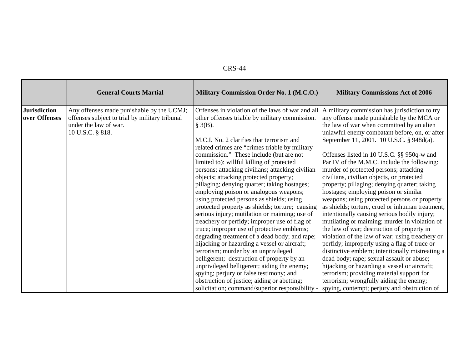| `RS-<br>.44 |
|-------------|
|-------------|

|                                      | <b>General Courts Martial</b>                                                                                                            | Military Commission Order No. 1 (M.C.O.)                                                                                                                                                                                                                                                                                                                                                                                                                                                                                                                                                                                                                                                                                                                           | <b>Military Commissions Act of 2006</b>                                                                                                                                                                                                                                                                                                                                                                                                                                                                                                                                                                                                                                                                                                                                         |
|--------------------------------------|------------------------------------------------------------------------------------------------------------------------------------------|--------------------------------------------------------------------------------------------------------------------------------------------------------------------------------------------------------------------------------------------------------------------------------------------------------------------------------------------------------------------------------------------------------------------------------------------------------------------------------------------------------------------------------------------------------------------------------------------------------------------------------------------------------------------------------------------------------------------------------------------------------------------|---------------------------------------------------------------------------------------------------------------------------------------------------------------------------------------------------------------------------------------------------------------------------------------------------------------------------------------------------------------------------------------------------------------------------------------------------------------------------------------------------------------------------------------------------------------------------------------------------------------------------------------------------------------------------------------------------------------------------------------------------------------------------------|
| <b>Jurisdiction</b><br>over Offenses | Any offenses made punishable by the UCMJ;<br>offenses subject to trial by military tribunal<br>under the law of war.<br>10 U.S.C. § 818. | Offenses in violation of the laws of war and all<br>other offenses triable by military commission.<br>§ 3(B).<br>M.C.I. No. 2 clarifies that terrorism and<br>related crimes are "crimes triable by military                                                                                                                                                                                                                                                                                                                                                                                                                                                                                                                                                       | A military commission has jurisdiction to try<br>any offense made punishable by the MCA or<br>the law of war when committed by an alien<br>unlawful enemy combatant before, on, or after<br>September 11, 2001. 10 U.S.C. § 948d(a).                                                                                                                                                                                                                                                                                                                                                                                                                                                                                                                                            |
|                                      |                                                                                                                                          | commission." These include (but are not<br>limited to): willful killing of protected<br>persons; attacking civilians; attacking civilian<br>objects; attacking protected property;<br>pillaging; denying quarter; taking hostages;<br>employing poison or analogous weapons;<br>using protected persons as shields; using<br>protected property as shields; torture; causing<br>serious injury; mutilation or maiming; use of<br>treachery or perfidy; improper use of flag of<br>truce; improper use of protective emblems;<br>degrading treatment of a dead body; and rape;<br>hijacking or hazarding a vessel or aircraft;<br>terrorism; murder by an unprivileged<br>belligerent; destruction of property by an<br>unprivileged belligerent; aiding the enemy; | Offenses listed in 10 U.S.C. §§ 950q-w and<br>Par IV of the M.M.C. include the following:<br>murder of protected persons; attacking<br>civilians, civilian objects, or protected<br>property; pillaging; denying quarter; taking<br>hostages; employing poison or similar<br>weapons; using protected persons or property<br>as shields; torture, cruel or inhuman treatment;<br>intentionally causing serious bodily injury;<br>mutilating or maiming; murder in violation of<br>the law of war; destruction of property in<br>violation of the law of war; using treachery or<br>perfidy; improperly using a flag of truce or<br>distinctive emblem; intentionally mistreating a<br>dead body; rape; sexual assault or abuse;<br>hijacking or hazarding a vessel or aircraft; |
|                                      |                                                                                                                                          | spying; perjury or false testimony; and<br>obstruction of justice; aiding or abetting;<br>solicitation; command/superior responsibility -                                                                                                                                                                                                                                                                                                                                                                                                                                                                                                                                                                                                                          | terrorism; providing material support for<br>terrorism; wrongfully aiding the enemy;<br>spying, contempt; perjury and obstruction of                                                                                                                                                                                                                                                                                                                                                                                                                                                                                                                                                                                                                                            |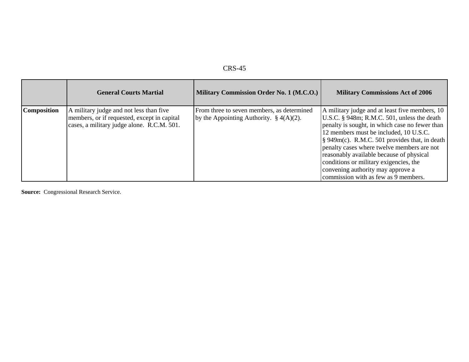| n<br>×.<br>œ<br>v. |
|--------------------|
|--------------------|

|                    | <b>General Courts Martial</b>                                                                                                        | Military Commission Order No. 1 (M.C.O.)                                                  | <b>Military Commissions Act of 2006</b>                                                                                                                                                                                                                                                                                                                                                                                                                                 |
|--------------------|--------------------------------------------------------------------------------------------------------------------------------------|-------------------------------------------------------------------------------------------|-------------------------------------------------------------------------------------------------------------------------------------------------------------------------------------------------------------------------------------------------------------------------------------------------------------------------------------------------------------------------------------------------------------------------------------------------------------------------|
| <b>Composition</b> | A military judge and not less than five<br>members, or if requested, except in capital<br>cases, a military judge alone. R.C.M. 501. | From three to seven members, as determined<br>by the Appointing Authority. $\S 4(A)(2)$ . | A military judge and at least five members, 10<br>U.S.C. § 948m; R.M.C. 501, unless the death<br>penalty is sought, in which case no fewer than<br>12 members must be included, 10 U.S.C.<br>$\frac{1}{2}$ 949m(c). R.M.C. 501 provides that, in death<br>penalty cases where twelve members are not<br>reasonably available because of physical<br>conditions or military exigencies, the<br>convening authority may approve a<br>commission with as few as 9 members. |

**Source:** Congressional Research Service.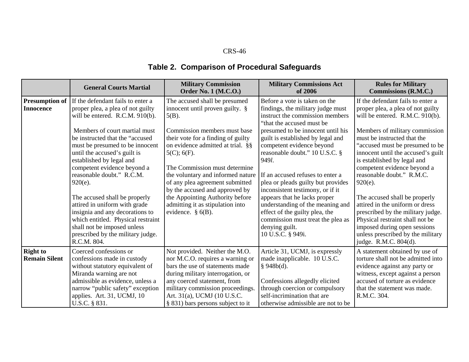|                                         | <b>General Courts Martial</b>                                                                                                                                                                                                              | <b>Military Commission</b><br><b>Order No. 1 (M.C.O.)</b>                                                                                                                                                                                                                         | <b>Military Commissions Act</b><br>of 2006                                                                                                                                                                                                                   | <b>Rules for Military</b><br>Commissions (R.M.C.)                                                                                                                                                                                               |
|-----------------------------------------|--------------------------------------------------------------------------------------------------------------------------------------------------------------------------------------------------------------------------------------------|-----------------------------------------------------------------------------------------------------------------------------------------------------------------------------------------------------------------------------------------------------------------------------------|--------------------------------------------------------------------------------------------------------------------------------------------------------------------------------------------------------------------------------------------------------------|-------------------------------------------------------------------------------------------------------------------------------------------------------------------------------------------------------------------------------------------------|
| <b>Presumption of</b>                   | If the defendant fails to enter a                                                                                                                                                                                                          | The accused shall be presumed                                                                                                                                                                                                                                                     | Before a vote is taken on the                                                                                                                                                                                                                                | If the defendant fails to enter a                                                                                                                                                                                                               |
| <b>Innocence</b>                        | proper plea, a plea of not guilty<br>will be entered. R.C.M. 910(b).                                                                                                                                                                       | innocent until proven guilty. $\S$<br>$5(B)$ .                                                                                                                                                                                                                                    | findings, the military judge must<br>instruct the commission members<br>"that the accused must be                                                                                                                                                            | proper plea, a plea of not guilty<br>will be entered. R.M.C. 910(b).                                                                                                                                                                            |
|                                         | Members of court martial must<br>be instructed that the "accused<br>must be presumed to be innocent<br>until the accused's guilt is<br>established by legal and<br>competent evidence beyond a<br>reasonable doubt." R.C.M.<br>$920(e)$ .  | Commission members must base<br>their vote for a finding of guilty<br>on evidence admitted at trial. §§<br>$5(C)$ ; $6(F)$ .<br>The Commission must determine<br>the voluntary and informed nature<br>of any plea agreement submitted<br>by the accused and approved by           | presumed to be innocent until his<br>guilt is established by legal and<br>competent evidence beyond<br>reasonable doubt." 10 U.S.C. §<br>949l.<br>If an accused refuses to enter a<br>plea or pleads guilty but provides<br>inconsistent testimony, or if it | Members of military commission<br>must be instructed that the<br>"accused must be presumed to be<br>innocent until the accused's guilt<br>is established by legal and<br>competent evidence beyond a<br>reasonable doubt." R.M.C.<br>$920(e)$ . |
|                                         | The accused shall be properly<br>attired in uniform with grade<br>insignia and any decorations to<br>which entitled. Physical restraint<br>shall not be imposed unless<br>prescribed by the military judge.<br>R.C.M. 804.                 | the Appointing Authority before<br>admitting it as stipulation into<br>evidence. $\S$ 6(B).                                                                                                                                                                                       | appears that he lacks proper<br>understanding of the meaning and<br>effect of the guilty plea, the<br>commission must treat the plea as<br>denying guilt.<br>10 U.S.C. § 949i.                                                                               | The accused shall be properly<br>attired in the uniform or dress<br>prescribed by the military judge.<br>Physical restraint shall not be<br>imposed during open sessions<br>unless prescribed by the military<br>judge. R.M.C. 804(d).          |
| <b>Right to</b><br><b>Remain Silent</b> | Coerced confessions or<br>confessions made in custody<br>without statutory equivalent of<br>Miranda warning are not<br>admissible as evidence, unless a<br>narrow "public safety" exception<br>applies. Art. 31, UCMJ, 10<br>U.S.C. § 831. | Not provided. Neither the M.O.<br>nor M.C.O. requires a warning or<br>bars the use of statements made<br>during military interrogation, or<br>any coerced statement, from<br>military commission proceedings.<br>Art. 31(a), UCMJ (10 U.S.C.<br>§ 831) bars persons subject to it | Article 31, UCMJ, is expressly<br>made inapplicable. 10 U.S.C.<br>§ 948b(d).<br>Confessions allegedly elicited<br>through coercion or compulsory<br>self-incrimination that are<br>otherwise admissible are not to be                                        | A statement obtained by use of<br>torture shall not be admitted into<br>evidence against any party or<br>witness, except against a person<br>accused of torture as evidence<br>that the statement was made.<br>R.M.C. 304.                      |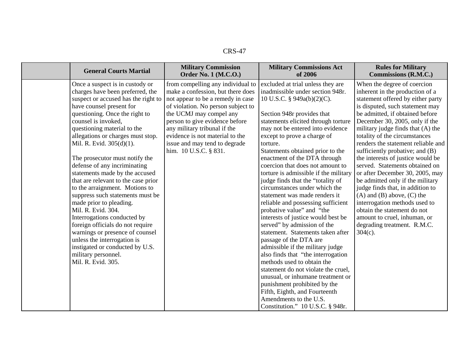| <b>General Courts Martial</b>                                                                                                                                                                                                                                                                                                                                                                                                                                                                                                                                                                                                                                                                                                                                                          | <b>Military Commission</b><br><b>Order No. 1 (M.C.O.)</b>                                                                                                                                                                                                                                                                                   | <b>Military Commissions Act</b><br>of 2006                                                                                                                                                                                                                                                                                                                                                                                                                                                                                                                                                                                                                                                                                                                                                                                                                                                                                                                                                            | <b>Rules for Military</b><br>Commissions (R.M.C.)                                                                                                                                                                                                                                                                                                                                                                                                                                                                                                                                                                                                                                                                             |
|----------------------------------------------------------------------------------------------------------------------------------------------------------------------------------------------------------------------------------------------------------------------------------------------------------------------------------------------------------------------------------------------------------------------------------------------------------------------------------------------------------------------------------------------------------------------------------------------------------------------------------------------------------------------------------------------------------------------------------------------------------------------------------------|---------------------------------------------------------------------------------------------------------------------------------------------------------------------------------------------------------------------------------------------------------------------------------------------------------------------------------------------|-------------------------------------------------------------------------------------------------------------------------------------------------------------------------------------------------------------------------------------------------------------------------------------------------------------------------------------------------------------------------------------------------------------------------------------------------------------------------------------------------------------------------------------------------------------------------------------------------------------------------------------------------------------------------------------------------------------------------------------------------------------------------------------------------------------------------------------------------------------------------------------------------------------------------------------------------------------------------------------------------------|-------------------------------------------------------------------------------------------------------------------------------------------------------------------------------------------------------------------------------------------------------------------------------------------------------------------------------------------------------------------------------------------------------------------------------------------------------------------------------------------------------------------------------------------------------------------------------------------------------------------------------------------------------------------------------------------------------------------------------|
| Once a suspect is in custody or<br>charges have been preferred, the<br>suspect or accused has the right to<br>have counsel present for<br>questioning. Once the right to<br>counsel is invoked,<br>questioning material to the<br>allegations or charges must stop.<br>Mil. R. Evid. 305(d)(1).<br>The prosecutor must notify the<br>defense of any incriminating<br>statements made by the accused<br>that are relevant to the case prior<br>to the arraignment. Motions to<br>suppress such statements must be<br>made prior to pleading.<br>Mil. R. Evid. 304.<br>Interrogations conducted by<br>foreign officials do not require<br>warnings or presence of counsel<br>unless the interrogation is<br>instigated or conducted by U.S.<br>military personnel.<br>Mil. R. Evid. 305. | from compelling any individual to<br>make a confession, but there does<br>not appear to be a remedy in case<br>of violation. No person subject to<br>the UCMJ may compel any<br>person to give evidence before<br>any military tribunal if the<br>evidence is not material to the<br>issue and may tend to degrade<br>him. 10 U.S.C. § 831. | excluded at trial unless they are<br>inadmissible under section 948r.<br>10 U.S.C. § 949a(b)(2)(C).<br>Section 948r provides that<br>statements elicited through torture<br>may not be entered into evidence<br>except to prove a charge of<br>torture.<br>Statements obtained prior to the<br>enactment of the DTA through<br>coercion that does not amount to<br>torture is admissible if the military<br>judge finds that the "totality of<br>circumstances under which the<br>statement was made renders it<br>reliable and possessing sufficient<br>probative value" and "the<br>interests of justice would best be<br>served" by admission of the<br>statement. Statements taken after<br>passage of the DTA are<br>admissible if the military judge<br>also finds that "the interrogation<br>methods used to obtain the<br>statement do not violate the cruel,<br>unusual, or inhumane treatment or<br>punishment prohibited by the<br>Fifth, Eighth, and Fourteenth<br>Amendments to the U.S. | When the degree of coercion<br>inherent in the production of a<br>statement offered by either party<br>is disputed, such statement may<br>be admitted, if obtained before<br>December 30, 2005, only if the<br>military judge finds that (A) the<br>totality of the circumstances<br>renders the statement reliable and<br>sufficiently probative; and (B)<br>the interests of justice would be<br>served. Statements obtained on<br>or after December 30, 2005, may<br>be admitted only if the military<br>judge finds that, in addition to<br>$(A)$ and $(B)$ above, $(C)$ the<br>interrogation methods used to<br>obtain the statement do not<br>amount to cruel, inhuman, or<br>degrading treatment. R.M.C.<br>$304(c)$ . |
|                                                                                                                                                                                                                                                                                                                                                                                                                                                                                                                                                                                                                                                                                                                                                                                        |                                                                                                                                                                                                                                                                                                                                             | Constitution." 10 U.S.C. § 948r.                                                                                                                                                                                                                                                                                                                                                                                                                                                                                                                                                                                                                                                                                                                                                                                                                                                                                                                                                                      |                                                                                                                                                                                                                                                                                                                                                                                                                                                                                                                                                                                                                                                                                                                               |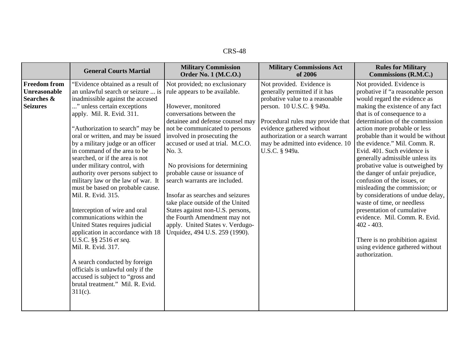|                                                                      | <b>General Courts Martial</b>                                                                                                                                                                                                                                                                                                                                                                                                                                                                                                                                                                                                                                                                                                                                                                                                                                                   | <b>Military Commission</b><br><b>Order No. 1 (M.C.O.)</b>                                                                                                                                                                                                                                                                                                                                                                                                                                                                                                                                 | <b>Military Commissions Act</b><br>of 2006                                                                                                                                                                                                                                               | <b>Rules for Military</b><br><b>Commissions (R.M.C.)</b>                                                                                                                                                                                                                                                                                                                                                                                                                                                                                                                                                                                                                                                                                                      |
|----------------------------------------------------------------------|---------------------------------------------------------------------------------------------------------------------------------------------------------------------------------------------------------------------------------------------------------------------------------------------------------------------------------------------------------------------------------------------------------------------------------------------------------------------------------------------------------------------------------------------------------------------------------------------------------------------------------------------------------------------------------------------------------------------------------------------------------------------------------------------------------------------------------------------------------------------------------|-------------------------------------------------------------------------------------------------------------------------------------------------------------------------------------------------------------------------------------------------------------------------------------------------------------------------------------------------------------------------------------------------------------------------------------------------------------------------------------------------------------------------------------------------------------------------------------------|------------------------------------------------------------------------------------------------------------------------------------------------------------------------------------------------------------------------------------------------------------------------------------------|---------------------------------------------------------------------------------------------------------------------------------------------------------------------------------------------------------------------------------------------------------------------------------------------------------------------------------------------------------------------------------------------------------------------------------------------------------------------------------------------------------------------------------------------------------------------------------------------------------------------------------------------------------------------------------------------------------------------------------------------------------------|
| <b>Freedom from</b><br>Unreasonable<br>Searches &<br><b>Seizures</b> | "Evidence obtained as a result of<br>an unlawful search or seizure  is<br>inadmissible against the accused<br>" unless certain exceptions<br>apply. Mil. R. Evid. 311.<br>"Authorization to search" may be<br>oral or written, and may be issued<br>by a military judge or an officer<br>in command of the area to be<br>searched, or if the area is not<br>under military control, with<br>authority over persons subject to<br>military law or the law of war. It<br>must be based on probable cause.<br>Mil. R. Evid. 315.<br>Interception of wire and oral<br>communications within the<br>United States requires judicial<br>application in accordance with 18<br>U.S.C. §§ 2516 et seq.<br>Mil. R. Evid. 317.<br>A search conducted by foreign<br>officials is unlawful only if the<br>accused is subject to "gross and<br>brutal treatment." Mil. R. Evid.<br>$311(c)$ . | Not provided; no exclusionary<br>rule appears to be available.<br>However, monitored<br>conversations between the<br>detainee and defense counsel may<br>not be communicated to persons<br>involved in prosecuting the<br>accused or used at trial. M.C.O.<br>No. 3.<br>No provisions for determining<br>probable cause or issuance of<br>search warrants are included.<br>Insofar as searches and seizures<br>take place outside of the United<br>States against non-U.S. persons,<br>the Fourth Amendment may not<br>apply. United States v. Verdugo-<br>Urquidez, 494 U.S. 259 (1990). | Not provided. Evidence is<br>generally permitted if it has<br>probative value to a reasonable<br>person. 10 U.S.C. § 949a.<br>Procedural rules may provide that<br>evidence gathered without<br>authorization or a search warrant<br>may be admitted into evidence. 10<br>U.S.C. § 949a. | Not provided. Evidence is<br>probative if "a reasonable person<br>would regard the evidence as<br>making the existence of any fact<br>that is of consequence to a<br>determination of the commission<br>action more probable or less<br>probable than it would be without<br>the evidence." Mil. Comm. R.<br>Evid. 401. Such evidence is<br>generally admissible unless its<br>probative value is outweighed by<br>the danger of unfair prejudice,<br>confusion of the issues, or<br>misleading the commission; or<br>by considerations of undue delay,<br>waste of time, or needless<br>presentation of cumulative<br>evidence. Mil. Comm. R. Evid.<br>$402 - 403$ .<br>There is no prohibition against<br>using evidence gathered without<br>authorization. |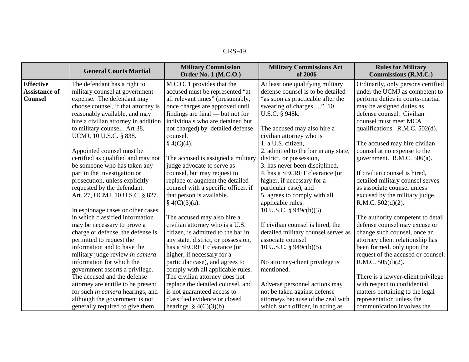|                      | <b>General Courts Martial</b>                                  | <b>Military Commission</b><br><b>Order No. 1 (M.C.O.)</b>           | <b>Military Commissions Act</b><br>of 2006    | <b>Rules for Military</b><br><b>Commissions (R.M.C.)</b>           |
|----------------------|----------------------------------------------------------------|---------------------------------------------------------------------|-----------------------------------------------|--------------------------------------------------------------------|
| <b>Effective</b>     | The defendant has a right to                                   | M.C.O. 1 provides that the                                          | At least one qualifying military              | Ordinarily, only persons certified                                 |
| <b>Assistance of</b> | military counsel at government                                 | accused must be represented "at                                     | defense counsel is to be detailed             | under the UCMJ as competent to                                     |
| <b>Counsel</b>       | expense. The defendant may                                     | all relevant times" (presumably,                                    | "as soon as practicable after the             | perform duties in courts-martial                                   |
|                      | choose counsel, if that attorney is                            | once charges are approved until                                     | swearing of charges" 10                       | may be assigned duties as                                          |
|                      | reasonably available, and may                                  | findings are final — but not for                                    | U.S.C. § 948k.                                | defense counsel. Civilian                                          |
|                      | hire a civilian attorney in addition                           | individuals who are detained but                                    |                                               | counsel must meet MCA                                              |
|                      | to military counsel. Art 38,                                   | not charged) by detailed defense                                    | The accused may also hire a                   | qualifications. R.M.C. 502(d).                                     |
|                      | UCMJ, 10 U.S.C. § 838.                                         | counsel.                                                            | civilian attorney who is                      |                                                                    |
|                      |                                                                | $\S$ 4(C)(4).                                                       | 1. a U.S. citizen,                            | The accused may hire civilian                                      |
|                      | Appointed counsel must be                                      |                                                                     | 2. admitted to the bar in any state,          | counsel at no expense to the                                       |
|                      | certified as qualified and may not                             | The accused is assigned a military                                  | district, or possession,                      | government. R.M.C. 506(a).                                         |
|                      | be someone who has taken any                                   | judge advocate to serve as                                          | 3. has never been disciplined,                |                                                                    |
|                      | part in the investigation or                                   | counsel, but may request to                                         | 4. has a SECRET clearance (or                 | If civilian counsel is hired,                                      |
|                      | prosecution, unless explicitly                                 | replace or augment the detailed                                     | higher, if necessary for a                    | detailed military counsel serves                                   |
|                      | requested by the defendant.                                    | counsel with a specific officer, if                                 | particular case), and                         | as associate counsel unless                                        |
|                      | Art. 27, UCMJ, 10 U.S.C. § 827.                                | that person is available.                                           | 5. agrees to comply with all                  | excused by the military judge.                                     |
|                      |                                                                | $\S$ 4(C)(3)(a).                                                    | applicable rules.                             | R.M.C. 502(d)(2).                                                  |
|                      | In espionage cases or other cases                              |                                                                     | 10 U.S.C. § 949c(b)(3).                       |                                                                    |
|                      | in which classified information                                | The accused may also hire a                                         |                                               | The authority competent to detail                                  |
|                      | may be necessary to prove a                                    | civilian attorney who is a U.S.                                     | If civilian counsel is hired, the             | defense counsel may excuse or                                      |
|                      | charge or defense, the defense is                              | citizen, is admitted to the bar in                                  | detailed military counsel serves as           | change such counsel, once an                                       |
|                      | permitted to request the                                       | any state, district, or possession,                                 | associate counsel.                            | attorney client relationship has                                   |
|                      | information and to have the                                    | has a SECRET clearance (or                                          | 10 U.S.C. § 949c(b)(5).                       | been formed, only upon the                                         |
|                      | military judge review in camera<br>information for which the   | higher, if necessary for a                                          |                                               | request of the accused or counsel.                                 |
|                      |                                                                | particular case), and agrees to                                     | No attorney-client privilege is<br>mentioned. | R.M.C. 505(d)(2).                                                  |
|                      | government asserts a privilege.<br>The accused and the defense | comply with all applicable rules.<br>The civilian attorney does not |                                               |                                                                    |
|                      | attorney are entitle to be present                             | replace the detailed counsel, and                                   | Adverse personnel actions may                 | There is a lawyer-client privilege<br>with respect to confidential |
|                      | for such in camera hearings, and                               | is not guaranteed access to                                         | not be taken against defense                  | matters pertaining to the legal                                    |
|                      | although the government is not                                 | classified evidence or closed                                       | attorneys because of the zeal with            | representation unless the                                          |
|                      | generally required to give them                                | hearings. $\S 4(C)(3)(b)$ .                                         | which such officer, in acting as              | communication involves the                                         |
|                      |                                                                |                                                                     |                                               |                                                                    |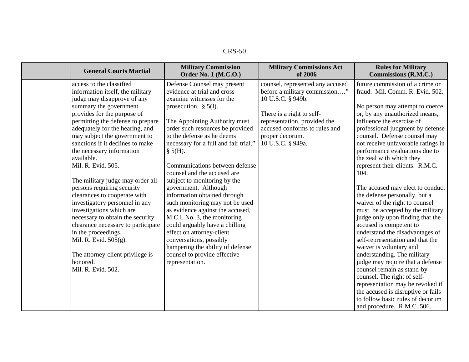| CRS-<br>50 |
|------------|
|------------|

| <b>General Courts Martial</b>      | <b>Military Commission</b><br><b>Order No. 1 (M.C.O.)</b> | <b>Military Commissions Act</b><br>of 2006 | <b>Rules for Military</b><br>Commissions (R.M.C.) |
|------------------------------------|-----------------------------------------------------------|--------------------------------------------|---------------------------------------------------|
| access to the classified           | Defense Counsel may present                               | counsel, represented any accused           | future commission of a crime or                   |
| information itself, the military   | evidence at trial and cross-                              | before a military commission"              | fraud. Mil. Comm. R. Evid. 502.                   |
| judge may disapprove of any        | examine witnesses for the                                 | 10 U.S.C. § 949b.                          |                                                   |
| summary the government             | prosecution. $\S$ 5(I).                                   |                                            | No person may attempt to coerce                   |
| provides for the purpose of        |                                                           | There is a right to self-                  | or, by any unauthorized means,                    |
| permitting the defense to prepare  | The Appointing Authority must                             | representation, provided the               | influence the exercise of                         |
| adequately for the hearing, and    | order such resources be provided                          | accused conforms to rules and              | professional judgment by defense                  |
| may subject the government to      | to the defense as he deems                                | proper decorum.                            | counsel. Defense counsel may                      |
| sanctions if it declines to make   | necessary for a full and fair trial."                     | 10 U.S.C. § 949a.                          | not receive unfavorable ratings in                |
| the necessary information          | $\S$ 5(H).                                                |                                            | performance evaluations due to                    |
| available.                         |                                                           |                                            | the zeal with which they                          |
| Mil. R. Evid. 505.                 | Communications between defense                            |                                            | represent their clients. R.M.C.                   |
|                                    | counsel and the accused are                               |                                            | 104.                                              |
| The military judge may order all   | subject to monitoring by the                              |                                            |                                                   |
| persons requiring security         | government. Although                                      |                                            | The accused may elect to conduct                  |
| clearances to cooperate with       | information obtained through                              |                                            | the defense personally, but a                     |
| investigatory personnel in any     | such monitoring may not be used                           |                                            | waiver of the right to counsel                    |
| investigations which are           | as evidence against the accused,                          |                                            | must be accepted by the military                  |
| necessary to obtain the security   | M.C.I. No. 3, the monitoring                              |                                            | judge only upon finding that the                  |
| clearance necessary to participate | could arguably have a chilling                            |                                            | accused is competent to                           |
| in the proceedings.                | effect on attorney-client                                 |                                            | understand the disadvantages of                   |
| Mil. R. Evid. 505(g).              | conversations, possibly                                   |                                            | self-representation and that the                  |
|                                    | hampering the ability of defense                          |                                            | waiver is voluntary and                           |
| The attorney-client privilege is   | counsel to provide effective                              |                                            | understanding. The military                       |
| honored.                           | representation.                                           |                                            | judge may require that a defense                  |
| Mil. R. Evid. 502.                 |                                                           |                                            | counsel remain as stand-by                        |
|                                    |                                                           |                                            | counsel. The right of self-                       |
|                                    |                                                           |                                            | representation may be revoked if                  |
|                                    |                                                           |                                            | the accused is disruptive or fails                |
|                                    |                                                           |                                            | to follow basic rules of decorum                  |
|                                    |                                                           |                                            | and procedure. R.M.C. 506.                        |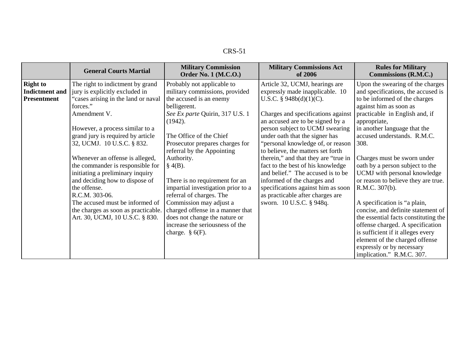| v |  |
|---|--|
|---|--|

|                                                                | <b>General Courts Martial</b>                                                                                                                                                                                                                                                                                                                                                                                                                                                                                                           | <b>Military Commission</b><br><b>Order No. 1 (M.C.O.)</b>                                                                                                                                                                                                                                                                                                                                                                                                                                                                                 | <b>Military Commissions Act</b><br>of 2006                                                                                                                                                                                                                                                                                                                                                                                                                                                                                                                                      | <b>Rules for Military</b><br>Commissions (R.M.C.)                                                                                                                                                                                                                                                                                                                                                                                                                                                                                                                                                                                                                                                        |
|----------------------------------------------------------------|-----------------------------------------------------------------------------------------------------------------------------------------------------------------------------------------------------------------------------------------------------------------------------------------------------------------------------------------------------------------------------------------------------------------------------------------------------------------------------------------------------------------------------------------|-------------------------------------------------------------------------------------------------------------------------------------------------------------------------------------------------------------------------------------------------------------------------------------------------------------------------------------------------------------------------------------------------------------------------------------------------------------------------------------------------------------------------------------------|---------------------------------------------------------------------------------------------------------------------------------------------------------------------------------------------------------------------------------------------------------------------------------------------------------------------------------------------------------------------------------------------------------------------------------------------------------------------------------------------------------------------------------------------------------------------------------|----------------------------------------------------------------------------------------------------------------------------------------------------------------------------------------------------------------------------------------------------------------------------------------------------------------------------------------------------------------------------------------------------------------------------------------------------------------------------------------------------------------------------------------------------------------------------------------------------------------------------------------------------------------------------------------------------------|
| <b>Right to</b><br><b>Indictment</b> and<br><b>Presentment</b> | The right to indictment by grand<br>jury is explicitly excluded in<br>"cases arising in the land or naval<br>forces."<br>Amendment V.<br>However, a process similar to a<br>grand jury is required by article<br>32, UCMJ. 10 U.S.C. § 832.<br>Whenever an offense is alleged,<br>the commander is responsible for<br>initiating a preliminary inquiry<br>and deciding how to dispose of<br>the offense.<br>R.C.M. 303-06.<br>The accused must be informed of<br>the charges as soon as practicable.<br>Art. 30, UCMJ, 10 U.S.C. § 830. | Probably not applicable to<br>military commissions, provided<br>the accused is an enemy<br>belligerent.<br>See Ex parte Quirin, 317 U.S. 1<br>(1942).<br>The Office of the Chief<br>Prosecutor prepares charges for<br>referral by the Appointing<br>Authority.<br>$§$ 4(B).<br>There is no requirement for an<br>impartial investigation prior to a<br>referral of charges. The<br>Commission may adjust a<br>charged offense in a manner that<br>does not change the nature or<br>increase the seriousness of the<br>charge. $\S$ 6(F). | Article 32, UCMJ, hearings are<br>expressly made inapplicable. 10<br>U.S.C. § $948b(d)(1)(C)$ .<br>Charges and specifications against<br>an accused are to be signed by a<br>person subject to UCMJ swearing<br>under oath that the signer has<br>"personal knowledge of, or reason<br>to believe, the matters set forth<br>therein," and that they are "true in<br>fact to the best of his knowledge<br>and belief." The accused is to be<br>informed of the charges and<br>specifications against him as soon<br>as practicable after charges are<br>sworn. 10 U.S.C. § 948q. | Upon the swearing of the charges<br>and specifications, the accused is<br>to be informed of the charges<br>against him as soon as<br>practicable in English and, if<br>appropriate,<br>in another language that the<br>accused understands. R.M.C.<br>308.<br>Charges must be sworn under<br>oath by a person subject to the<br>UCMJ with personal knowledge<br>or reason to believe they are true.<br>R.M.C. 307(b).<br>A specification is "a plain,<br>concise, and definite statement of<br>the essential facts constituting the<br>offense charged. A specification<br>is sufficient if it alleges every<br>element of the charged offense<br>expressly or by necessary<br>implication." R.M.C. 307. |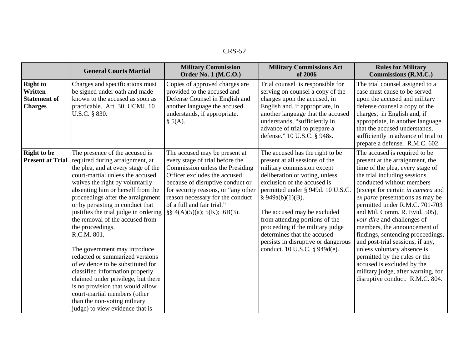|                                                                     | <b>General Courts Martial</b>                                                                                                                                                                                                                                                                                                                                                                                                                                                                                                                                                                                                                                                                                                        | <b>Military Commission</b><br><b>Order No. 1 (M.C.O.)</b>                                                                                                                                                                                                                                                           | <b>Military Commissions Act</b><br>of 2006                                                                                                                                                                                                                                                                                                                                                                                               | <b>Rules for Military</b><br>Commissions (R.M.C.)                                                                                                                                                                                                                                                                                                                                                                                                                                                                                                                                                                            |
|---------------------------------------------------------------------|--------------------------------------------------------------------------------------------------------------------------------------------------------------------------------------------------------------------------------------------------------------------------------------------------------------------------------------------------------------------------------------------------------------------------------------------------------------------------------------------------------------------------------------------------------------------------------------------------------------------------------------------------------------------------------------------------------------------------------------|---------------------------------------------------------------------------------------------------------------------------------------------------------------------------------------------------------------------------------------------------------------------------------------------------------------------|------------------------------------------------------------------------------------------------------------------------------------------------------------------------------------------------------------------------------------------------------------------------------------------------------------------------------------------------------------------------------------------------------------------------------------------|------------------------------------------------------------------------------------------------------------------------------------------------------------------------------------------------------------------------------------------------------------------------------------------------------------------------------------------------------------------------------------------------------------------------------------------------------------------------------------------------------------------------------------------------------------------------------------------------------------------------------|
| <b>Right to</b><br>Written<br><b>Statement of</b><br><b>Charges</b> | Charges and specifications must<br>be signed under oath and made<br>known to the accused as soon as<br>practicable. Art. 30, UCMJ, 10<br>U.S.C. § 830.                                                                                                                                                                                                                                                                                                                                                                                                                                                                                                                                                                               | Copies of approved charges are<br>provided to the accused and<br>Defense Counsel in English and<br>another language the accused<br>understands, if appropriate.<br>$\S$ 5(A).                                                                                                                                       | Trial counsel is responsible for<br>serving on counsel a copy of the<br>charges upon the accused, in<br>English and, if appropriate, in<br>another language that the accused<br>understands, "sufficiently in<br>advance of trial to prepare a<br>defense." 10 U.S.C. § 948s.                                                                                                                                                            | The trial counsel assigned to a<br>case must cause to be served<br>upon the accused and military<br>defense counsel a copy of the<br>charges, in English and, if<br>appropriate, in another language<br>that the accused understands,<br>sufficiently in advance of trial to<br>prepare a defense. R.M.C. 602.                                                                                                                                                                                                                                                                                                               |
| <b>Right to be</b><br><b>Present at Trial</b>                       | The presence of the accused is<br>required during arraignment, at<br>the plea, and at every stage of the<br>court-martial unless the accused<br>waives the right by voluntarily<br>absenting him or herself from the<br>proceedings after the arraignment<br>or by persisting in conduct that<br>justifies the trial judge in ordering<br>the removal of the accused from<br>the proceedings.<br>R.C.M. 801.<br>The government may introduce<br>redacted or summarized versions<br>of evidence to be substituted for<br>classified information properly<br>claimed under privilege, but there<br>is no provision that would allow<br>court-martial members (other<br>than the non-voting military<br>judge) to view evidence that is | The accused may be present at<br>every stage of trial before the<br>Commission unless the Presiding<br>Officer excludes the accused<br>because of disruptive conduct or<br>for security reasons, or "any other<br>reason necessary for the conduct<br>of a full and fair trial."<br>$\S\S 4(A)(5)(a); 5(K); 6B(3).$ | The accused has the right to be<br>present at all sessions of the<br>military commission except<br>deliberation or voting, unless<br>exclusion of the accused is<br>permitted under § 949d. 10 U.S.C.<br>§ $949a(b)(1)(B)$ .<br>The accused may be excluded<br>from attending portions of the<br>proceeding if the military judge<br>determines that the accused<br>persists in disruptive or dangerous<br>conduct. 10 U.S.C. § 949d(e). | The accused is required to be<br>present at the arraignment, the<br>time of the plea, every stage of<br>the trial including sessions<br>conducted without members<br>(except for certain in camera and<br>ex parte presentations as may be<br>permitted under R.M.C. 701-703<br>and Mil. Comm. R. Evid. 505),<br>voir dire and challenges of<br>members, the announcement of<br>findings, sentencing proceedings,<br>and post-trial sessions, if any,<br>unless voluntary absence is<br>permitted by the rules or the<br>accused is excluded by the<br>military judge, after warning, for<br>disruptive conduct. R.M.C. 804. |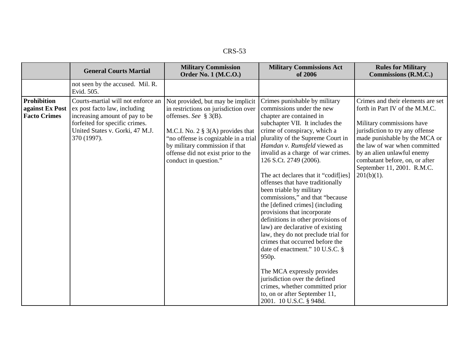| n |  |
|---|--|
|---|--|

|                                                              | <b>General Courts Martial</b>                                                                                                                                                            | <b>Military Commission</b><br><b>Order No. 1 (M.C.O.)</b>                                                                                                                                                                                                                              | <b>Military Commissions Act</b><br>of 2006                                                                                                                                                                                                                                                                                                                                                                                                                                                                                                                                                                                                                                                                                                                                                                                                                                | <b>Rules for Military</b><br>Commissions (R.M.C.)                                                                                                                                                                                                                                                                    |
|--------------------------------------------------------------|------------------------------------------------------------------------------------------------------------------------------------------------------------------------------------------|----------------------------------------------------------------------------------------------------------------------------------------------------------------------------------------------------------------------------------------------------------------------------------------|---------------------------------------------------------------------------------------------------------------------------------------------------------------------------------------------------------------------------------------------------------------------------------------------------------------------------------------------------------------------------------------------------------------------------------------------------------------------------------------------------------------------------------------------------------------------------------------------------------------------------------------------------------------------------------------------------------------------------------------------------------------------------------------------------------------------------------------------------------------------------|----------------------------------------------------------------------------------------------------------------------------------------------------------------------------------------------------------------------------------------------------------------------------------------------------------------------|
|                                                              | not seen by the accused. Mil. R.<br>Evid. 505.                                                                                                                                           |                                                                                                                                                                                                                                                                                        |                                                                                                                                                                                                                                                                                                                                                                                                                                                                                                                                                                                                                                                                                                                                                                                                                                                                           |                                                                                                                                                                                                                                                                                                                      |
| <b>Prohibition</b><br>against Ex Post<br><b>Facto Crimes</b> | Courts-martial will not enforce an<br>ex post facto law, including<br>increasing amount of pay to be<br>forfeited for specific crimes.<br>United States v. Gorki, 47 M.J.<br>370 (1997). | Not provided, but may be implicit<br>in restrictions on jurisdiction over<br>offenses. See § $3(B)$ .<br>M.C.I. No. 2 $\S$ 3(A) provides that<br>"no offense is cognizable in a trial<br>by military commission if that<br>offense did not exist prior to the<br>conduct in question." | Crimes punishable by military<br>commissions under the new<br>chapter are contained in<br>subchapter VII. It includes the<br>crime of conspiracy, which a<br>plurality of the Supreme Court in<br>Hamdan v. Rumsfeld viewed as<br>invalid as a charge of war crimes.<br>126 S.Ct. 2749 (2006).<br>The act declares that it "codif[ies]<br>offenses that have traditionally<br>been triable by military<br>commissions," and that "because<br>the [defined crimes] (including<br>provisions that incorporate<br>definitions in other provisions of<br>law) are declarative of existing<br>law, they do not preclude trial for<br>crimes that occurred before the<br>date of enactment." 10 U.S.C. §<br>950p.<br>The MCA expressly provides<br>jurisdiction over the defined<br>crimes, whether committed prior<br>to, on or after September 11,<br>2001. 10 U.S.C. § 948d. | Crimes and their elements are set<br>forth in Part IV of the M.M.C.<br>Military commissions have<br>jurisdiction to try any offense<br>made punishable by the MCA or<br>the law of war when committed<br>by an alien unlawful enemy<br>combatant before, on, or after<br>September 11, 2001. R.M.C.<br>$201(b)(1)$ . |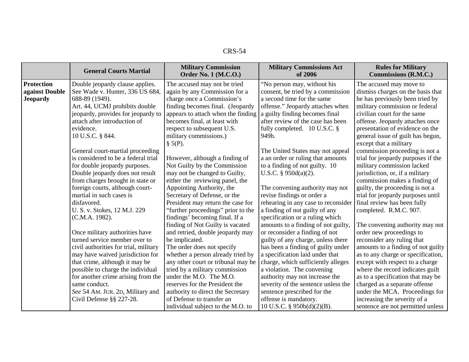|                   | <b>General Courts Martial</b>         | <b>Military Commission</b><br><b>Order No. 1 (M.C.O.)</b> | <b>Military Commissions Act</b><br>of 2006 | <b>Rules for Military</b><br><b>Commissions (R.M.C.)</b> |
|-------------------|---------------------------------------|-----------------------------------------------------------|--------------------------------------------|----------------------------------------------------------|
| <b>Protection</b> | Double jeopardy clause applies.       | The accused may not be tried                              | "No person may, without his                | The accused may move to                                  |
| against Double    | See Wade v. Hunter, 336 US 684,       | again by any Commission for a                             | consent, be tried by a commission          | dismiss charges on the basis that                        |
| <b>Jeopardy</b>   | 688-89 (1949).                        | charge once a Commission's                                | a second time for the same                 | he has previously been tried by                          |
|                   | Art. 44, UCMJ prohibits double        | finding becomes final. (Jeopardy                          | offense." Jeopardy attaches when           | military commission or federal                           |
|                   | jeopardy, provides for jeopardy to    | appears to attach when the finding                        | a guilty finding becomes final             | civilian court for the same                              |
|                   | attach after introduction of          | becomes final, at least with                              | after review of the case has been          | offense. Jeopardy attaches once                          |
|                   | evidence.                             | respect to subsequent U.S.                                | fully completed. 10 U.S.C. §               | presentation of evidence on the                          |
|                   | 10 U.S.C. § 844.                      | military commissions.)                                    | 949h.                                      | general issue of guilt has begun,                        |
|                   |                                       | $\S$ 5(P).                                                |                                            | except that a military                                   |
|                   | General court-martial proceeding      |                                                           | The United States may not appeal           | commission proceeding is not a                           |
|                   | is considered to be a federal trial   | However, although a finding of                            | a an order or ruling that amounts          | trial for jeopardy purposes if the                       |
|                   | for double jeopardy purposes.         | Not Guilty by the Commission                              | to a finding of not guilty. 10             | military commission lacked                               |
|                   | Double jeopardy does not result       | may not be changed to Guilty,                             | U.S.C. $\S$ 950d(a)(2).                    | jurisdiction, or, if a military                          |
|                   | from charges brought in state or      | either the reviewing panel, the                           |                                            | commission makes a finding of                            |
|                   | foreign courts, although court-       | Appointing Authority, the                                 | The convening authority may not            | guilty, the proceeding is not a                          |
|                   | martial in such cases is              | Secretary of Defense, or the                              | revise findings or order a                 | trial for jeopardy purposes until                        |
|                   | disfavored.                           | President may return the case for                         | rehearing in any case to reconsider        | final review has been fully                              |
|                   | U. S. v. Stokes, 12 M.J. 229          | "further proceedings" prior to the                        | a finding of not guilty of any             | completed. R.M.C. 907.                                   |
|                   | (C.M.A. 1982).                        | findings' becoming final. If a                            | specification or a ruling which            |                                                          |
|                   |                                       | finding of Not Guilty is vacated                          | amounts to a finding of not guilty,        | The convening authority may not                          |
|                   | Once military authorities have        | and retried, double jeopardy may                          | or reconsider a finding of not             | order new proceedings to                                 |
|                   | turned service member over to         | be implicated.                                            | guilty of any charge, unless there         | reconsider any ruling that                               |
|                   | civil authorities for trial, military | The order does not specify                                | has been a finding of guilty under         | amounts to a finding of not guilty                       |
|                   | may have waived jurisdiction for      | whether a person already tried by                         | a specification laid under that            | as to any charge or specification,                       |
|                   | that crime, although it may be        | any other court or tribunal may be                        | charge, which sufficiently alleges         | except with respect to a charge                          |
|                   | possible to charge the individual     | tried by a military commission                            | a violation. The convening                 | where the record indicates guilt                         |
|                   | for another crime arising from the    | under the M.O. The M.O.                                   | authority may not increase the             | as to a specification that may be                        |
|                   | same conduct.                         | reserves for the President the                            | severity of the sentence unless the        | charged as a separate offense                            |
|                   | See 54 AM. JUR. 2D, Military and      | authority to direct the Secretary                         | sentence prescribed for the                | under the MCA. Proceedings for                           |
|                   | Civil Defense $\S$ § 227-28.          | of Defense to transfer an                                 | offense is mandatory.                      | increasing the severity of a                             |
|                   |                                       | individual subject to the M.O. to                         | 10 U.S.C. § 950b(d)(2)(B).                 | sentence are not permitted unless                        |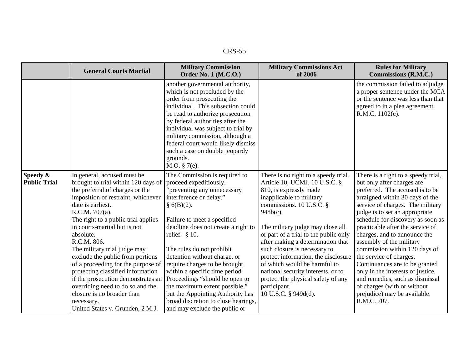|                                 | <b>General Courts Martial</b>                                                                                                                                                                                                                                                                                                                                                                                                                                                                                                                                                                  | <b>Military Commission</b><br><b>Order No. 1 (M.C.O.)</b>                                                                                                                                                                                                                                                                                                                                                                                                                                                                                 | <b>Military Commissions Act</b><br>of 2006                                                                                                                                                                                                                                                                                                                                                                                                                                                                          | <b>Rules for Military</b><br>Commissions (R.M.C.)                                                                                                                                                                                                                                                                                                                                                                                                                                                                                                                                                      |
|---------------------------------|------------------------------------------------------------------------------------------------------------------------------------------------------------------------------------------------------------------------------------------------------------------------------------------------------------------------------------------------------------------------------------------------------------------------------------------------------------------------------------------------------------------------------------------------------------------------------------------------|-------------------------------------------------------------------------------------------------------------------------------------------------------------------------------------------------------------------------------------------------------------------------------------------------------------------------------------------------------------------------------------------------------------------------------------------------------------------------------------------------------------------------------------------|---------------------------------------------------------------------------------------------------------------------------------------------------------------------------------------------------------------------------------------------------------------------------------------------------------------------------------------------------------------------------------------------------------------------------------------------------------------------------------------------------------------------|--------------------------------------------------------------------------------------------------------------------------------------------------------------------------------------------------------------------------------------------------------------------------------------------------------------------------------------------------------------------------------------------------------------------------------------------------------------------------------------------------------------------------------------------------------------------------------------------------------|
|                                 |                                                                                                                                                                                                                                                                                                                                                                                                                                                                                                                                                                                                | another governmental authority,<br>which is not precluded by the<br>order from prosecuting the<br>individual. This subsection could<br>be read to authorize prosecution<br>by federal authorities after the<br>individual was subject to trial by<br>military commission, although a<br>federal court would likely dismiss<br>such a case on double jeopardy<br>grounds.<br>M.O. $§ 7(e)$ .                                                                                                                                               |                                                                                                                                                                                                                                                                                                                                                                                                                                                                                                                     | the commission failed to adjudge<br>a proper sentence under the MCA<br>or the sentence was less than that<br>agreed to in a plea agreement.<br>R.M.C. 1102(c).                                                                                                                                                                                                                                                                                                                                                                                                                                         |
| Speedy &<br><b>Public Trial</b> | In general, accused must be<br>brought to trial within 120 days of<br>the preferral of charges or the<br>imposition of restraint, whichever<br>date is earliest.<br>R.C.M. 707(a).<br>The right to a public trial applies<br>in courts-martial but is not<br>absolute.<br>R.C.M. 806.<br>The military trial judge may<br>exclude the public from portions<br>of a proceeding for the purpose of<br>protecting classified information<br>if the prosecution demonstrates an<br>overriding need to do so and the<br>closure is no broader than<br>necessary.<br>United States v. Grunden, 2 M.J. | The Commission is required to<br>proceed expeditiously,<br>"preventing any unnecessary<br>interference or delay."<br>$§$ 6(B)(2).<br>Failure to meet a specified<br>deadline does not create a right to<br>relief. $§$ 10.<br>The rules do not prohibit<br>detention without charge, or<br>require charges to be brought<br>within a specific time period.<br>Proceedings "should be open to<br>the maximum extent possible,"<br>but the Appointing Authority has<br>broad discretion to close hearings,<br>and may exclude the public or | There is no right to a speedy trial.<br>Article 10, UCMJ, 10 U.S.C. §<br>810, is expressly made<br>inapplicable to military<br>commissions. 10 U.S.C. §<br>$948b(c)$ .<br>The military judge may close all<br>or part of a trial to the public only<br>after making a determination that<br>such closure is necessary to<br>protect information, the disclosure<br>of which would be harmful to<br>national security interests, or to<br>protect the physical safety of any<br>participant.<br>10 U.S.C. § 949d(d). | There is a right to a speedy trial,<br>but only after charges are<br>preferred. The accused is to be<br>arraigned within 30 days of the<br>service of charges. The military<br>judge is to set an appropriate<br>schedule for discovery as soon as<br>practicable after the service of<br>charges, and to announce the<br>assembly of the military<br>commission within 120 days of<br>the service of charges.<br>Continuances are to be granted<br>only in the interests of justice,<br>and remedies, such as dismissal<br>of charges (with or without<br>prejudice) may be available.<br>R.M.C. 707. |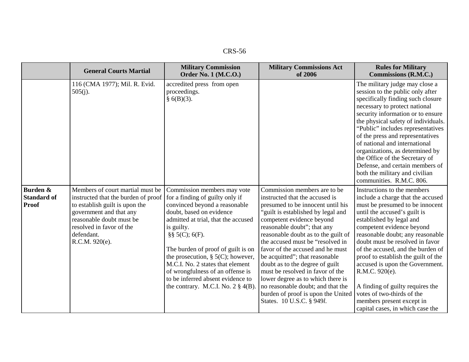|                                                | <b>General Courts Martial</b>                                                                                                                                                                                                | <b>Military Commission</b><br><b>Order No. 1 (M.C.O.)</b>                                                                                                                                                                                                                                                                                                                                                                                  | <b>Military Commissions Act</b><br>of 2006                                                                                                                                                                                                                                                                                                                                                                                                                                                                                                                                          | <b>Rules for Military</b><br>Commissions (R.M.C.)                                                                                                                                                                                                                                                                                                                                                                                                                                                                                       |
|------------------------------------------------|------------------------------------------------------------------------------------------------------------------------------------------------------------------------------------------------------------------------------|--------------------------------------------------------------------------------------------------------------------------------------------------------------------------------------------------------------------------------------------------------------------------------------------------------------------------------------------------------------------------------------------------------------------------------------------|-------------------------------------------------------------------------------------------------------------------------------------------------------------------------------------------------------------------------------------------------------------------------------------------------------------------------------------------------------------------------------------------------------------------------------------------------------------------------------------------------------------------------------------------------------------------------------------|-----------------------------------------------------------------------------------------------------------------------------------------------------------------------------------------------------------------------------------------------------------------------------------------------------------------------------------------------------------------------------------------------------------------------------------------------------------------------------------------------------------------------------------------|
|                                                | 116 (CMA 1977); Mil. R. Evid.<br>$505(j)$ .                                                                                                                                                                                  | accredited press from open<br>proceedings.<br>§ 6(B)(3).                                                                                                                                                                                                                                                                                                                                                                                   |                                                                                                                                                                                                                                                                                                                                                                                                                                                                                                                                                                                     | The military judge may close a<br>session to the public only after<br>specifically finding such closure<br>necessary to protect national<br>security information or to ensure<br>the physical safety of individuals.<br>"Public" includes representatives<br>of the press and representatives<br>of national and international<br>organizations, as determined by<br>the Office of the Secretary of<br>Defense, and certain members of<br>both the military and civilian<br>communities. R.M.C. 806.                                    |
| Burden &<br><b>Standard of</b><br><b>Proof</b> | Members of court martial must be<br>instructed that the burden of proof<br>to establish guilt is upon the<br>government and that any<br>reasonable doubt must be<br>resolved in favor of the<br>defendant.<br>R.C.M. 920(e). | Commission members may vote<br>for a finding of guilty only if<br>convinced beyond a reasonable<br>doubt, based on evidence<br>admitted at trial, that the accused<br>is guilty.<br>$\S\S 5(C)$ ; 6(F).<br>The burden of proof of guilt is on<br>the prosecution, § $5(C)$ ; however,<br>M.C.I. No. 2 states that element<br>of wrongfulness of an offense is<br>to be inferred absent evidence to<br>the contrary. M.C.I. No. $2 \S 4(B)$ | Commission members are to be<br>instructed that the accused is<br>presumed to be innocent until his<br>"guilt is established by legal and<br>competent evidence beyond<br>reasonable doubt"; that any<br>reasonable doubt as to the guilt of<br>the accused must be "resolved in<br>favor of the accused and he must<br>be acquitted"; that reasonable<br>doubt as to the degree of guilt<br>must be resolved in favor of the<br>lower degree as to which there is<br>no reasonable doubt; and that the<br>burden of proof is upon the United<br>States. 10 U.S.C. § 949 <i>l</i> . | Instructions to the members<br>include a charge that the accused<br>must be presumed to be innocent<br>until the accused's guilt is<br>established by legal and<br>competent evidence beyond<br>reasonable doubt; any reasonable<br>doubt must be resolved in favor<br>of the accused, and the burden of<br>proof to establish the guilt of the<br>accused is upon the Government.<br>R.M.C. 920(e).<br>A finding of guilty requires the<br>votes of two-thirds of the<br>members present except in<br>capital cases, in which case the |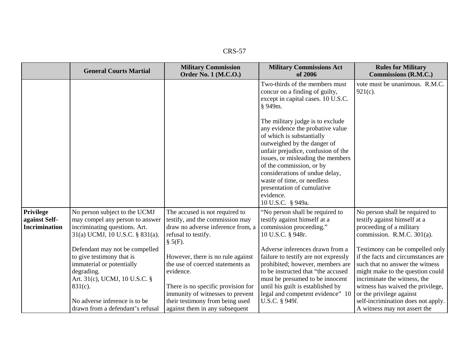| י<br>◥<br>١× |
|--------------|
|--------------|

|                                                                                                                                                      |                                                                                                                                                |                                                                                                                                                                                                                                                                                                                                                                         | Commissions (R.M.C.)                                                                                                                                                                                                                                                                                                |
|------------------------------------------------------------------------------------------------------------------------------------------------------|------------------------------------------------------------------------------------------------------------------------------------------------|-------------------------------------------------------------------------------------------------------------------------------------------------------------------------------------------------------------------------------------------------------------------------------------------------------------------------------------------------------------------------|---------------------------------------------------------------------------------------------------------------------------------------------------------------------------------------------------------------------------------------------------------------------------------------------------------------------|
|                                                                                                                                                      |                                                                                                                                                | Two-thirds of the members must<br>concur on a finding of guilty,<br>except in capital cases. 10 U.S.C.<br>§ 949m.                                                                                                                                                                                                                                                       | vote must be unanimous. R.M.C.<br>$921(c)$ .                                                                                                                                                                                                                                                                        |
|                                                                                                                                                      |                                                                                                                                                | The military judge is to exclude<br>any evidence the probative value<br>of which is substantially<br>outweighed by the danger of<br>unfair prejudice, confusion of the<br>issues, or misleading the members<br>of the commission, or by<br>considerations of undue delay,<br>waste of time, or needless<br>presentation of cumulative<br>evidence.<br>10 U.S.C. § 949a. |                                                                                                                                                                                                                                                                                                                     |
| No person subject to the UCMJ<br>may compel any person to answer<br>incriminating questions. Art.<br>31(a) UCMJ, 10 U.S.C. § 831(a).                 | The accused is not required to<br>testify, and the commission may<br>draw no adverse inference from, a<br>refusal to testify.                  | "No person shall be required to<br>testify against himself at a<br>commission proceeding."<br>10 U.S.C. § 948r.                                                                                                                                                                                                                                                         | No person shall be required to<br>testify against himself at a<br>proceeding of a military<br>commission. R.M.C. 301(a).                                                                                                                                                                                            |
| to give testimony that is<br>immaterial or potentially<br>degrading.<br>Art. 31(c), UCMJ, 10 U.S.C. §<br>$831(c)$ .<br>No adverse inference is to be | However, there is no rule against<br>the use of coerced statements as<br>There is no specific provision for<br>their testimony from being used | failure to testify are not expressly<br>prohibited; however, members are<br>to be instructed that "the accused<br>must be presumed to be innocent<br>until his guilt is established by<br>legal and competent evidence" 10<br>U.S.C. § 949 <i>l</i> .                                                                                                                   | Testimony can be compelled only<br>if the facts and circumstances are<br>such that no answer the witness<br>might make to the question could<br>incriminate the witness, the<br>witness has waived the privilege,<br>or the privilege against<br>self-incrimination does not apply.<br>A witness may not assert the |
|                                                                                                                                                      | Defendant may not be compelled<br>drawn from a defendant's refusal                                                                             | $\S$ 5(F).<br>evidence.<br>immunity of witnesses to prevent<br>against them in any subsequent                                                                                                                                                                                                                                                                           | Adverse inferences drawn from a                                                                                                                                                                                                                                                                                     |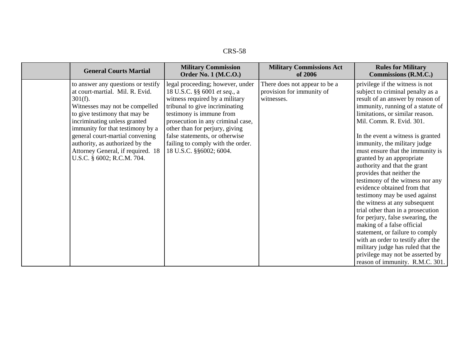| ٠<br>ו כו<br>יערי<br>$\ddot{\phantom{1}}$ |  |
|-------------------------------------------|--|
|-------------------------------------------|--|

| <b>General Courts Martial</b>                                                                                                                                                                                                                                                                                                                                       | <b>Military Commission</b>                                                                                                                                                                                                                                                                                                                | <b>Military Commissions Act</b>                                          | <b>Rules for Military</b>                                                                                                                                                                                                                                                                                                                                                                                                                                                                                                                                                                                                                                                                                                                                                                                                                       |
|---------------------------------------------------------------------------------------------------------------------------------------------------------------------------------------------------------------------------------------------------------------------------------------------------------------------------------------------------------------------|-------------------------------------------------------------------------------------------------------------------------------------------------------------------------------------------------------------------------------------------------------------------------------------------------------------------------------------------|--------------------------------------------------------------------------|-------------------------------------------------------------------------------------------------------------------------------------------------------------------------------------------------------------------------------------------------------------------------------------------------------------------------------------------------------------------------------------------------------------------------------------------------------------------------------------------------------------------------------------------------------------------------------------------------------------------------------------------------------------------------------------------------------------------------------------------------------------------------------------------------------------------------------------------------|
|                                                                                                                                                                                                                                                                                                                                                                     | <b>Order No. 1 (M.C.O.)</b>                                                                                                                                                                                                                                                                                                               | of 2006                                                                  | Commissions (R.M.C.)                                                                                                                                                                                                                                                                                                                                                                                                                                                                                                                                                                                                                                                                                                                                                                                                                            |
| to answer any questions or testify<br>at court-martial. Mil. R. Evid.<br>$301(f)$ .<br>Witnesses may not be compelled<br>to give testimony that may be<br>incriminating unless granted<br>immunity for that testimony by a<br>general court-martial convening<br>authority, as authorized by the<br>Attorney General, if required. 18<br>U.S.C. § 6002; R.C.M. 704. | legal proceeding; however, under<br>18 U.S.C. §§ 6001 et seq., a<br>witness required by a military<br>tribunal to give incriminating<br>testimony is immune from<br>prosecution in any criminal case,<br>other than for perjury, giving<br>false statements, or otherwise<br>failing to comply with the order.<br>18 U.S.C. §§6002; 6004. | There does not appear to be a<br>provision for immunity of<br>witnesses. | privilege if the witness is not<br>subject to criminal penalty as a<br>result of an answer by reason of<br>immunity, running of a statute of<br>limitations, or similar reason.<br>Mil. Comm. R. Evid. 301.<br>In the event a witness is granted<br>immunity, the military judge<br>must ensure that the immunity is<br>granted by an appropriate<br>authority and that the grant<br>provides that neither the<br>testimony of the witness nor any<br>evidence obtained from that<br>testimony may be used against<br>the witness at any subsequent<br>trial other than in a prosecution<br>for perjury, false swearing, the<br>making of a false official<br>statement, or failure to comply<br>with an order to testify after the<br>military judge has ruled that the<br>privilege may not be asserted by<br>reason of immunity. R.M.C. 301. |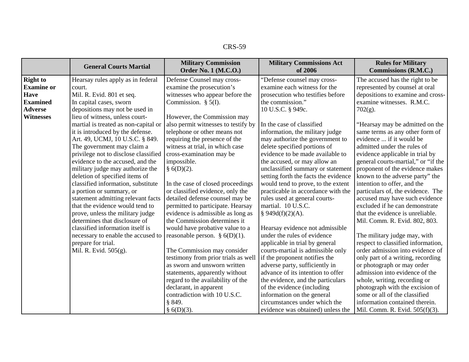| CRS- | 59. |
|------|-----|
|------|-----|

|                   | <b>General Courts Martial</b>        | <b>Military Commission</b><br><b>Order No. 1 (M.C.O.)</b> | <b>Military Commissions Act</b><br>of 2006 | <b>Rules for Military</b><br>Commissions (R.M.C.) |
|-------------------|--------------------------------------|-----------------------------------------------------------|--------------------------------------------|---------------------------------------------------|
| <b>Right to</b>   | Hearsay rules apply as in federal    | Defense Counsel may cross-                                | "Defense counsel may cross-                | The accused has the right to be                   |
| <b>Examine</b> or | court.                               | examine the prosecution's                                 | examine each witness for the               | represented by counsel at oral                    |
| <b>Have</b>       | Mil. R. Evid. 801 et seq.            | witnesses who appear before the                           | prosecution who testifies before           | depositions to examine and cross-                 |
| <b>Examined</b>   | In capital cases, sworn              | Commission. $\S$ 5(I).                                    | the commission."                           | examine witnesses. R.M.C.                         |
| <b>Adverse</b>    | depositions may not be used in       |                                                           | 10 U.S.C. § 949c.                          | $702(g)$ .                                        |
| <b>Witnesses</b>  | lieu of witness, unless court-       | However, the Commission may                               |                                            |                                                   |
|                   | martial is treated as non-capital or | also permit witnesses to testify by                       | In the case of classified                  | "Hearsay may be admitted on the                   |
|                   | it is introduced by the defense.     | telephone or other means not                              | information, the military judge            | same terms as any other form of                   |
|                   | Art. 49, UCMJ, 10 U.S.C. § 849.      | requiring the presence of the                             | may authorize the government to            | evidence  if it would be                          |
|                   | The government may claim a           | witness at trial, in which case                           | delete specified portions of               | admitted under the rules of                       |
|                   | privilege not to disclose classified | cross-examination may be                                  | evidence to be made available to           | evidence applicable in trial by                   |
|                   | evidence to the accused, and the     | impossible.                                               | the accused, or may allow an               | general courts-martial," or "if the               |
|                   | military judge may authorize the     | § 6(D)(2).                                                | unclassified summary or statement          | proponent of the evidence makes                   |
|                   | deletion of specified items of       |                                                           | setting forth the facts the evidence       | known to the adverse party" the                   |
|                   | classified information, substitute   | In the case of closed proceedings                         | would tend to prove, to the extent         | intention to offer, and the                       |
|                   | a portion or summary, or             | or classified evidence, only the                          | practicable in accordance with the         | particulars of, the evidence. The                 |
|                   | statement admitting relevant facts   | detailed defense counsel may be                           | rules used at general courts-              | accused may have such evidence                    |
|                   | that the evidence would tend to      | permitted to participate. Hearsay                         | martial. 10 U.S.C.                         | excluded if he can demonstrate                    |
|                   | prove, unless the military judge     | evidence is admissible as long as                         | $§$ 949d(f)(2)(A).                         | that the evidence is unreliable.                  |
|                   | determines that disclosure of        | the Commission determines it                              |                                            | Mil. Comm. R. Evid. 802, 803.                     |
|                   | classified information itself is     | would have probative value to a                           | Hearsay evidence not admissible            |                                                   |
|                   | necessary to enable the accused to   | reasonable person. § $6(D)(1)$ .                          | under the rules of evidence                | The military judge may, with                      |
|                   | prepare for trial.                   |                                                           | applicable in trial by general             | respect to classified information,                |
|                   | Mil. R. Evid. 505(g).                | The Commission may consider                               | courts-martial is admissible only          | order admission into evidence of                  |
|                   |                                      | testimony from prior trials as well                       | if the proponent notifies the              | only part of a writing, recording                 |
|                   |                                      | as sworn and unsworn written                              | adverse party, sufficiently in             | or photograph or may order                        |
|                   |                                      | statements, apparently without                            | advance of its intention to offer          | admission into evidence of the                    |
|                   |                                      | regard to the availability of the                         | the evidence, and the particulars          | whole, writing, recording or                      |
|                   |                                      | declarant, in apparent                                    | of the evidence (including                 | photograph with the excision of                   |
|                   |                                      | contradiction with 10 U.S.C.                              | information on the general                 | some or all of the classified                     |
|                   |                                      | § 849.                                                    | circumstances under which the              | information contained therein.                    |
|                   |                                      | § 6(D)(3).                                                | evidence was obtained) unless the          | Mil. Comm. R. Evid. 505(f)(3).                    |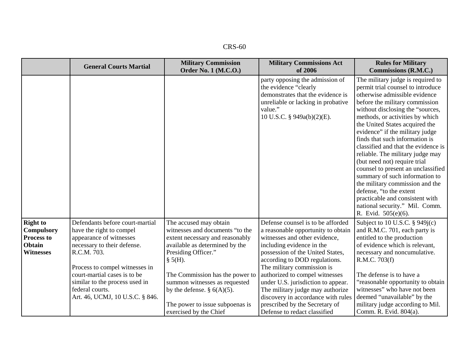| $CRS-60$ |
|----------|
|----------|

|                                                                                         | <b>General Courts Martial</b>                                                                                                                                                                                                                                                                  | <b>Military Commission</b><br><b>Order No. 1 (M.C.O.)</b>                                                                                                                                                                                                                                                                            | <b>Military Commissions Act</b><br>of 2006                                                                                                                                                                                                                                                                                                                                                                                                                   | <b>Rules for Military</b><br><b>Commissions (R.M.C.)</b>                                                                                                                                                                                                                                                                                                                                                                                                                                                                                                                                                                                                             |
|-----------------------------------------------------------------------------------------|------------------------------------------------------------------------------------------------------------------------------------------------------------------------------------------------------------------------------------------------------------------------------------------------|--------------------------------------------------------------------------------------------------------------------------------------------------------------------------------------------------------------------------------------------------------------------------------------------------------------------------------------|--------------------------------------------------------------------------------------------------------------------------------------------------------------------------------------------------------------------------------------------------------------------------------------------------------------------------------------------------------------------------------------------------------------------------------------------------------------|----------------------------------------------------------------------------------------------------------------------------------------------------------------------------------------------------------------------------------------------------------------------------------------------------------------------------------------------------------------------------------------------------------------------------------------------------------------------------------------------------------------------------------------------------------------------------------------------------------------------------------------------------------------------|
|                                                                                         |                                                                                                                                                                                                                                                                                                |                                                                                                                                                                                                                                                                                                                                      | party opposing the admission of<br>the evidence "clearly<br>demonstrates that the evidence is<br>unreliable or lacking in probative<br>value."<br>10 U.S.C. § 949a(b)(2)(E).                                                                                                                                                                                                                                                                                 | The military judge is required to<br>permit trial counsel to introduce<br>otherwise admissible evidence<br>before the military commission<br>without disclosing the "sources,<br>methods, or activities by which<br>the United States acquired the<br>evidence" if the military judge<br>finds that such information is<br>classified and that the evidence is<br>reliable. The military judge may<br>(but need not) require trial<br>counsel to present an unclassified<br>summary of such information to<br>the military commission and the<br>defense, "to the extent<br>practicable and consistent with<br>national security." Mil. Comm.<br>R. Evid. 505(e)(6). |
| <b>Right to</b><br><b>Compulsory</b><br><b>Process to</b><br>Obtain<br><b>Witnesses</b> | Defendants before court-martial<br>have the right to compel<br>appearance of witnesses<br>necessary to their defense.<br>R.C.M. 703.<br>Process to compel witnesses in<br>court-martial cases is to be<br>similar to the process used in<br>federal courts.<br>Art. 46, UCMJ, 10 U.S.C. § 846. | The accused may obtain<br>witnesses and documents "to the<br>extent necessary and reasonably<br>available as determined by the<br>Presiding Officer."<br>$§$ 5(H).<br>The Commission has the power to<br>summon witnesses as requested<br>by the defense. $\S$ 6(A)(5).<br>The power to issue subpoenas is<br>exercised by the Chief | Defense counsel is to be afforded<br>a reasonable opportunity to obtain<br>witnesses and other evidence,<br>including evidence in the<br>possession of the United States,<br>according to DOD regulations.<br>The military commission is<br>authorized to compel witnesses<br>under U.S. jurisdiction to appear.<br>The military judge may authorize<br>discovery in accordance with rules<br>prescribed by the Secretary of<br>Defense to redact classified | Subject to 10 U.S.C. § 949j(c)<br>and R.M.C. 701, each party is<br>entitled to the production<br>of evidence which is relevant,<br>necessary and noncumulative.<br>R.M.C. 703(f)<br>The defense is to have a<br>"reasonable opportunity to obtain<br>witnesses" who have not been<br>deemed "unavailable" by the<br>military judge according to Mil.<br>Comm. R. Evid. 804(a).                                                                                                                                                                                                                                                                                       |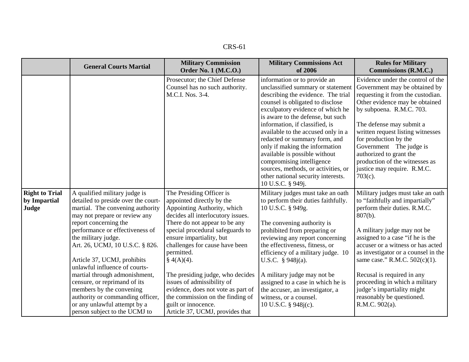| nс<br>61<br>K.S- |
|------------------|
|------------------|

|                                                | <b>General Courts Martial</b>                                                                                                                                                                                                                                                                                                                                                                                                                                                                                                     | <b>Military Commission</b><br><b>Order No. 1 (M.C.O.)</b>                                                                                                                                                                                                                                                                                                                                                                                                                                         | <b>Military Commissions Act</b><br>of 2006                                                                                                                                                                                                                                                                                                                                                                                                                                                                                      | <b>Rules for Military</b><br><b>Commissions (R.M.C.)</b>                                                                                                                                                                                                                                                                                                                                                                                           |
|------------------------------------------------|-----------------------------------------------------------------------------------------------------------------------------------------------------------------------------------------------------------------------------------------------------------------------------------------------------------------------------------------------------------------------------------------------------------------------------------------------------------------------------------------------------------------------------------|---------------------------------------------------------------------------------------------------------------------------------------------------------------------------------------------------------------------------------------------------------------------------------------------------------------------------------------------------------------------------------------------------------------------------------------------------------------------------------------------------|---------------------------------------------------------------------------------------------------------------------------------------------------------------------------------------------------------------------------------------------------------------------------------------------------------------------------------------------------------------------------------------------------------------------------------------------------------------------------------------------------------------------------------|----------------------------------------------------------------------------------------------------------------------------------------------------------------------------------------------------------------------------------------------------------------------------------------------------------------------------------------------------------------------------------------------------------------------------------------------------|
|                                                |                                                                                                                                                                                                                                                                                                                                                                                                                                                                                                                                   | Prosecutor; the Chief Defense<br>Counsel has no such authority.<br>M.C.I. Nos. 3-4.                                                                                                                                                                                                                                                                                                                                                                                                               | information or to provide an<br>unclassified summary or statement<br>describing the evidence. The trial<br>counsel is obligated to disclose<br>exculpatory evidence of which he<br>is aware to the defense, but such<br>information, if classified, is<br>available to the accused only in a<br>redacted or summary form, and<br>only if making the information<br>available is possible without<br>compromising intelligence<br>sources, methods, or activities, or<br>other national security interests.<br>10 U.S.C. § 949j. | Evidence under the control of the<br>Government may be obtained by<br>requesting it from the custodian.<br>Other evidence may be obtained<br>by subpoena. R.M.C. 703.<br>The defense may submit a<br>written request listing witnesses<br>for production by the<br>Government The judge is<br>authorized to grant the<br>production of the witnesses as<br>justice may require. R.M.C.<br>$703(c)$ .                                               |
| <b>Right to Trial</b><br>by Impartial<br>Judge | A qualified military judge is<br>detailed to preside over the court-<br>martial. The convening authority<br>may not prepare or review any<br>report concerning the<br>performance or effectiveness of<br>the military judge.<br>Art. 26, UCMJ, 10 U.S.C. § 826.<br>Article 37, UCMJ, prohibits<br>unlawful influence of courts-<br>martial through admonishment,<br>censure, or reprimand of its<br>members by the convening<br>authority or commanding officer,<br>or any unlawful attempt by a<br>person subject to the UCMJ to | The Presiding Officer is<br>appointed directly by the<br>Appointing Authority, which<br>decides all interlocutory issues.<br>There do not appear to be any<br>special procedural safeguards to<br>ensure impartiality, but<br>challenges for cause have been<br>permitted.<br>$\S$ 4(A)(4).<br>The presiding judge, who decides<br>issues of admissibility of<br>evidence, does not vote as part of<br>the commission on the finding of<br>guilt or innocence.<br>Article 37, UCMJ, provides that | Military judges must take an oath<br>to perform their duties faithfully.<br>10 U.S.C. § 949g.<br>The convening authority is<br>prohibited from preparing or<br>reviewing any report concerning<br>the effectiveness, fitness, or<br>efficiency of a military judge. 10<br>U.S.C. $§ 948j(a)$ .<br>A military judge may not be<br>assigned to a case in which he is<br>the accuser, an investigator, a<br>witness, or a counsel.<br>10 U.S.C. § 948 <i>j</i> (c).                                                                | Military judges must take an oath<br>to "faithfully and impartially"<br>perform their duties. R.M.C.<br>$807(b)$ .<br>A military judge may not be<br>assigned to a case "if he is the<br>accuser or a witness or has acted<br>as investigator or a counsel in the<br>same case." R.M.C. $502(c)(1)$ .<br>Recusal is required in any<br>proceeding in which a military<br>judge's impartiality might<br>reasonably be questioned.<br>R.M.C. 902(a). |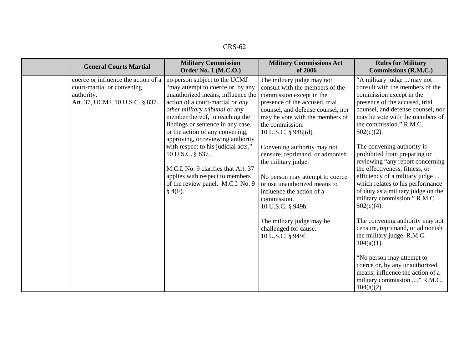| XRS-62 |
|--------|
|--------|

| <b>General Courts Martial</b>                                                                                      | <b>Military Commission</b>                                                                                                                                                                                                                                                                                                                                                                                                                                                                                           | <b>Military Commissions Act</b>                                                                                                                                                                                                                                                                                                                                                                                                                                                                                                                        | <b>Rules for Military</b>                                                                                                                                                                                                                                                                                                                                                                                                                                                                                                                                                                                                                                                                                                                                                                                                 |
|--------------------------------------------------------------------------------------------------------------------|----------------------------------------------------------------------------------------------------------------------------------------------------------------------------------------------------------------------------------------------------------------------------------------------------------------------------------------------------------------------------------------------------------------------------------------------------------------------------------------------------------------------|--------------------------------------------------------------------------------------------------------------------------------------------------------------------------------------------------------------------------------------------------------------------------------------------------------------------------------------------------------------------------------------------------------------------------------------------------------------------------------------------------------------------------------------------------------|---------------------------------------------------------------------------------------------------------------------------------------------------------------------------------------------------------------------------------------------------------------------------------------------------------------------------------------------------------------------------------------------------------------------------------------------------------------------------------------------------------------------------------------------------------------------------------------------------------------------------------------------------------------------------------------------------------------------------------------------------------------------------------------------------------------------------|
|                                                                                                                    | <b>Order No. 1 (M.C.O.)</b>                                                                                                                                                                                                                                                                                                                                                                                                                                                                                          | of 2006                                                                                                                                                                                                                                                                                                                                                                                                                                                                                                                                                | Commissions (R.M.C.)                                                                                                                                                                                                                                                                                                                                                                                                                                                                                                                                                                                                                                                                                                                                                                                                      |
| coerce or influence the action of a<br>court-martial or convening<br>authority.<br>Art. 37, UCMJ, 10 U.S.C. § 837. | no person subject to the UCMJ<br>"may attempt to coerce or, by any<br>unauthorized means, influence the<br>action of a court-martial or any<br>other military tribunal or any<br>member thereof, in reaching the<br>findings or sentence in any case,<br>or the action of any convening,<br>approving, or reviewing authority<br>with respect to his judicial acts."<br>10 U.S.C. § 837.<br>M.C.I. No. 9 clarifies that Art. 37<br>applies with respect to members<br>of the review panel. M.C.I. No. 9<br>$§$ 4(F). | The military judge may not<br>consult with the members of the<br>commission except in the<br>presence of the accused, trial<br>counsel, and defense counsel, nor<br>may he vote with the members of<br>the commission.<br>10 U.S.C. § 948j(d).<br>Convening authority may not<br>censure, reprimand, or admonish<br>the military judge.<br>No person may attempt to coerce<br>or use unauthorized means to<br>influence the action of a<br>commission.<br>10 U.S.C. § 949b.<br>The military judge may be<br>challenged for cause.<br>10 U.S.C. § 949f. | "A military judge  may not<br>consult with the members of the<br>commission except in the<br>presence of the accused, trial<br>counsel, and defense counsel, nor<br>may he vote with the members of<br>the commission." R.M.C.<br>$502(c)(2)$ .<br>The convening authority is<br>prohibited from preparing or<br>reviewing "any report concerning<br>the effectiveness, fitness, or<br>efficiency of a military judge<br>which relates to his performance<br>of duty as a military judge on the<br>military commission." R.M.C.<br>$502(c)(4)$ .<br>The convening authority may not<br>censure, reprimand, or admonish<br>the military judge. R.M.C.<br>$104(a)(1)$ .<br>"No person may attempt to<br>coerce or, by any unauthorized<br>means, influence the action of a<br>military commission " R.M.C.<br>$104(a)(2)$ . |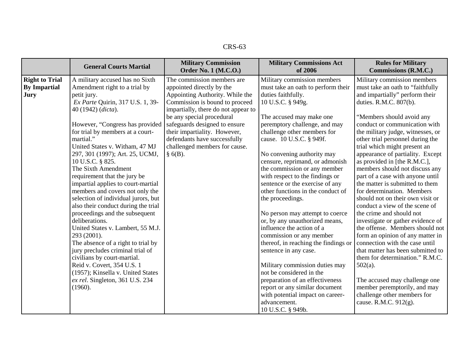| $CRS-63$ |
|----------|
|----------|

|                                                      | <b>General Courts Martial</b>                                                                                                                                                                                                                                                                                                                                                                             | <b>Military Commission</b><br><b>Order No. 1 (M.C.O.)</b>                                                                                                                                                                                                         | <b>Military Commissions Act</b><br>of 2006                                                                                                                                                                                                                                                                                                                 | <b>Rules for Military</b><br>Commissions (R.M.C.)                                                                                                                                                                                                                                                                                                                                                                                                     |
|------------------------------------------------------|-----------------------------------------------------------------------------------------------------------------------------------------------------------------------------------------------------------------------------------------------------------------------------------------------------------------------------------------------------------------------------------------------------------|-------------------------------------------------------------------------------------------------------------------------------------------------------------------------------------------------------------------------------------------------------------------|------------------------------------------------------------------------------------------------------------------------------------------------------------------------------------------------------------------------------------------------------------------------------------------------------------------------------------------------------------|-------------------------------------------------------------------------------------------------------------------------------------------------------------------------------------------------------------------------------------------------------------------------------------------------------------------------------------------------------------------------------------------------------------------------------------------------------|
| <b>Right to Trial</b><br><b>By Impartial</b><br>Jury | A military accused has no Sixth<br>Amendment right to a trial by<br>petit jury.<br>Ex Parte Quirin, 317 U.S. 1, 39-<br>40 (1942) (dicta).<br>However, "Congress has provided<br>for trial by members at a court-                                                                                                                                                                                          | The commission members are<br>appointed directly by the<br>Appointing Authority. While the<br>Commission is bound to proceed<br>impartially, there do not appear to<br>be any special procedural<br>safeguards designed to ensure<br>their impartiality. However, | Military commission members<br>must take an oath to perform their<br>duties faithfully.<br>10 U.S.C. § 949g.<br>The accused may make one<br>peremptory challenge, and may<br>challenge other members for                                                                                                                                                   | Military commission members<br>must take an oath to "faithfully<br>and impartially" perform their<br>duties. R.M.C. 807(b).<br>"Members should avoid any<br>conduct or communication with<br>the military judge, witnesses, or                                                                                                                                                                                                                        |
|                                                      | martial."<br>United States v. Witham, 47 MJ<br>297, 301 (1997); Art. 25, UCMJ,<br>10 U.S.C. § 825.<br>The Sixth Amendment<br>requirement that the jury be<br>impartial applies to court-martial<br>members and covers not only the<br>selection of individual jurors, but<br>also their conduct during the trial<br>proceedings and the subsequent<br>deliberations.<br>United States v. Lambert, 55 M.J. | defendants have successfully<br>challenged members for cause.<br>$§$ 6(B).                                                                                                                                                                                        | cause. 10 U.S.C. § 949f.<br>No convening authority may<br>censure, reprimand, or admonish<br>the commission or any member<br>with respect to the findings or<br>sentence or the exercise of any<br>other functions in the conduct of<br>the proceedings.<br>No person may attempt to coerce<br>or, by any unauthorized means,<br>influence the action of a | other trial personnel during the<br>trial which might present an<br>appearance of partiality. Except<br>as provided in [the R.M.C.],<br>members should not discuss any<br>part of a case with anyone until<br>the matter is submitted to them<br>for determination. Members<br>should not on their own visit or<br>conduct a view of the scene of<br>the crime and should not<br>investigate or gather evidence of<br>the offense. Members should not |
|                                                      | 293 (2001).<br>The absence of a right to trial by<br>jury precludes criminal trial of<br>civilians by court-martial.<br>Reid v. Covert, 354 U.S. 1<br>(1957); Kinsella v. United States<br>ex rel. Singleton, 361 U.S. 234<br>(1960).                                                                                                                                                                     |                                                                                                                                                                                                                                                                   | commission or any member<br>thereof, in reaching the findings or<br>sentence in any case.<br>Military commission duties may<br>not be considered in the<br>preparation of an effectiveness<br>report or any similar document<br>with potential impact on career-<br>advancement.<br>10 U.S.C. § 949b.                                                      | form an opinion of any matter in<br>connection with the case until<br>that matter has been submitted to<br>them for determination." R.M.C.<br>$502(a)$ .<br>The accused may challenge one<br>member peremptorily, and may<br>challenge other members for<br>cause. R.M.C. 912(g).                                                                                                                                                                     |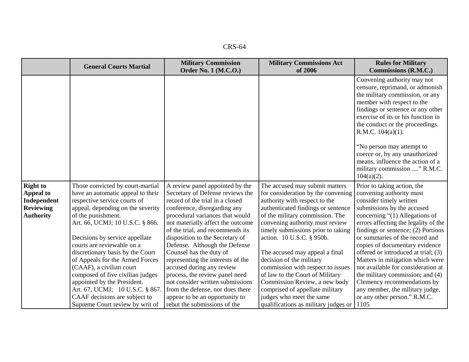| $CRS-64$ |  |
|----------|--|
|----------|--|

|                                                                                     | <b>General Courts Martial</b>                                                                                                                                                                                                                                                                                                                                                                                                                                                                                                                    | <b>Military Commission</b><br><b>Order No. 1 (M.C.O.)</b>                                                                                                                                                                                                                                                                                                                                                                                                                                                                                                                                       | <b>Military Commissions Act</b><br>of 2006                                                                                                                                                                                                                                                                                                                                                                                                                                                                                                                         | <b>Rules for Military</b><br>Commissions (R.M.C.)                                                                                                                                                                                                                                                                                                                                                                                                                                                                                                                             |
|-------------------------------------------------------------------------------------|--------------------------------------------------------------------------------------------------------------------------------------------------------------------------------------------------------------------------------------------------------------------------------------------------------------------------------------------------------------------------------------------------------------------------------------------------------------------------------------------------------------------------------------------------|-------------------------------------------------------------------------------------------------------------------------------------------------------------------------------------------------------------------------------------------------------------------------------------------------------------------------------------------------------------------------------------------------------------------------------------------------------------------------------------------------------------------------------------------------------------------------------------------------|--------------------------------------------------------------------------------------------------------------------------------------------------------------------------------------------------------------------------------------------------------------------------------------------------------------------------------------------------------------------------------------------------------------------------------------------------------------------------------------------------------------------------------------------------------------------|-------------------------------------------------------------------------------------------------------------------------------------------------------------------------------------------------------------------------------------------------------------------------------------------------------------------------------------------------------------------------------------------------------------------------------------------------------------------------------------------------------------------------------------------------------------------------------|
|                                                                                     |                                                                                                                                                                                                                                                                                                                                                                                                                                                                                                                                                  |                                                                                                                                                                                                                                                                                                                                                                                                                                                                                                                                                                                                 |                                                                                                                                                                                                                                                                                                                                                                                                                                                                                                                                                                    | Convening authority may not<br>censure, reprimand, or admonish<br>the military commission, or any<br>member with respect to the<br>findings or sentence or any other<br>exercise of its or his function in<br>the conduct or the proceedings.<br>R.M.C. $104(a)(1)$ .<br>"No person may attempt to<br>coerce or, by any unauthorized<br>means, influence the action of a<br>military commission " R.M.C.<br>$104(a)(2)$ .                                                                                                                                                     |
| <b>Right to</b><br>Appeal to<br>Independent<br><b>Reviewing</b><br><b>Authority</b> | Those convicted by court-martial<br>have an automatic appeal to their<br>respective service courts of<br>appeal, depending on the severity<br>of the punishment.<br>Art. 66, UCMJ; 10 U.S.C. § 866.<br>Decisions by service appellate<br>courts are reviewable on a<br>discretionary basis by the Court<br>of Appeals for the Armed Forces<br>(CAAF), a civilian court<br>composed of five civilian judges<br>appointed by the President.<br>Art. 67, UCMJ; 10 U.S.C. § 867.<br>CAAF decisions are subject to<br>Supreme Court review by writ of | A review panel appointed by the<br>Secretary of Defense reviews the<br>record of the trial in a closed<br>conference, disregarding any<br>procedural variances that would<br>not materially affect the outcome<br>of the trial, and recommends its<br>disposition to the Secretary of<br>Defense. Although the Defense<br>Counsel has the duty of<br>representing the interests of the<br>accused during any review<br>process, the review panel need<br>not consider written submissions<br>from the defense, nor does there<br>appear to be an opportunity to<br>rebut the submissions of the | The accused may submit matters<br>for consideration by the convening<br>authority with respect to the<br>authenticated findings or sentence<br>of the military commission. The<br>convening authority must review<br>timely submissions prior to taking<br>action. 10 U.S.C. § 950b.<br>The accused may appeal a final<br>decision of the military<br>commission with respect to issues<br>of law to the Court of Military<br>Commission Review, a new body<br>comprised of appellate military<br>judges who meet the same<br>qualifications as military judges or | Prior to taking action, the<br>convening authority must<br>consider timely written<br>submissions by the accused<br>concerning $\degree(1)$ Allegations of<br>errors affecting the legality of the<br>findings or sentence; $(2)$ Portions<br>or summaries of the record and<br>copies of documentary evidence<br>offered or introduced at trial; (3)<br>Matters in mitigation which were<br>not available for consideration at<br>the military commission; and (4)<br>Clemency recommendations by<br>any member, the military judge,<br>or any other person." R.M.C.<br>1105 |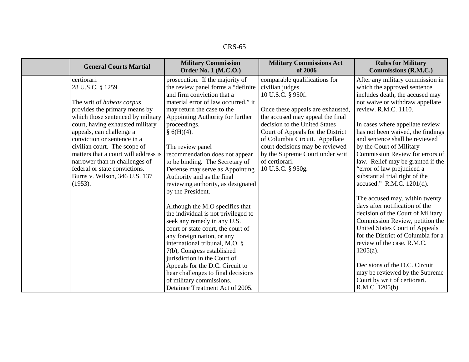| CRS-65 |
|--------|
|--------|

| <b>General Courts Martial</b>                                                                       | <b>Military Commission</b><br><b>Order No. 1 (M.C.O.)</b>                                           | <b>Military Commissions Act</b><br>of 2006                                                             | <b>Rules for Military</b><br>Commissions (R.M.C.)                                                              |
|-----------------------------------------------------------------------------------------------------|-----------------------------------------------------------------------------------------------------|--------------------------------------------------------------------------------------------------------|----------------------------------------------------------------------------------------------------------------|
| certiorari.<br>28 U.S.C. § 1259.                                                                    | prosecution. If the majority of<br>the review panel forms a "definite<br>and firm conviction that a | comparable qualifications for<br>civilian judges.<br>10 U.S.C. § 950f.                                 | After any military commission in<br>which the approved sentence<br>includes death, the accused may             |
| The writ of habeas corpus<br>provides the primary means by                                          | material error of law occurred," it<br>may return the case to the                                   | Once these appeals are exhausted,                                                                      | not waive or withdraw appellate<br>review. R.M.C. 1110.                                                        |
| which those sentenced by military<br>court, having exhausted military<br>appeals, can challenge a   | Appointing Authority for further<br>proceedings.<br>§ 6(H)(4).                                      | the accused may appeal the final<br>decision to the United States<br>Court of Appeals for the District | In cases where appellate review<br>has not been waived, the findings                                           |
| conviction or sentence in a<br>civilian court. The scope of<br>matters that a court will address is | The review panel<br>recommendation does not appear                                                  | of Columbia Circuit. Appellate<br>court decisions may be reviewed<br>by the Supreme Court under writ   | and sentence shall be reviewed<br>by the Court of Military<br>Commission Review for errors of                  |
| narrower than in challenges of<br>federal or state convictions.                                     | to be binding. The Secretary of<br>Defense may serve as Appointing                                  | of certiorari.<br>10 U.S.C. § 950g.                                                                    | law. Relief may be granted if the<br>"error of law prejudiced a                                                |
| Burns v. Wilson, 346 U.S. 137<br>(1953).                                                            | Authority and as the final<br>reviewing authority, as designated<br>by the President.               |                                                                                                        | substantial trial right of the<br>accused." R.M.C. 1201(d).                                                    |
|                                                                                                     | Although the M.O specifies that<br>the individual is not privileged to                              |                                                                                                        | The accused may, within twenty<br>days after notification of the<br>decision of the Court of Military          |
|                                                                                                     | seek any remedy in any U.S.<br>court or state court, the court of<br>any foreign nation, or any     |                                                                                                        | Commission Review, petition the<br><b>United States Court of Appeals</b><br>for the District of Columbia for a |
|                                                                                                     | international tribunal, M.O. §<br>7(b), Congress established<br>jurisdiction in the Court of        |                                                                                                        | review of the case. R.M.C.<br>$1205(a)$ .                                                                      |
|                                                                                                     | Appeals for the D.C. Circuit to<br>hear challenges to final decisions                               |                                                                                                        | Decisions of the D.C. Circuit<br>may be reviewed by the Supreme                                                |
|                                                                                                     | of military commissions.<br>Detainee Treatment Act of 2005.                                         |                                                                                                        | Court by writ of certiorari.<br>R.M.C. 1205(b).                                                                |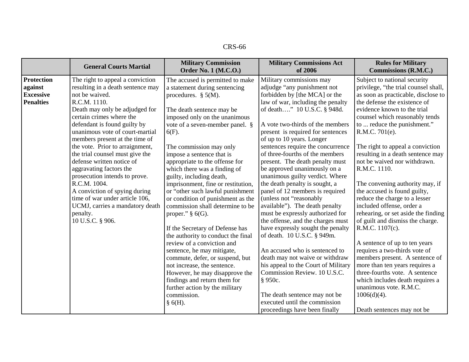|                                                                      | <b>General Courts Martial</b>                                                                                                                                                                                                                                                                                                                                                                                                                                                                                                                                                                   | <b>Military Commission</b><br>Order No. 1 (M.C.O.)                                                                                                                                                                                                                                                                                                                                                                                                                                                                                                                                                                                                                                                                                                                                                                                                                 | <b>Military Commissions Act</b><br>of 2006                                                                                                                                                                                                                                                                                                                                                                                                                                                                                                                                                                                                                                                                                                                                                                                                                                                                              | <b>Rules for Military</b><br><b>Commissions (R.M.C.)</b>                                                                                                                                                                                                                                                                                                                                                                                                                                                                                                                                                                                                                                                                                                                                                                                                                     |
|----------------------------------------------------------------------|-------------------------------------------------------------------------------------------------------------------------------------------------------------------------------------------------------------------------------------------------------------------------------------------------------------------------------------------------------------------------------------------------------------------------------------------------------------------------------------------------------------------------------------------------------------------------------------------------|--------------------------------------------------------------------------------------------------------------------------------------------------------------------------------------------------------------------------------------------------------------------------------------------------------------------------------------------------------------------------------------------------------------------------------------------------------------------------------------------------------------------------------------------------------------------------------------------------------------------------------------------------------------------------------------------------------------------------------------------------------------------------------------------------------------------------------------------------------------------|-------------------------------------------------------------------------------------------------------------------------------------------------------------------------------------------------------------------------------------------------------------------------------------------------------------------------------------------------------------------------------------------------------------------------------------------------------------------------------------------------------------------------------------------------------------------------------------------------------------------------------------------------------------------------------------------------------------------------------------------------------------------------------------------------------------------------------------------------------------------------------------------------------------------------|------------------------------------------------------------------------------------------------------------------------------------------------------------------------------------------------------------------------------------------------------------------------------------------------------------------------------------------------------------------------------------------------------------------------------------------------------------------------------------------------------------------------------------------------------------------------------------------------------------------------------------------------------------------------------------------------------------------------------------------------------------------------------------------------------------------------------------------------------------------------------|
| <b>Protection</b><br>against<br><b>Excessive</b><br><b>Penalties</b> | The right to appeal a conviction<br>resulting in a death sentence may<br>not be waived.<br>R.C.M. 1110.<br>Death may only be adjudged for<br>certain crimes where the<br>defendant is found guilty by<br>unanimous vote of court-martial<br>members present at the time of<br>the vote. Prior to arraignment,<br>the trial counsel must give the<br>defense written notice of<br>aggravating factors the<br>prosecution intends to prove.<br>R.C.M. 1004.<br>A conviction of spying during<br>time of war under article 106,<br>UCMJ, carries a mandatory death<br>penalty.<br>10 U.S.C. § 906. | The accused is permitted to make<br>a statement during sentencing<br>procedures. $\S$ 5(M).<br>The death sentence may be<br>imposed only on the unanimous<br>vote of a seven-member panel. §<br>$6(F)$ .<br>The commission may only<br>impose a sentence that is<br>appropriate to the offense for<br>which there was a finding of<br>guilty, including death,<br>imprisonment, fine or restitution,<br>or "other such lawful punishment<br>or condition of punishment as the<br>commission shall determine to be<br>proper." $\S$ 6(G).<br>If the Secretary of Defense has<br>the authority to conduct the final<br>review of a conviction and<br>sentence, he may mitigate,<br>commute, defer, or suspend, but<br>not increase, the sentence.<br>However, he may disapprove the<br>findings and return them for<br>further action by the military<br>commission. | Military commissions may<br>adjudge "any punishment not<br>forbidden by [the MCA] or the<br>law of war, including the penalty<br>of death" 10 U.S.C. § 948d.<br>A vote two-thirds of the members<br>present is required for sentences<br>of up to 10 years. Longer<br>sentences require the concurrence<br>of three-fourths of the members<br>present. The death penalty must<br>be approved unanimously on a<br>unanimous guilty verdict. Where<br>the death penalty is sought, a<br>panel of 12 members is required<br>(unless not "reasonably<br>available"). The death penalty<br>must be expressly authorized for<br>the offense, and the charges must<br>have expressly sought the penalty<br>of death. 10 U.S.C. § 949m.<br>An accused who is sentenced to<br>death may not waive or withdraw<br>his appeal to the Court of Military<br>Commission Review. 10 U.S.C.<br>§ 950c.<br>The death sentence may not be | Subject to national security<br>privilege, "the trial counsel shall,<br>as soon as practicable, disclose to<br>the defense the existence of<br>evidence known to the trial<br>counsel which reasonably tends<br>to  reduce the punishment."<br>R.M.C. 701(e).<br>The right to appeal a conviction<br>resulting in a death sentence may<br>not be waived nor withdrawn.<br>R.M.C. 1110.<br>The convening authority may, if<br>the accused is found guilty,<br>reduce the charge to a lesser<br>included offense, order a<br>rehearing, or set aside the finding<br>of guilt and dismiss the charge.<br>R.M.C. 1107(c).<br>A sentence of up to ten years<br>requires a two-thirds vote of<br>members present. A sentence of<br>more than ten years requires a<br>three-fourths vote. A sentence<br>which includes death requires a<br>unanimous vote. R.M.C.<br>$1006(d)(4)$ . |
|                                                                      |                                                                                                                                                                                                                                                                                                                                                                                                                                                                                                                                                                                                 | $§$ 6(H).                                                                                                                                                                                                                                                                                                                                                                                                                                                                                                                                                                                                                                                                                                                                                                                                                                                          | executed until the commission<br>proceedings have been finally                                                                                                                                                                                                                                                                                                                                                                                                                                                                                                                                                                                                                                                                                                                                                                                                                                                          | Death sentences may not be                                                                                                                                                                                                                                                                                                                                                                                                                                                                                                                                                                                                                                                                                                                                                                                                                                                   |